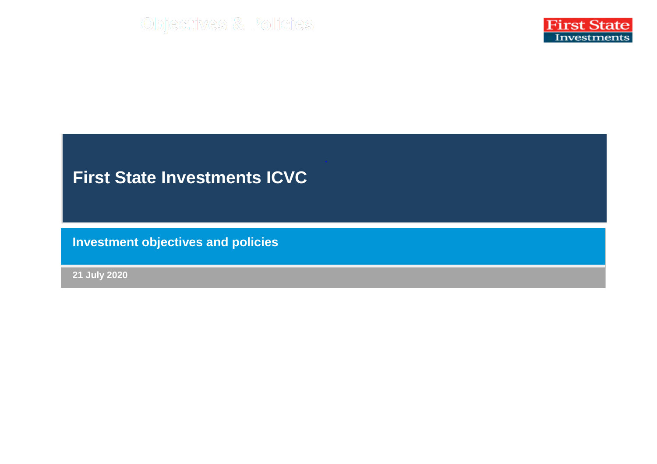

## **First State Investments ICVC**

**Investment objectives and policies**

**21 July 2020**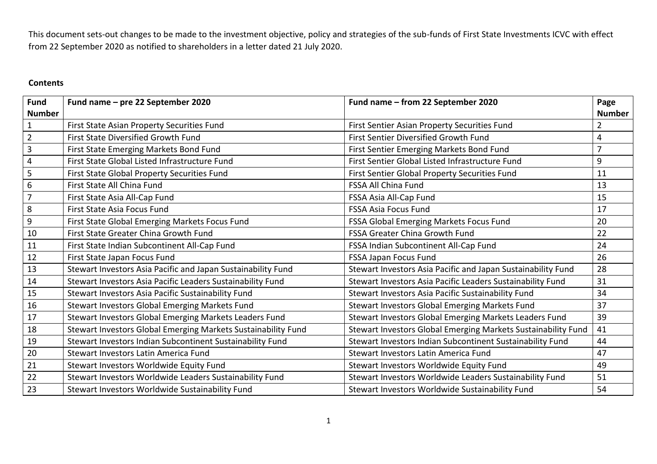This document sets-out changes to be made to the investment objective, policy and strategies of the sub-funds of First State Investments ICVC with effect from 22 September 2020 as notified to shareholders in a letter dated 21 July 2020.

## **Contents**

| Fund             | Fund name - pre 22 September 2020                             | Fund name - from 22 September 2020                            | Page           |
|------------------|---------------------------------------------------------------|---------------------------------------------------------------|----------------|
| <b>Number</b>    |                                                               |                                                               | <b>Number</b>  |
| $\mathbf 1$      | First State Asian Property Securities Fund                    | First Sentier Asian Property Securities Fund                  | $\overline{2}$ |
| $\overline{2}$   | First State Diversified Growth Fund                           | First Sentier Diversified Growth Fund                         | 4              |
| $\overline{3}$   | First State Emerging Markets Bond Fund                        | First Sentier Emerging Markets Bond Fund                      | $\overline{7}$ |
| $\sqrt{4}$       | First State Global Listed Infrastructure Fund                 | First Sentier Global Listed Infrastructure Fund               | 9              |
| 5                | First State Global Property Securities Fund                   | First Sentier Global Property Securities Fund                 | 11             |
| $\boldsymbol{6}$ | First State All China Fund                                    | FSSA All China Fund                                           | 13             |
| $\overline{7}$   | First State Asia All-Cap Fund                                 | FSSA Asia All-Cap Fund                                        | 15             |
| $\,8\,$          | First State Asia Focus Fund                                   | <b>FSSA Asia Focus Fund</b>                                   | 17             |
| $9\,$            | First State Global Emerging Markets Focus Fund                | FSSA Global Emerging Markets Focus Fund                       | 20             |
| 10               | First State Greater China Growth Fund                         | <b>FSSA Greater China Growth Fund</b>                         | 22             |
| 11               | First State Indian Subcontinent All-Cap Fund                  | FSSA Indian Subcontinent All-Cap Fund                         | 24             |
| 12               | First State Japan Focus Fund                                  | FSSA Japan Focus Fund                                         | 26             |
| 13               | Stewart Investors Asia Pacific and Japan Sustainability Fund  | Stewart Investors Asia Pacific and Japan Sustainability Fund  | 28             |
| 14               | Stewart Investors Asia Pacific Leaders Sustainability Fund    | Stewart Investors Asia Pacific Leaders Sustainability Fund    | 31             |
| 15               | Stewart Investors Asia Pacific Sustainability Fund            | Stewart Investors Asia Pacific Sustainability Fund            | 34             |
| 16               | Stewart Investors Global Emerging Markets Fund                | Stewart Investors Global Emerging Markets Fund                | 37             |
| 17               | Stewart Investors Global Emerging Markets Leaders Fund        | Stewart Investors Global Emerging Markets Leaders Fund        | 39             |
| 18               | Stewart Investors Global Emerging Markets Sustainability Fund | Stewart Investors Global Emerging Markets Sustainability Fund | 41             |
| 19               | Stewart Investors Indian Subcontinent Sustainability Fund     | Stewart Investors Indian Subcontinent Sustainability Fund     | 44             |
| 20               | Stewart Investors Latin America Fund                          | Stewart Investors Latin America Fund                          | 47             |
| 21               | Stewart Investors Worldwide Equity Fund                       | Stewart Investors Worldwide Equity Fund                       | 49             |
| 22               | Stewart Investors Worldwide Leaders Sustainability Fund       | Stewart Investors Worldwide Leaders Sustainability Fund       | 51             |
| 23               | Stewart Investors Worldwide Sustainability Fund               | Stewart Investors Worldwide Sustainability Fund               | 54             |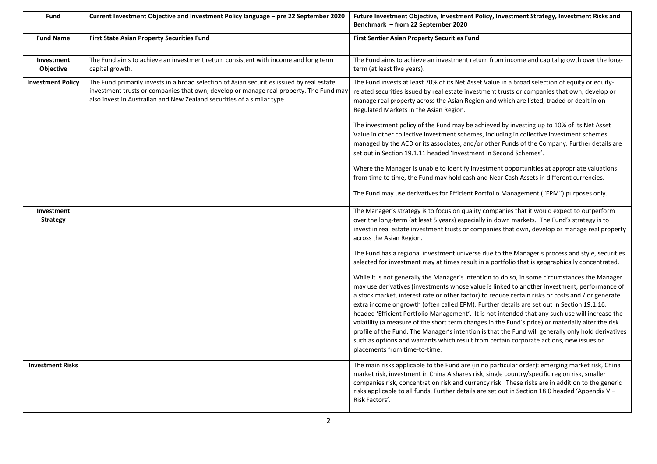| Fund                          | Current Investment Objective and Investment Policy language - pre 22 September 2020                                                                                                                                                                            | Future Investment Objective, Investment Policy, Investment Strategy, Investment Risks and<br>Benchmark - from 22 September 2020                                                                                                                                                                                                                                                                                                                                                                                                                                                                                                                                                                                                                                                                                                            |
|-------------------------------|----------------------------------------------------------------------------------------------------------------------------------------------------------------------------------------------------------------------------------------------------------------|--------------------------------------------------------------------------------------------------------------------------------------------------------------------------------------------------------------------------------------------------------------------------------------------------------------------------------------------------------------------------------------------------------------------------------------------------------------------------------------------------------------------------------------------------------------------------------------------------------------------------------------------------------------------------------------------------------------------------------------------------------------------------------------------------------------------------------------------|
| <b>Fund Name</b>              | <b>First State Asian Property Securities Fund</b>                                                                                                                                                                                                              | <b>First Sentier Asian Property Securities Fund</b>                                                                                                                                                                                                                                                                                                                                                                                                                                                                                                                                                                                                                                                                                                                                                                                        |
| Investment<br>Objective       | The Fund aims to achieve an investment return consistent with income and long term<br>capital growth.                                                                                                                                                          | The Fund aims to achieve an investment return from income and capital growth over the long-<br>term (at least five years).                                                                                                                                                                                                                                                                                                                                                                                                                                                                                                                                                                                                                                                                                                                 |
| <b>Investment Policy</b>      | The Fund primarily invests in a broad selection of Asian securities issued by real estate<br>investment trusts or companies that own, develop or manage real property. The Fund may<br>also invest in Australian and New Zealand securities of a similar type. | The Fund invests at least 70% of its Net Asset Value in a broad selection of equity or equity-<br>related securities issued by real estate investment trusts or companies that own, develop or<br>manage real property across the Asian Region and which are listed, traded or dealt in on<br>Regulated Markets in the Asian Region.                                                                                                                                                                                                                                                                                                                                                                                                                                                                                                       |
|                               |                                                                                                                                                                                                                                                                | The investment policy of the Fund may be achieved by investing up to 10% of its Net Asset<br>Value in other collective investment schemes, including in collective investment schemes<br>managed by the ACD or its associates, and/or other Funds of the Company. Further details are<br>set out in Section 19.1.11 headed 'Investment in Second Schemes'.                                                                                                                                                                                                                                                                                                                                                                                                                                                                                 |
|                               |                                                                                                                                                                                                                                                                | Where the Manager is unable to identify investment opportunities at appropriate valuations<br>from time to time, the Fund may hold cash and Near Cash Assets in different currencies.                                                                                                                                                                                                                                                                                                                                                                                                                                                                                                                                                                                                                                                      |
|                               |                                                                                                                                                                                                                                                                | The Fund may use derivatives for Efficient Portfolio Management ("EPM") purposes only.                                                                                                                                                                                                                                                                                                                                                                                                                                                                                                                                                                                                                                                                                                                                                     |
| Investment<br><b>Strategy</b> |                                                                                                                                                                                                                                                                | The Manager's strategy is to focus on quality companies that it would expect to outperform<br>over the long-term (at least 5 years) especially in down markets. The Fund's strategy is to<br>invest in real estate investment trusts or companies that own, develop or manage real property<br>across the Asian Region.                                                                                                                                                                                                                                                                                                                                                                                                                                                                                                                    |
|                               |                                                                                                                                                                                                                                                                | The Fund has a regional investment universe due to the Manager's process and style, securities<br>selected for investment may at times result in a portfolio that is geographically concentrated.                                                                                                                                                                                                                                                                                                                                                                                                                                                                                                                                                                                                                                          |
|                               |                                                                                                                                                                                                                                                                | While it is not generally the Manager's intention to do so, in some circumstances the Manager<br>may use derivatives (investments whose value is linked to another investment, performance of<br>a stock market, interest rate or other factor) to reduce certain risks or costs and / or generate<br>extra income or growth (often called EPM). Further details are set out in Section 19.1.16.<br>headed 'Efficient Portfolio Management'. It is not intended that any such use will increase the<br>volatility (a measure of the short term changes in the Fund's price) or materially alter the risk<br>profile of the Fund. The Manager's intention is that the Fund will generally only hold derivatives<br>such as options and warrants which result from certain corporate actions, new issues or<br>placements from time-to-time. |
| <b>Investment Risks</b>       |                                                                                                                                                                                                                                                                | The main risks applicable to the Fund are (in no particular order): emerging market risk, China<br>market risk, investment in China A shares risk, single country/specific region risk, smaller<br>companies risk, concentration risk and currency risk. These risks are in addition to the generic<br>risks applicable to all funds. Further details are set out in Section 18.0 headed 'Appendix V -<br>Risk Factors'.                                                                                                                                                                                                                                                                                                                                                                                                                   |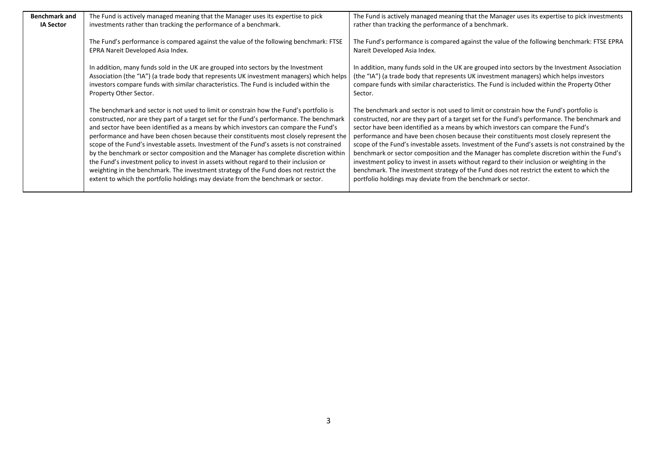| <b>Benchmark and</b> | The Fund is actively managed meaning that the Manager uses its expertise to pick                                                                                                                                                                                                                                                                                                                                                                                                                                                                                                                                                                                                                                                                                                                                                 | The Fund is actively managed meaning that the Manager uses its expertise to pick investments                                                                                                                                                                                                                                                                                                                                                                                                                                                                                                                                                                                                                                                                                                                                     |
|----------------------|----------------------------------------------------------------------------------------------------------------------------------------------------------------------------------------------------------------------------------------------------------------------------------------------------------------------------------------------------------------------------------------------------------------------------------------------------------------------------------------------------------------------------------------------------------------------------------------------------------------------------------------------------------------------------------------------------------------------------------------------------------------------------------------------------------------------------------|----------------------------------------------------------------------------------------------------------------------------------------------------------------------------------------------------------------------------------------------------------------------------------------------------------------------------------------------------------------------------------------------------------------------------------------------------------------------------------------------------------------------------------------------------------------------------------------------------------------------------------------------------------------------------------------------------------------------------------------------------------------------------------------------------------------------------------|
| <b>IA Sector</b>     | investments rather than tracking the performance of a benchmark.                                                                                                                                                                                                                                                                                                                                                                                                                                                                                                                                                                                                                                                                                                                                                                 | rather than tracking the performance of a benchmark.                                                                                                                                                                                                                                                                                                                                                                                                                                                                                                                                                                                                                                                                                                                                                                             |
|                      | The Fund's performance is compared against the value of the following benchmark: FTSE<br>EPRA Nareit Developed Asia Index.                                                                                                                                                                                                                                                                                                                                                                                                                                                                                                                                                                                                                                                                                                       | The Fund's performance is compared against the value of the following benchmark: FTSE EPRA<br>Nareit Developed Asia Index.                                                                                                                                                                                                                                                                                                                                                                                                                                                                                                                                                                                                                                                                                                       |
|                      | In addition, many funds sold in the UK are grouped into sectors by the Investment<br>Association (the "IA") (a trade body that represents UK investment managers) which helps<br>investors compare funds with similar characteristics. The Fund is included within the<br>Property Other Sector.                                                                                                                                                                                                                                                                                                                                                                                                                                                                                                                                 | In addition, many funds sold in the UK are grouped into sectors by the Investment Association<br>(the "IA") (a trade body that represents UK investment managers) which helps investors<br>compare funds with similar characteristics. The Fund is included within the Property Other<br>Sector.                                                                                                                                                                                                                                                                                                                                                                                                                                                                                                                                 |
|                      | The benchmark and sector is not used to limit or constrain how the Fund's portfolio is<br>constructed, nor are they part of a target set for the Fund's performance. The benchmark<br>and sector have been identified as a means by which investors can compare the Fund's<br>performance and have been chosen because their constituents most closely represent the<br>scope of the Fund's investable assets. Investment of the Fund's assets is not constrained<br>by the benchmark or sector composition and the Manager has complete discretion within<br>the Fund's investment policy to invest in assets without regard to their inclusion or<br>weighting in the benchmark. The investment strategy of the Fund does not restrict the<br>extent to which the portfolio holdings may deviate from the benchmark or sector. | The benchmark and sector is not used to limit or constrain how the Fund's portfolio is<br>constructed, nor are they part of a target set for the Fund's performance. The benchmark and<br>sector have been identified as a means by which investors can compare the Fund's<br>performance and have been chosen because their constituents most closely represent the<br>scope of the Fund's investable assets. Investment of the Fund's assets is not constrained by the<br>benchmark or sector composition and the Manager has complete discretion within the Fund's<br>investment policy to invest in assets without regard to their inclusion or weighting in the<br>benchmark. The investment strategy of the Fund does not restrict the extent to which the<br>portfolio holdings may deviate from the benchmark or sector. |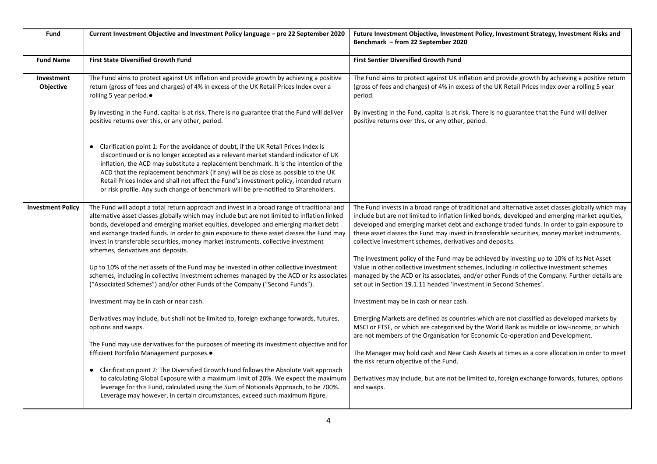| Fund                     | Current Investment Objective and Investment Policy language - pre 22 September 2020                                                                                                                                                                                                                                                                                                                                                                                                                                                          | Future Investment Objective, Investment Policy, Investment Strategy, Investment Risks and<br>Benchmark - from 22 September 2020                                                                                                                                                                                                                                                                                                                                |
|--------------------------|----------------------------------------------------------------------------------------------------------------------------------------------------------------------------------------------------------------------------------------------------------------------------------------------------------------------------------------------------------------------------------------------------------------------------------------------------------------------------------------------------------------------------------------------|----------------------------------------------------------------------------------------------------------------------------------------------------------------------------------------------------------------------------------------------------------------------------------------------------------------------------------------------------------------------------------------------------------------------------------------------------------------|
| <b>Fund Name</b>         | <b>First State Diversified Growth Fund</b>                                                                                                                                                                                                                                                                                                                                                                                                                                                                                                   | <b>First Sentier Diversified Growth Fund</b>                                                                                                                                                                                                                                                                                                                                                                                                                   |
| Investment<br>Objective  | The Fund aims to protect against UK inflation and provide growth by achieving a positive<br>return (gross of fees and charges) of 4% in excess of the UK Retail Prices Index over a<br>rolling 5 year period.●                                                                                                                                                                                                                                                                                                                               | The Fund aims to protect against UK inflation and provide growth by achieving a positive return<br>(gross of fees and charges) of 4% in excess of the UK Retail Prices Index over a rolling 5 year<br>period.                                                                                                                                                                                                                                                  |
|                          | By investing in the Fund, capital is at risk. There is no guarantee that the Fund will deliver<br>positive returns over this, or any other, period.                                                                                                                                                                                                                                                                                                                                                                                          | By investing in the Fund, capital is at risk. There is no guarantee that the Fund will deliver<br>positive returns over this, or any other, period.                                                                                                                                                                                                                                                                                                            |
|                          | • Clarification point 1: For the avoidance of doubt, if the UK Retail Prices Index is<br>discontinued or is no longer accepted as a relevant market standard indicator of UK<br>inflation, the ACD may substitute a replacement benchmark. It is the intention of the<br>ACD that the replacement benchmark (if any) will be as close as possible to the UK<br>Retail Prices Index and shall not affect the Fund's investment policy, intended return<br>or risk profile. Any such change of benchmark will be pre-notified to Shareholders. |                                                                                                                                                                                                                                                                                                                                                                                                                                                                |
| <b>Investment Policy</b> | The Fund will adopt a total return approach and invest in a broad range of traditional and<br>alternative asset classes globally which may include but are not limited to inflation linked<br>bonds, developed and emerging market equities, developed and emerging market debt<br>and exchange traded funds. In order to gain exposure to these asset classes the Fund may<br>invest in transferable securities, money market instruments, collective investment<br>schemes, derivatives and deposits.                                      | The Fund invests in a broad range of traditional and alternative asset classes globally which may<br>include but are not limited to inflation linked bonds, developed and emerging market equities,<br>developed and emerging market debt and exchange traded funds. In order to gain exposure to<br>these asset classes the Fund may invest in transferable securities, money market instruments,<br>collective investment schemes, derivatives and deposits. |
|                          | Up to 10% of the net assets of the Fund may be invested in other collective investment<br>schemes, including in collective investment schemes managed by the ACD or its associates<br>("Associated Schemes") and/or other Funds of the Company ("Second Funds").                                                                                                                                                                                                                                                                             | The investment policy of the Fund may be achieved by investing up to 10% of its Net Asset<br>Value in other collective investment schemes, including in collective investment schemes<br>managed by the ACD or its associates, and/or other Funds of the Company. Further details are<br>set out in Section 19.1.11 headed 'Investment in Second Schemes'.                                                                                                     |
|                          | Investment may be in cash or near cash.                                                                                                                                                                                                                                                                                                                                                                                                                                                                                                      | Investment may be in cash or near cash.                                                                                                                                                                                                                                                                                                                                                                                                                        |
|                          | Derivatives may include, but shall not be limited to, foreign exchange forwards, futures,<br>options and swaps.                                                                                                                                                                                                                                                                                                                                                                                                                              | Emerging Markets are defined as countries which are not classified as developed markets by<br>MSCI or FTSE, or which are categorised by the World Bank as middle or low-income, or which<br>are not members of the Organisation for Economic Co-operation and Development.                                                                                                                                                                                     |
|                          | The Fund may use derivatives for the purposes of meeting its investment objective and for<br>Efficient Portfolio Management purposes.●                                                                                                                                                                                                                                                                                                                                                                                                       | The Manager may hold cash and Near Cash Assets at times as a core allocation in order to meet<br>the risk return objective of the Fund.                                                                                                                                                                                                                                                                                                                        |
|                          | • Clarification point 2: The Diversified Growth Fund follows the Absolute VaR approach<br>to calculating Global Exposure with a maximum limit of 20%. We expect the maximum<br>leverage for this Fund, calculated using the Sum of Notionals Approach, to be 700%.<br>Leverage may however, in certain circumstances, exceed such maximum figure.                                                                                                                                                                                            | Derivatives may include, but are not be limited to, foreign exchange forwards, futures, options<br>and swaps.                                                                                                                                                                                                                                                                                                                                                  |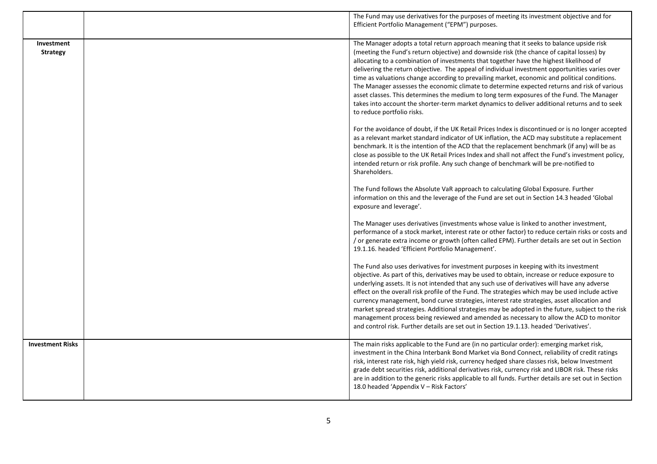|                               | The Fund may use derivatives for the purposes of meeting its investment objective and for<br>Efficient Portfolio Management ("EPM") purposes.                                                                                                                                                                                                                                                                                                                                                                                                                                                                                                                                                                                                                                                                |
|-------------------------------|--------------------------------------------------------------------------------------------------------------------------------------------------------------------------------------------------------------------------------------------------------------------------------------------------------------------------------------------------------------------------------------------------------------------------------------------------------------------------------------------------------------------------------------------------------------------------------------------------------------------------------------------------------------------------------------------------------------------------------------------------------------------------------------------------------------|
| Investment<br><b>Strategy</b> | The Manager adopts a total return approach meaning that it seeks to balance upside risk<br>(meeting the Fund's return objective) and downside risk (the chance of capital losses) by<br>allocating to a combination of investments that together have the highest likelihood of<br>delivering the return objective. The appeal of individual investment opportunities varies over<br>time as valuations change according to prevailing market, economic and political conditions.<br>The Manager assesses the economic climate to determine expected returns and risk of various<br>asset classes. This determines the medium to long term exposures of the Fund. The Manager<br>takes into account the shorter-term market dynamics to deliver additional returns and to seek<br>to reduce portfolio risks. |
|                               | For the avoidance of doubt, if the UK Retail Prices Index is discontinued or is no longer accepted<br>as a relevant market standard indicator of UK inflation, the ACD may substitute a replacement<br>benchmark. It is the intention of the ACD that the replacement benchmark (if any) will be as<br>close as possible to the UK Retail Prices Index and shall not affect the Fund's investment policy,<br>intended return or risk profile. Any such change of benchmark will be pre-notified to<br>Shareholders.                                                                                                                                                                                                                                                                                          |
|                               | The Fund follows the Absolute VaR approach to calculating Global Exposure. Further<br>information on this and the leverage of the Fund are set out in Section 14.3 headed 'Global<br>exposure and leverage'.                                                                                                                                                                                                                                                                                                                                                                                                                                                                                                                                                                                                 |
|                               | The Manager uses derivatives (investments whose value is linked to another investment,<br>performance of a stock market, interest rate or other factor) to reduce certain risks or costs and<br>or generate extra income or growth (often called EPM). Further details are set out in Section<br>19.1.16. headed 'Efficient Portfolio Management'.                                                                                                                                                                                                                                                                                                                                                                                                                                                           |
|                               | The Fund also uses derivatives for investment purposes in keeping with its investment<br>objective. As part of this, derivatives may be used to obtain, increase or reduce exposure to<br>underlying assets. It is not intended that any such use of derivatives will have any adverse<br>effect on the overall risk profile of the Fund. The strategies which may be used include active<br>currency management, bond curve strategies, interest rate strategies, asset allocation and<br>market spread strategies. Additional strategies may be adopted in the future, subject to the risk<br>management process being reviewed and amended as necessary to allow the ACD to monitor<br>and control risk. Further details are set out in Section 19.1.13. headed 'Derivatives'.                            |
| <b>Investment Risks</b>       | The main risks applicable to the Fund are (in no particular order): emerging market risk,<br>investment in the China Interbank Bond Market via Bond Connect, reliability of credit ratings<br>risk, interest rate risk, high yield risk, currency hedged share classes risk, below Investment<br>grade debt securities risk, additional derivatives risk, currency risk and LIBOR risk. These risks<br>are in addition to the generic risks applicable to all funds. Further details are set out in Section<br>18.0 headed 'Appendix V - Risk Factors'                                                                                                                                                                                                                                                       |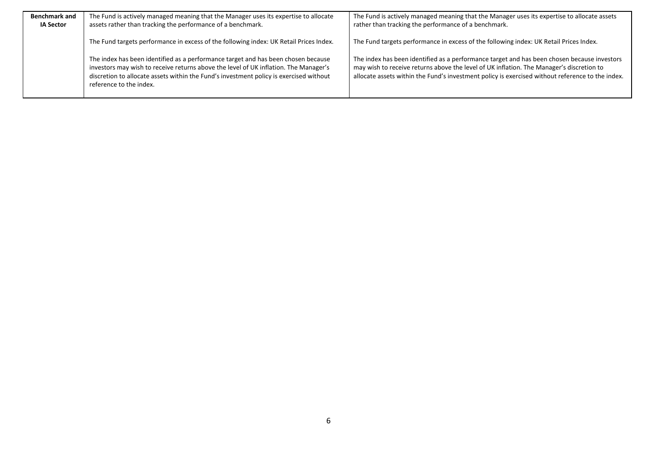| <b>Benchmark and</b> | The Fund is actively managed meaning that the Manager uses its expertise to allocate                                                                                                                                                                                                           | The Fund is actively managed meaning that the Manager uses its expertise to allocate assets                                                                                                                                                                                                 |
|----------------------|------------------------------------------------------------------------------------------------------------------------------------------------------------------------------------------------------------------------------------------------------------------------------------------------|---------------------------------------------------------------------------------------------------------------------------------------------------------------------------------------------------------------------------------------------------------------------------------------------|
| <b>IA Sector</b>     | assets rather than tracking the performance of a benchmark.                                                                                                                                                                                                                                    | rather than tracking the performance of a benchmark.                                                                                                                                                                                                                                        |
|                      | The Fund targets performance in excess of the following index: UK Retail Prices Index.                                                                                                                                                                                                         | The Fund targets performance in excess of the following index: UK Retail Prices Index.                                                                                                                                                                                                      |
|                      | The index has been identified as a performance target and has been chosen because<br>investors may wish to receive returns above the level of UK inflation. The Manager's<br>discretion to allocate assets within the Fund's investment policy is exercised without<br>reference to the index. | The index has been identified as a performance target and has been chosen because investors<br>may wish to receive returns above the level of UK inflation. The Manager's discretion to<br>allocate assets within the Fund's investment policy is exercised without reference to the index. |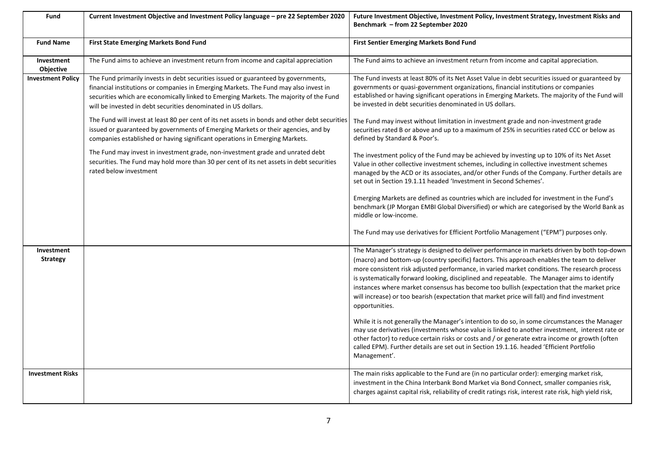| Fund                           | Current Investment Objective and Investment Policy language - pre 22 September 2020                                                                                                                                                                                                                                                    | Future Investment Objective, Investment Policy, Investment Strategy, Investment Risks and<br>Benchmark - from 22 September 2020                                                                                                                                                                                                                                                                                                                                                                                                                                                                           |
|--------------------------------|----------------------------------------------------------------------------------------------------------------------------------------------------------------------------------------------------------------------------------------------------------------------------------------------------------------------------------------|-----------------------------------------------------------------------------------------------------------------------------------------------------------------------------------------------------------------------------------------------------------------------------------------------------------------------------------------------------------------------------------------------------------------------------------------------------------------------------------------------------------------------------------------------------------------------------------------------------------|
| <b>Fund Name</b>               | First State Emerging Markets Bond Fund                                                                                                                                                                                                                                                                                                 | <b>First Sentier Emerging Markets Bond Fund</b>                                                                                                                                                                                                                                                                                                                                                                                                                                                                                                                                                           |
| Investment<br><b>Objective</b> | The Fund aims to achieve an investment return from income and capital appreciation                                                                                                                                                                                                                                                     | The Fund aims to achieve an investment return from income and capital appreciation.                                                                                                                                                                                                                                                                                                                                                                                                                                                                                                                       |
| <b>Investment Policy</b>       | The Fund primarily invests in debt securities issued or guaranteed by governments,<br>financial institutions or companies in Emerging Markets. The Fund may also invest in<br>securities which are economically linked to Emerging Markets. The majority of the Fund<br>will be invested in debt securities denominated in US dollars. | The Fund invests at least 80% of its Net Asset Value in debt securities issued or guaranteed by<br>governments or quasi-government organizations, financial institutions or companies<br>established or having significant operations in Emerging Markets. The majority of the Fund will<br>be invested in debt securities denominated in US dollars.                                                                                                                                                                                                                                                     |
|                                | The Fund will invest at least 80 per cent of its net assets in bonds and other debt securities<br>issued or guaranteed by governments of Emerging Markets or their agencies, and by<br>companies established or having significant operations in Emerging Markets.                                                                     | The Fund may invest without limitation in investment grade and non-investment grade<br>securities rated B or above and up to a maximum of 25% in securities rated CCC or below as<br>defined by Standard & Poor's.                                                                                                                                                                                                                                                                                                                                                                                        |
|                                | The Fund may invest in investment grade, non-investment grade and unrated debt<br>securities. The Fund may hold more than 30 per cent of its net assets in debt securities<br>rated below investment                                                                                                                                   | The investment policy of the Fund may be achieved by investing up to 10% of its Net Asset<br>Value in other collective investment schemes, including in collective investment schemes<br>managed by the ACD or its associates, and/or other Funds of the Company. Further details are<br>set out in Section 19.1.11 headed 'Investment in Second Schemes'.                                                                                                                                                                                                                                                |
|                                |                                                                                                                                                                                                                                                                                                                                        | Emerging Markets are defined as countries which are included for investment in the Fund's<br>benchmark (JP Morgan EMBI Global Diversified) or which are categorised by the World Bank as<br>middle or low-income.                                                                                                                                                                                                                                                                                                                                                                                         |
|                                |                                                                                                                                                                                                                                                                                                                                        | The Fund may use derivatives for Efficient Portfolio Management ("EPM") purposes only.                                                                                                                                                                                                                                                                                                                                                                                                                                                                                                                    |
| Investment<br><b>Strategy</b>  |                                                                                                                                                                                                                                                                                                                                        | The Manager's strategy is designed to deliver performance in markets driven by both top-down<br>(macro) and bottom-up (country specific) factors. This approach enables the team to deliver<br>more consistent risk adjusted performance, in varied market conditions. The research process<br>is systematically forward looking, disciplined and repeatable. The Manager aims to identify<br>instances where market consensus has become too bullish (expectation that the market price<br>will increase) or too bearish (expectation that market price will fall) and find investment<br>opportunities. |
|                                |                                                                                                                                                                                                                                                                                                                                        | While it is not generally the Manager's intention to do so, in some circumstances the Manager<br>may use derivatives (investments whose value is linked to another investment, interest rate or<br>other factor) to reduce certain risks or costs and / or generate extra income or growth (often<br>called EPM). Further details are set out in Section 19.1.16. headed 'Efficient Portfolio<br>Management'.                                                                                                                                                                                             |
| <b>Investment Risks</b>        |                                                                                                                                                                                                                                                                                                                                        | The main risks applicable to the Fund are (in no particular order): emerging market risk,<br>investment in the China Interbank Bond Market via Bond Connect, smaller companies risk,<br>charges against capital risk, reliability of credit ratings risk, interest rate risk, high yield risk,                                                                                                                                                                                                                                                                                                            |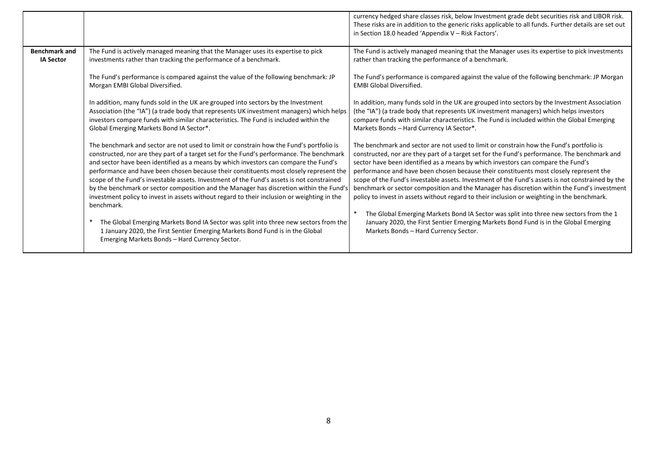|                                          |                                                                                                                                                                                                                                                                                                                                                                                                                                                                                                                                                                                                                                                                                                                                                                                                                                                                                                       | currency hedged share classes risk, below Investment grade debt securities risk and LIBOR risk.<br>These risks are in addition to the generic risks applicable to all funds. Further details are set out<br>in Section 18.0 headed 'Appendix V - Risk Factors'.                                                                                                                                                                                                                                                                                                                                                                                                                                                                                                                                                                                                                                    |
|------------------------------------------|-------------------------------------------------------------------------------------------------------------------------------------------------------------------------------------------------------------------------------------------------------------------------------------------------------------------------------------------------------------------------------------------------------------------------------------------------------------------------------------------------------------------------------------------------------------------------------------------------------------------------------------------------------------------------------------------------------------------------------------------------------------------------------------------------------------------------------------------------------------------------------------------------------|----------------------------------------------------------------------------------------------------------------------------------------------------------------------------------------------------------------------------------------------------------------------------------------------------------------------------------------------------------------------------------------------------------------------------------------------------------------------------------------------------------------------------------------------------------------------------------------------------------------------------------------------------------------------------------------------------------------------------------------------------------------------------------------------------------------------------------------------------------------------------------------------------|
| <b>Benchmark and</b><br><b>IA Sector</b> | The Fund is actively managed meaning that the Manager uses its expertise to pick<br>investments rather than tracking the performance of a benchmark.                                                                                                                                                                                                                                                                                                                                                                                                                                                                                                                                                                                                                                                                                                                                                  | The Fund is actively managed meaning that the Manager uses its expertise to pick investments<br>rather than tracking the performance of a benchmark.                                                                                                                                                                                                                                                                                                                                                                                                                                                                                                                                                                                                                                                                                                                                               |
|                                          | The Fund's performance is compared against the value of the following benchmark: JP<br>Morgan EMBI Global Diversified.                                                                                                                                                                                                                                                                                                                                                                                                                                                                                                                                                                                                                                                                                                                                                                                | The Fund's performance is compared against the value of the following benchmark: JP Morgan<br><b>EMBI Global Diversified.</b>                                                                                                                                                                                                                                                                                                                                                                                                                                                                                                                                                                                                                                                                                                                                                                      |
|                                          | In addition, many funds sold in the UK are grouped into sectors by the Investment<br>Association (the "IA") (a trade body that represents UK investment managers) which helps<br>investors compare funds with similar characteristics. The Fund is included within the<br>Global Emerging Markets Bond IA Sector*.                                                                                                                                                                                                                                                                                                                                                                                                                                                                                                                                                                                    | In addition, many funds sold in the UK are grouped into sectors by the Investment Association<br>(the "IA") (a trade body that represents UK investment managers) which helps investors<br>compare funds with similar characteristics. The Fund is included within the Global Emerging<br>Markets Bonds - Hard Currency IA Sector*.                                                                                                                                                                                                                                                                                                                                                                                                                                                                                                                                                                |
|                                          | The benchmark and sector are not used to limit or constrain how the Fund's portfolio is<br>constructed, nor are they part of a target set for the Fund's performance. The benchmark<br>and sector have been identified as a means by which investors can compare the Fund's<br>performance and have been chosen because their constituents most closely represent the<br>scope of the Fund's investable assets. Investment of the Fund's assets is not constrained<br>by the benchmark or sector composition and the Manager has discretion within the Fund's<br>investment policy to invest in assets without regard to their inclusion or weighting in the<br>benchmark.<br>The Global Emerging Markets Bond IA Sector was split into three new sectors from the<br>1 January 2020, the First Sentier Emerging Markets Bond Fund is in the Global<br>Emerging Markets Bonds - Hard Currency Sector. | The benchmark and sector are not used to limit or constrain how the Fund's portfolio is<br>constructed, nor are they part of a target set for the Fund's performance. The benchmark and<br>sector have been identified as a means by which investors can compare the Fund's<br>performance and have been chosen because their constituents most closely represent the<br>scope of the Fund's investable assets. Investment of the Fund's assets is not constrained by the<br>benchmark or sector composition and the Manager has discretion within the Fund's investment<br>policy to invest in assets without regard to their inclusion or weighting in the benchmark.<br>The Global Emerging Markets Bond IA Sector was split into three new sectors from the 1<br>January 2020, the First Sentier Emerging Markets Bond Fund is in the Global Emerging<br>Markets Bonds - Hard Currency Sector. |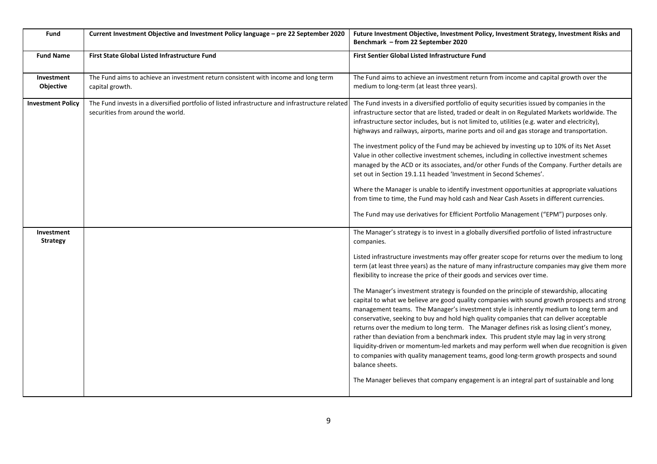| <b>Fund</b>                                               | Current Investment Objective and Investment Policy language - pre 22 September 2020                                                  | Future Investment Objective, Investment Policy, Investment Strategy, Investment Risks and<br>Benchmark - from 22 September 2020                                                                                                                                                                                                                                                                                                                                                                                                                                                                                                                                                                                                                                                                                                                                                                                                                                                                                                                                                                                                                                                                                                                                                                                                                                                                                                                                                                                                                                                                                                                                                                                                                                                                                                |
|-----------------------------------------------------------|--------------------------------------------------------------------------------------------------------------------------------------|--------------------------------------------------------------------------------------------------------------------------------------------------------------------------------------------------------------------------------------------------------------------------------------------------------------------------------------------------------------------------------------------------------------------------------------------------------------------------------------------------------------------------------------------------------------------------------------------------------------------------------------------------------------------------------------------------------------------------------------------------------------------------------------------------------------------------------------------------------------------------------------------------------------------------------------------------------------------------------------------------------------------------------------------------------------------------------------------------------------------------------------------------------------------------------------------------------------------------------------------------------------------------------------------------------------------------------------------------------------------------------------------------------------------------------------------------------------------------------------------------------------------------------------------------------------------------------------------------------------------------------------------------------------------------------------------------------------------------------------------------------------------------------------------------------------------------------|
| <b>Fund Name</b>                                          | First State Global Listed Infrastructure Fund                                                                                        | First Sentier Global Listed Infrastructure Fund                                                                                                                                                                                                                                                                                                                                                                                                                                                                                                                                                                                                                                                                                                                                                                                                                                                                                                                                                                                                                                                                                                                                                                                                                                                                                                                                                                                                                                                                                                                                                                                                                                                                                                                                                                                |
| Investment<br>Objective                                   | The Fund aims to achieve an investment return consistent with income and long term<br>capital growth.                                | The Fund aims to achieve an investment return from income and capital growth over the<br>medium to long-term (at least three years).                                                                                                                                                                                                                                                                                                                                                                                                                                                                                                                                                                                                                                                                                                                                                                                                                                                                                                                                                                                                                                                                                                                                                                                                                                                                                                                                                                                                                                                                                                                                                                                                                                                                                           |
| <b>Investment Policy</b><br>Investment<br><b>Strategy</b> | The Fund invests in a diversified portfolio of listed infrastructure and infrastructure related<br>securities from around the world. | The Fund invests in a diversified portfolio of equity securities issued by companies in the<br>infrastructure sector that are listed, traded or dealt in on Regulated Markets worldwide. The<br>infrastructure sector includes, but is not limited to, utilities (e.g. water and electricity),<br>highways and railways, airports, marine ports and oil and gas storage and transportation.<br>The investment policy of the Fund may be achieved by investing up to 10% of its Net Asset<br>Value in other collective investment schemes, including in collective investment schemes<br>managed by the ACD or its associates, and/or other Funds of the Company. Further details are<br>set out in Section 19.1.11 headed 'Investment in Second Schemes'.<br>Where the Manager is unable to identify investment opportunities at appropriate valuations<br>from time to time, the Fund may hold cash and Near Cash Assets in different currencies.<br>The Fund may use derivatives for Efficient Portfolio Management ("EPM") purposes only.<br>The Manager's strategy is to invest in a globally diversified portfolio of listed infrastructure<br>companies.<br>Listed infrastructure investments may offer greater scope for returns over the medium to long<br>term (at least three years) as the nature of many infrastructure companies may give them more<br>flexibility to increase the price of their goods and services over time.<br>The Manager's investment strategy is founded on the principle of stewardship, allocating<br>capital to what we believe are good quality companies with sound growth prospects and strong<br>management teams. The Manager's investment style is inherently medium to long term and<br>conservative, seeking to buy and hold high quality companies that can deliver acceptable |
|                                                           |                                                                                                                                      | returns over the medium to long term. The Manager defines risk as losing client's money,<br>rather than deviation from a benchmark index. This prudent style may lag in very strong<br>liquidity-driven or momentum-led markets and may perform well when due recognition is given<br>to companies with quality management teams, good long-term growth prospects and sound<br>balance sheets.<br>The Manager believes that company engagement is an integral part of sustainable and long                                                                                                                                                                                                                                                                                                                                                                                                                                                                                                                                                                                                                                                                                                                                                                                                                                                                                                                                                                                                                                                                                                                                                                                                                                                                                                                                     |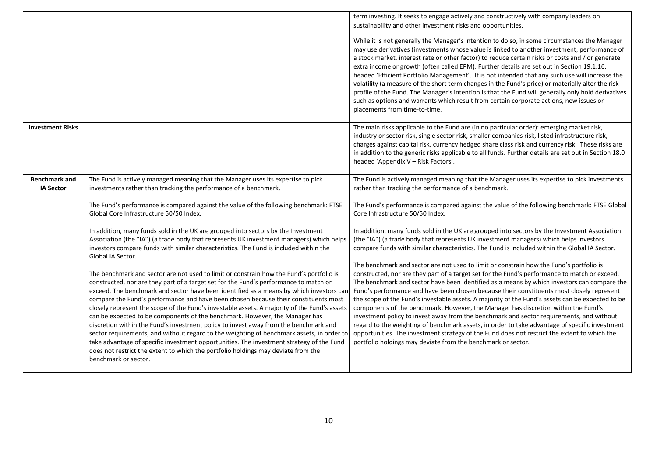|                                          |                                                                                                                                                                                                                                                                                                                                                                                                                                                                                                                                                                                                                                                                                                                                                                                                                                                                                                                                                 | term investing. It seeks to engage actively and constructively with company leaders on                                                                                                                                                                                                                                                                                                                                                                                                                                                                                                                                                                                                                                                                                                                                                                                                                                                       |
|------------------------------------------|-------------------------------------------------------------------------------------------------------------------------------------------------------------------------------------------------------------------------------------------------------------------------------------------------------------------------------------------------------------------------------------------------------------------------------------------------------------------------------------------------------------------------------------------------------------------------------------------------------------------------------------------------------------------------------------------------------------------------------------------------------------------------------------------------------------------------------------------------------------------------------------------------------------------------------------------------|----------------------------------------------------------------------------------------------------------------------------------------------------------------------------------------------------------------------------------------------------------------------------------------------------------------------------------------------------------------------------------------------------------------------------------------------------------------------------------------------------------------------------------------------------------------------------------------------------------------------------------------------------------------------------------------------------------------------------------------------------------------------------------------------------------------------------------------------------------------------------------------------------------------------------------------------|
|                                          |                                                                                                                                                                                                                                                                                                                                                                                                                                                                                                                                                                                                                                                                                                                                                                                                                                                                                                                                                 | sustainability and other investment risks and opportunities.                                                                                                                                                                                                                                                                                                                                                                                                                                                                                                                                                                                                                                                                                                                                                                                                                                                                                 |
|                                          |                                                                                                                                                                                                                                                                                                                                                                                                                                                                                                                                                                                                                                                                                                                                                                                                                                                                                                                                                 | While it is not generally the Manager's intention to do so, in some circumstances the Manager<br>may use derivatives (investments whose value is linked to another investment, performance of<br>a stock market, interest rate or other factor) to reduce certain risks or costs and / or generate<br>extra income or growth (often called EPM). Further details are set out in Section 19.1.16.<br>headed 'Efficient Portfolio Management'. It is not intended that any such use will increase the<br>volatility (a measure of the short term changes in the Fund's price) or materially alter the risk<br>profile of the Fund. The Manager's intention is that the Fund will generally only hold derivatives<br>such as options and warrants which result from certain corporate actions, new issues or<br>placements from time-to-time.                                                                                                   |
| <b>Investment Risks</b>                  |                                                                                                                                                                                                                                                                                                                                                                                                                                                                                                                                                                                                                                                                                                                                                                                                                                                                                                                                                 | The main risks applicable to the Fund are (in no particular order): emerging market risk,<br>industry or sector risk, single sector risk, smaller companies risk, listed infrastructure risk,<br>charges against capital risk, currency hedged share class risk and currency risk. These risks are<br>in addition to the generic risks applicable to all funds. Further details are set out in Section 18.0<br>headed 'Appendix V - Risk Factors'.                                                                                                                                                                                                                                                                                                                                                                                                                                                                                           |
| <b>Benchmark and</b><br><b>IA Sector</b> | The Fund is actively managed meaning that the Manager uses its expertise to pick<br>investments rather than tracking the performance of a benchmark.                                                                                                                                                                                                                                                                                                                                                                                                                                                                                                                                                                                                                                                                                                                                                                                            | The Fund is actively managed meaning that the Manager uses its expertise to pick investments<br>rather than tracking the performance of a benchmark.                                                                                                                                                                                                                                                                                                                                                                                                                                                                                                                                                                                                                                                                                                                                                                                         |
|                                          | The Fund's performance is compared against the value of the following benchmark: FTSE<br>Global Core Infrastructure 50/50 Index.                                                                                                                                                                                                                                                                                                                                                                                                                                                                                                                                                                                                                                                                                                                                                                                                                | The Fund's performance is compared against the value of the following benchmark: FTSE Global<br>Core Infrastructure 50/50 Index.                                                                                                                                                                                                                                                                                                                                                                                                                                                                                                                                                                                                                                                                                                                                                                                                             |
|                                          | In addition, many funds sold in the UK are grouped into sectors by the Investment<br>Association (the "IA") (a trade body that represents UK investment managers) which helps<br>investors compare funds with similar characteristics. The Fund is included within the<br>Global IA Sector.                                                                                                                                                                                                                                                                                                                                                                                                                                                                                                                                                                                                                                                     | In addition, many funds sold in the UK are grouped into sectors by the Investment Association<br>(the "IA") (a trade body that represents UK investment managers) which helps investors<br>compare funds with similar characteristics. The Fund is included within the Global IA Sector.                                                                                                                                                                                                                                                                                                                                                                                                                                                                                                                                                                                                                                                     |
|                                          | The benchmark and sector are not used to limit or constrain how the Fund's portfolio is<br>constructed, nor are they part of a target set for the Fund's performance to match or<br>exceed. The benchmark and sector have been identified as a means by which investors car<br>compare the Fund's performance and have been chosen because their constituents most<br>closely represent the scope of the Fund's investable assets. A majority of the Fund's assets<br>can be expected to be components of the benchmark. However, the Manager has<br>discretion within the Fund's investment policy to invest away from the benchmark and<br>sector requirements, and without regard to the weighting of benchmark assets, in order to<br>take advantage of specific investment opportunities. The investment strategy of the Fund<br>does not restrict the extent to which the portfolio holdings may deviate from the<br>benchmark or sector. | The benchmark and sector are not used to limit or constrain how the Fund's portfolio is<br>constructed, nor are they part of a target set for the Fund's performance to match or exceed.<br>The benchmark and sector have been identified as a means by which investors can compare the<br>Fund's performance and have been chosen because their constituents most closely represent<br>the scope of the Fund's investable assets. A majority of the Fund's assets can be expected to be<br>components of the benchmark. However, the Manager has discretion within the Fund's<br>investment policy to invest away from the benchmark and sector requirements, and without<br>regard to the weighting of benchmark assets, in order to take advantage of specific investment<br>opportunities. The investment strategy of the Fund does not restrict the extent to which the<br>portfolio holdings may deviate from the benchmark or sector. |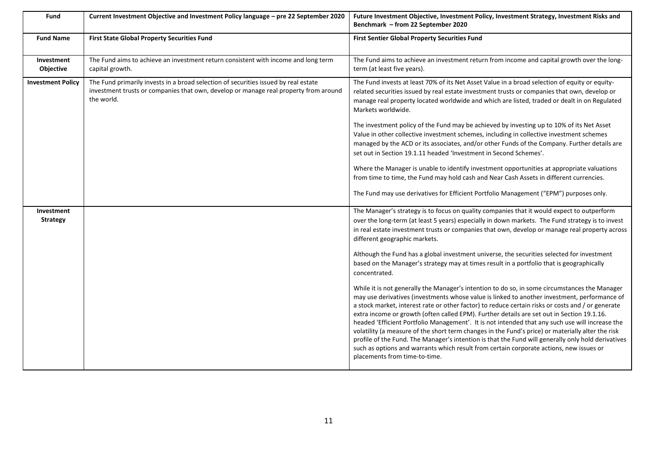| Fund                          | Current Investment Objective and Investment Policy language - pre 22 September 2020                                                                                                       | Future Investment Objective, Investment Policy, Investment Strategy, Investment Risks and<br>Benchmark - from 22 September 2020                                                                                                                                                                                                                                                                                                                                                                                                                                                                                                                                                                                                                                                                                                            |
|-------------------------------|-------------------------------------------------------------------------------------------------------------------------------------------------------------------------------------------|--------------------------------------------------------------------------------------------------------------------------------------------------------------------------------------------------------------------------------------------------------------------------------------------------------------------------------------------------------------------------------------------------------------------------------------------------------------------------------------------------------------------------------------------------------------------------------------------------------------------------------------------------------------------------------------------------------------------------------------------------------------------------------------------------------------------------------------------|
| <b>Fund Name</b>              | <b>First State Global Property Securities Fund</b>                                                                                                                                        | <b>First Sentier Global Property Securities Fund</b>                                                                                                                                                                                                                                                                                                                                                                                                                                                                                                                                                                                                                                                                                                                                                                                       |
| Investment<br>Objective       | The Fund aims to achieve an investment return consistent with income and long term<br>capital growth.                                                                                     | The Fund aims to achieve an investment return from income and capital growth over the long-<br>term (at least five years).                                                                                                                                                                                                                                                                                                                                                                                                                                                                                                                                                                                                                                                                                                                 |
| <b>Investment Policy</b>      | The Fund primarily invests in a broad selection of securities issued by real estate<br>investment trusts or companies that own, develop or manage real property from around<br>the world. | The Fund invests at least 70% of its Net Asset Value in a broad selection of equity or equity-<br>related securities issued by real estate investment trusts or companies that own, develop or<br>manage real property located worldwide and which are listed, traded or dealt in on Regulated<br>Markets worldwide.                                                                                                                                                                                                                                                                                                                                                                                                                                                                                                                       |
|                               |                                                                                                                                                                                           | The investment policy of the Fund may be achieved by investing up to 10% of its Net Asset<br>Value in other collective investment schemes, including in collective investment schemes<br>managed by the ACD or its associates, and/or other Funds of the Company. Further details are<br>set out in Section 19.1.11 headed 'Investment in Second Schemes'.                                                                                                                                                                                                                                                                                                                                                                                                                                                                                 |
|                               |                                                                                                                                                                                           | Where the Manager is unable to identify investment opportunities at appropriate valuations<br>from time to time, the Fund may hold cash and Near Cash Assets in different currencies.                                                                                                                                                                                                                                                                                                                                                                                                                                                                                                                                                                                                                                                      |
|                               |                                                                                                                                                                                           | The Fund may use derivatives for Efficient Portfolio Management ("EPM") purposes only.                                                                                                                                                                                                                                                                                                                                                                                                                                                                                                                                                                                                                                                                                                                                                     |
| Investment<br><b>Strategy</b> |                                                                                                                                                                                           | The Manager's strategy is to focus on quality companies that it would expect to outperform<br>over the long-term (at least 5 years) especially in down markets. The Fund strategy is to invest<br>in real estate investment trusts or companies that own, develop or manage real property across<br>different geographic markets.                                                                                                                                                                                                                                                                                                                                                                                                                                                                                                          |
|                               |                                                                                                                                                                                           | Although the Fund has a global investment universe, the securities selected for investment<br>based on the Manager's strategy may at times result in a portfolio that is geographically<br>concentrated.                                                                                                                                                                                                                                                                                                                                                                                                                                                                                                                                                                                                                                   |
|                               |                                                                                                                                                                                           | While it is not generally the Manager's intention to do so, in some circumstances the Manager<br>may use derivatives (investments whose value is linked to another investment, performance of<br>a stock market, interest rate or other factor) to reduce certain risks or costs and / or generate<br>extra income or growth (often called EPM). Further details are set out in Section 19.1.16.<br>headed 'Efficient Portfolio Management'. It is not intended that any such use will increase the<br>volatility (a measure of the short term changes in the Fund's price) or materially alter the risk<br>profile of the Fund. The Manager's intention is that the Fund will generally only hold derivatives<br>such as options and warrants which result from certain corporate actions, new issues or<br>placements from time-to-time. |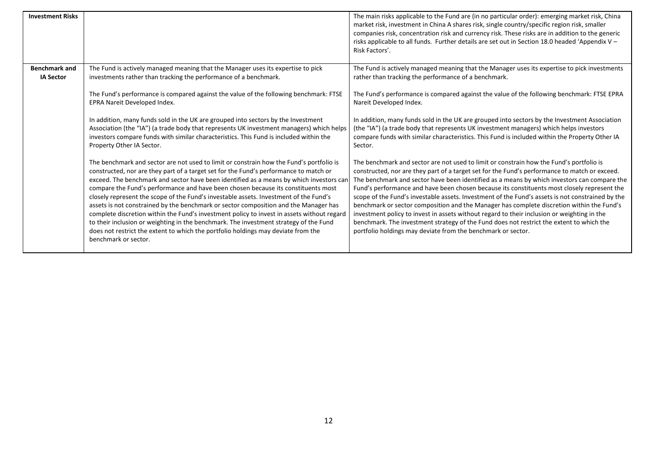| <b>Investment Risks</b>                  |                                                                                                                                                                                                                                                                                                                                                                                                                                                                                                                                                                                                                                                                                                                                                                                                                                                       | The main risks applicable to the Fund are (in no particular order): emerging market risk, China<br>market risk, investment in China A shares risk, single country/specific region risk, smaller<br>companies risk, concentration risk and currency risk. These risks are in addition to the generic<br>risks applicable to all funds. Further details are set out in Section 18.0 headed 'Appendix V $-$<br>Risk Factors'.                                                                                                                                                                                                                                                                                                                                                                                                                         |
|------------------------------------------|-------------------------------------------------------------------------------------------------------------------------------------------------------------------------------------------------------------------------------------------------------------------------------------------------------------------------------------------------------------------------------------------------------------------------------------------------------------------------------------------------------------------------------------------------------------------------------------------------------------------------------------------------------------------------------------------------------------------------------------------------------------------------------------------------------------------------------------------------------|----------------------------------------------------------------------------------------------------------------------------------------------------------------------------------------------------------------------------------------------------------------------------------------------------------------------------------------------------------------------------------------------------------------------------------------------------------------------------------------------------------------------------------------------------------------------------------------------------------------------------------------------------------------------------------------------------------------------------------------------------------------------------------------------------------------------------------------------------|
| <b>Benchmark and</b><br><b>IA Sector</b> | The Fund is actively managed meaning that the Manager uses its expertise to pick<br>investments rather than tracking the performance of a benchmark.                                                                                                                                                                                                                                                                                                                                                                                                                                                                                                                                                                                                                                                                                                  | The Fund is actively managed meaning that the Manager uses its expertise to pick investments<br>rather than tracking the performance of a benchmark.                                                                                                                                                                                                                                                                                                                                                                                                                                                                                                                                                                                                                                                                                               |
|                                          | The Fund's performance is compared against the value of the following benchmark: FTSE<br>EPRA Nareit Developed Index.                                                                                                                                                                                                                                                                                                                                                                                                                                                                                                                                                                                                                                                                                                                                 | The Fund's performance is compared against the value of the following benchmark: FTSE EPRA<br>Nareit Developed Index.                                                                                                                                                                                                                                                                                                                                                                                                                                                                                                                                                                                                                                                                                                                              |
|                                          | In addition, many funds sold in the UK are grouped into sectors by the Investment<br>Association (the "IA") (a trade body that represents UK investment managers) which helps<br>investors compare funds with similar characteristics. This Fund is included within the<br>Property Other IA Sector.                                                                                                                                                                                                                                                                                                                                                                                                                                                                                                                                                  | In addition, many funds sold in the UK are grouped into sectors by the Investment Association<br>(the "IA") (a trade body that represents UK investment managers) which helps investors<br>compare funds with similar characteristics. This Fund is included within the Property Other IA<br>Sector.                                                                                                                                                                                                                                                                                                                                                                                                                                                                                                                                               |
|                                          | The benchmark and sector are not used to limit or constrain how the Fund's portfolio is<br>constructed, nor are they part of a target set for the Fund's performance to match or<br>exceed. The benchmark and sector have been identified as a means by which investors car<br>compare the Fund's performance and have been chosen because its constituents most<br>closely represent the scope of the Fund's investable assets. Investment of the Fund's<br>assets is not constrained by the benchmark or sector composition and the Manager has<br>complete discretion within the Fund's investment policy to invest in assets without regard<br>to their inclusion or weighting in the benchmark. The investment strategy of the Fund<br>does not restrict the extent to which the portfolio holdings may deviate from the<br>benchmark or sector. | The benchmark and sector are not used to limit or constrain how the Fund's portfolio is<br>constructed, nor are they part of a target set for the Fund's performance to match or exceed.<br>The benchmark and sector have been identified as a means by which investors can compare the<br>Fund's performance and have been chosen because its constituents most closely represent the<br>scope of the Fund's investable assets. Investment of the Fund's assets is not constrained by the<br>benchmark or sector composition and the Manager has complete discretion within the Fund's<br>investment policy to invest in assets without regard to their inclusion or weighting in the<br>benchmark. The investment strategy of the Fund does not restrict the extent to which the<br>portfolio holdings may deviate from the benchmark or sector. |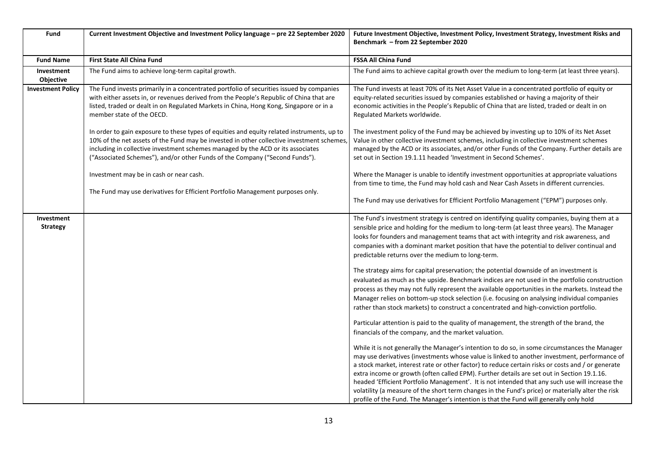| Fund                                 | Current Investment Objective and Investment Policy language - pre 22 September 2020                                                                                                                                                                                                                                                                       | Future Investment Objective, Investment Policy, Investment Strategy, Investment Risks and<br>Benchmark - from 22 September 2020                                                                                                                                                                                                                                                                                                                                                                                                                                                                                                                                                                    |
|--------------------------------------|-----------------------------------------------------------------------------------------------------------------------------------------------------------------------------------------------------------------------------------------------------------------------------------------------------------------------------------------------------------|----------------------------------------------------------------------------------------------------------------------------------------------------------------------------------------------------------------------------------------------------------------------------------------------------------------------------------------------------------------------------------------------------------------------------------------------------------------------------------------------------------------------------------------------------------------------------------------------------------------------------------------------------------------------------------------------------|
| <b>Fund Name</b>                     | <b>First State All China Fund</b>                                                                                                                                                                                                                                                                                                                         | <b>FSSA All China Fund</b>                                                                                                                                                                                                                                                                                                                                                                                                                                                                                                                                                                                                                                                                         |
| Investment<br>Objective              | The Fund aims to achieve long-term capital growth.                                                                                                                                                                                                                                                                                                        | The Fund aims to achieve capital growth over the medium to long-term (at least three years).                                                                                                                                                                                                                                                                                                                                                                                                                                                                                                                                                                                                       |
| <b>Investment Policy</b>             | The Fund invests primarily in a concentrated portfolio of securities issued by companies<br>with either assets in, or revenues derived from the People's Republic of China that are<br>listed, traded or dealt in on Regulated Markets in China, Hong Kong, Singapore or in a<br>member state of the OECD.                                                | The Fund invests at least 70% of its Net Asset Value in a concentrated portfolio of equity or<br>equity-related securities issued by companies established or having a majority of their<br>economic activities in the People's Republic of China that are listed, traded or dealt in on<br>Regulated Markets worldwide.                                                                                                                                                                                                                                                                                                                                                                           |
|                                      | In order to gain exposure to these types of equities and equity related instruments, up to<br>10% of the net assets of the Fund may be invested in other collective investment schemes,<br>including in collective investment schemes managed by the ACD or its associates<br>("Associated Schemes"), and/or other Funds of the Company ("Second Funds"). | The investment policy of the Fund may be achieved by investing up to 10% of its Net Asset<br>Value in other collective investment schemes, including in collective investment schemes<br>managed by the ACD or its associates, and/or other Funds of the Company. Further details are<br>set out in Section 19.1.11 headed 'Investment in Second Schemes'.                                                                                                                                                                                                                                                                                                                                         |
|                                      | Investment may be in cash or near cash.                                                                                                                                                                                                                                                                                                                   | Where the Manager is unable to identify investment opportunities at appropriate valuations<br>from time to time, the Fund may hold cash and Near Cash Assets in different currencies.                                                                                                                                                                                                                                                                                                                                                                                                                                                                                                              |
|                                      | The Fund may use derivatives for Efficient Portfolio Management purposes only.                                                                                                                                                                                                                                                                            | The Fund may use derivatives for Efficient Portfolio Management ("EPM") purposes only.                                                                                                                                                                                                                                                                                                                                                                                                                                                                                                                                                                                                             |
| <b>Investment</b><br><b>Strategy</b> |                                                                                                                                                                                                                                                                                                                                                           | The Fund's investment strategy is centred on identifying quality companies, buying them at a<br>sensible price and holding for the medium to long-term (at least three years). The Manager<br>looks for founders and management teams that act with integrity and risk awareness, and<br>companies with a dominant market position that have the potential to deliver continual and<br>predictable returns over the medium to long-term.                                                                                                                                                                                                                                                           |
|                                      |                                                                                                                                                                                                                                                                                                                                                           | The strategy aims for capital preservation; the potential downside of an investment is<br>evaluated as much as the upside. Benchmark indices are not used in the portfolio construction<br>process as they may not fully represent the available opportunities in the markets. Instead the<br>Manager relies on bottom-up stock selection (i.e. focusing on analysing individual companies<br>rather than stock markets) to construct a concentrated and high-conviction portfolio.                                                                                                                                                                                                                |
|                                      |                                                                                                                                                                                                                                                                                                                                                           | Particular attention is paid to the quality of management, the strength of the brand, the<br>financials of the company, and the market valuation.                                                                                                                                                                                                                                                                                                                                                                                                                                                                                                                                                  |
|                                      |                                                                                                                                                                                                                                                                                                                                                           | While it is not generally the Manager's intention to do so, in some circumstances the Manager<br>may use derivatives (investments whose value is linked to another investment, performance of<br>a stock market, interest rate or other factor) to reduce certain risks or costs and / or generate<br>extra income or growth (often called EPM). Further details are set out in Section 19.1.16.<br>headed 'Efficient Portfolio Management'. It is not intended that any such use will increase the<br>volatility (a measure of the short term changes in the Fund's price) or materially alter the risk<br>profile of the Fund. The Manager's intention is that the Fund will generally only hold |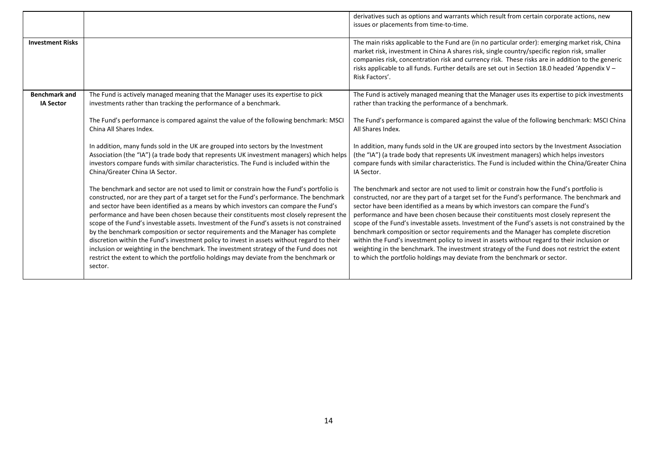|                                          |                                                                                                                                                                                                                                                                                                                                                                                                                                                                                                                                                                                                                                                                                                                                                                                                                                                   | derivatives such as options and warrants which result from certain corporate actions, new<br>issues or placements from time-to-time.                                                                                                                                                                                                                                                                                                                                                                                                                                                                                                                                                                                                                                                                                                           |
|------------------------------------------|---------------------------------------------------------------------------------------------------------------------------------------------------------------------------------------------------------------------------------------------------------------------------------------------------------------------------------------------------------------------------------------------------------------------------------------------------------------------------------------------------------------------------------------------------------------------------------------------------------------------------------------------------------------------------------------------------------------------------------------------------------------------------------------------------------------------------------------------------|------------------------------------------------------------------------------------------------------------------------------------------------------------------------------------------------------------------------------------------------------------------------------------------------------------------------------------------------------------------------------------------------------------------------------------------------------------------------------------------------------------------------------------------------------------------------------------------------------------------------------------------------------------------------------------------------------------------------------------------------------------------------------------------------------------------------------------------------|
| <b>Investment Risks</b>                  |                                                                                                                                                                                                                                                                                                                                                                                                                                                                                                                                                                                                                                                                                                                                                                                                                                                   | The main risks applicable to the Fund are (in no particular order): emerging market risk, China<br>market risk, investment in China A shares risk, single country/specific region risk, smaller<br>companies risk, concentration risk and currency risk. These risks are in addition to the generic<br>risks applicable to all funds. Further details are set out in Section 18.0 headed 'Appendix V -<br>Risk Factors'.                                                                                                                                                                                                                                                                                                                                                                                                                       |
| <b>Benchmark and</b><br><b>IA Sector</b> | The Fund is actively managed meaning that the Manager uses its expertise to pick<br>investments rather than tracking the performance of a benchmark.                                                                                                                                                                                                                                                                                                                                                                                                                                                                                                                                                                                                                                                                                              | The Fund is actively managed meaning that the Manager uses its expertise to pick investments<br>rather than tracking the performance of a benchmark.                                                                                                                                                                                                                                                                                                                                                                                                                                                                                                                                                                                                                                                                                           |
|                                          | The Fund's performance is compared against the value of the following benchmark: MSCI<br>China All Shares Index.                                                                                                                                                                                                                                                                                                                                                                                                                                                                                                                                                                                                                                                                                                                                  | The Fund's performance is compared against the value of the following benchmark: MSCI China<br>All Shares Index.                                                                                                                                                                                                                                                                                                                                                                                                                                                                                                                                                                                                                                                                                                                               |
|                                          | In addition, many funds sold in the UK are grouped into sectors by the Investment<br>Association (the "IA") (a trade body that represents UK investment managers) which helps<br>investors compare funds with similar characteristics. The Fund is included within the<br>China/Greater China IA Sector.                                                                                                                                                                                                                                                                                                                                                                                                                                                                                                                                          | In addition, many funds sold in the UK are grouped into sectors by the Investment Association<br>(the "IA") (a trade body that represents UK investment managers) which helps investors<br>compare funds with similar characteristics. The Fund is included within the China/Greater China<br>IA Sector.                                                                                                                                                                                                                                                                                                                                                                                                                                                                                                                                       |
|                                          | The benchmark and sector are not used to limit or constrain how the Fund's portfolio is<br>constructed, nor are they part of a target set for the Fund's performance. The benchmark<br>and sector have been identified as a means by which investors can compare the Fund's<br>performance and have been chosen because their constituents most closely represent the<br>scope of the Fund's investable assets. Investment of the Fund's assets is not constrained<br>by the benchmark composition or sector requirements and the Manager has complete<br>discretion within the Fund's investment policy to invest in assets without regard to their<br>inclusion or weighting in the benchmark. The investment strategy of the Fund does not<br>restrict the extent to which the portfolio holdings may deviate from the benchmark or<br>sector. | The benchmark and sector are not used to limit or constrain how the Fund's portfolio is<br>constructed, nor are they part of a target set for the Fund's performance. The benchmark and<br>sector have been identified as a means by which investors can compare the Fund's<br>performance and have been chosen because their constituents most closely represent the<br>scope of the Fund's investable assets. Investment of the Fund's assets is not constrained by the<br>benchmark composition or sector requirements and the Manager has complete discretion<br>within the Fund's investment policy to invest in assets without regard to their inclusion or<br>weighting in the benchmark. The investment strategy of the Fund does not restrict the extent<br>to which the portfolio holdings may deviate from the benchmark or sector. |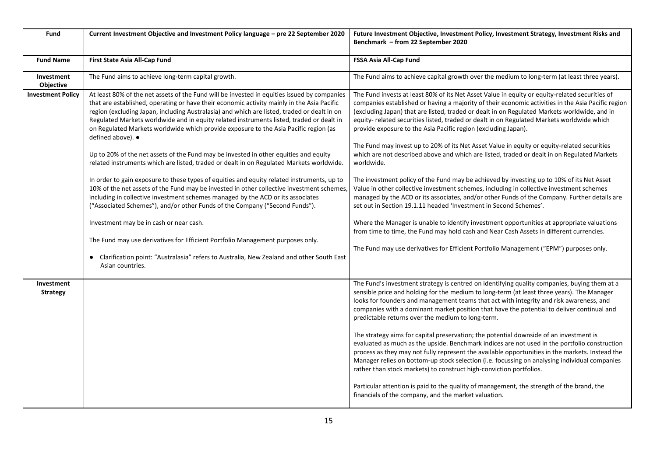| Fund                          | Current Investment Objective and Investment Policy language - pre 22 September 2020                                                                                                                                                                                                                                                                                                                                                                                                                                                                                                                                                                                                                                                                                                                                                                                                                                                                                                                                                                                                                                                                                                                                                                                                                         | Future Investment Objective, Investment Policy, Investment Strategy, Investment Risks and<br>Benchmark - from 22 September 2020                                                                                                                                                                                                                                                                                                                                                                                                                                                                                                                                                                                                                                                                                                                                                                                                                                                                                                                                                                                                                                                                                                                                                                                                  |
|-------------------------------|-------------------------------------------------------------------------------------------------------------------------------------------------------------------------------------------------------------------------------------------------------------------------------------------------------------------------------------------------------------------------------------------------------------------------------------------------------------------------------------------------------------------------------------------------------------------------------------------------------------------------------------------------------------------------------------------------------------------------------------------------------------------------------------------------------------------------------------------------------------------------------------------------------------------------------------------------------------------------------------------------------------------------------------------------------------------------------------------------------------------------------------------------------------------------------------------------------------------------------------------------------------------------------------------------------------|----------------------------------------------------------------------------------------------------------------------------------------------------------------------------------------------------------------------------------------------------------------------------------------------------------------------------------------------------------------------------------------------------------------------------------------------------------------------------------------------------------------------------------------------------------------------------------------------------------------------------------------------------------------------------------------------------------------------------------------------------------------------------------------------------------------------------------------------------------------------------------------------------------------------------------------------------------------------------------------------------------------------------------------------------------------------------------------------------------------------------------------------------------------------------------------------------------------------------------------------------------------------------------------------------------------------------------|
| <b>Fund Name</b>              | First State Asia All-Cap Fund                                                                                                                                                                                                                                                                                                                                                                                                                                                                                                                                                                                                                                                                                                                                                                                                                                                                                                                                                                                                                                                                                                                                                                                                                                                                               | FSSA Asia All-Cap Fund                                                                                                                                                                                                                                                                                                                                                                                                                                                                                                                                                                                                                                                                                                                                                                                                                                                                                                                                                                                                                                                                                                                                                                                                                                                                                                           |
| Investment<br>Objective       | The Fund aims to achieve long-term capital growth.                                                                                                                                                                                                                                                                                                                                                                                                                                                                                                                                                                                                                                                                                                                                                                                                                                                                                                                                                                                                                                                                                                                                                                                                                                                          | The Fund aims to achieve capital growth over the medium to long-term (at least three years).                                                                                                                                                                                                                                                                                                                                                                                                                                                                                                                                                                                                                                                                                                                                                                                                                                                                                                                                                                                                                                                                                                                                                                                                                                     |
| <b>Investment Policy</b>      | At least 80% of the net assets of the Fund will be invested in equities issued by companies<br>that are established, operating or have their economic activity mainly in the Asia Pacific<br>region (excluding Japan, including Australasia) and which are listed, traded or dealt in on<br>Regulated Markets worldwide and in equity related instruments listed, traded or dealt in<br>on Regulated Markets worldwide which provide exposure to the Asia Pacific region (as<br>defined above). ●<br>Up to 20% of the net assets of the Fund may be invested in other equities and equity<br>related instruments which are listed, traded or dealt in on Regulated Markets worldwide.<br>In order to gain exposure to these types of equities and equity related instruments, up to<br>10% of the net assets of the Fund may be invested in other collective investment schemes<br>including in collective investment schemes managed by the ACD or its associates<br>("Associated Schemes"), and/or other Funds of the Company ("Second Funds").<br>Investment may be in cash or near cash.<br>The Fund may use derivatives for Efficient Portfolio Management purposes only.<br>Clarification point: "Australasia" refers to Australia, New Zealand and other South East<br>$\bullet$<br>Asian countries. | The Fund invests at least 80% of its Net Asset Value in equity or equity-related securities of<br>companies established or having a majority of their economic activities in the Asia Pacific region<br>(excluding Japan) that are listed, traded or dealt in on Regulated Markets worldwide, and in<br>equity-related securities listed, traded or dealt in on Regulated Markets worldwide which<br>provide exposure to the Asia Pacific region (excluding Japan).<br>The Fund may invest up to 20% of its Net Asset Value in equity or equity-related securities<br>which are not described above and which are listed, traded or dealt in on Regulated Markets<br>worldwide.<br>The investment policy of the Fund may be achieved by investing up to 10% of its Net Asset<br>Value in other collective investment schemes, including in collective investment schemes<br>managed by the ACD or its associates, and/or other Funds of the Company. Further details are<br>set out in Section 19.1.11 headed 'Investment in Second Schemes'.<br>Where the Manager is unable to identify investment opportunities at appropriate valuations<br>from time to time, the Fund may hold cash and Near Cash Assets in different currencies.<br>The Fund may use derivatives for Efficient Portfolio Management ("EPM") purposes only. |
| Investment<br><b>Strategy</b> |                                                                                                                                                                                                                                                                                                                                                                                                                                                                                                                                                                                                                                                                                                                                                                                                                                                                                                                                                                                                                                                                                                                                                                                                                                                                                                             | The Fund's investment strategy is centred on identifying quality companies, buying them at a<br>sensible price and holding for the medium to long-term (at least three years). The Manager<br>looks for founders and management teams that act with integrity and risk awareness, and<br>companies with a dominant market position that have the potential to deliver continual and<br>predictable returns over the medium to long-term.<br>The strategy aims for capital preservation; the potential downside of an investment is<br>evaluated as much as the upside. Benchmark indices are not used in the portfolio construction<br>process as they may not fully represent the available opportunities in the markets. Instead the<br>Manager relies on bottom-up stock selection (i.e. focussing on analysing individual companies<br>rather than stock markets) to construct high-conviction portfolios.<br>Particular attention is paid to the quality of management, the strength of the brand, the<br>financials of the company, and the market valuation.                                                                                                                                                                                                                                                              |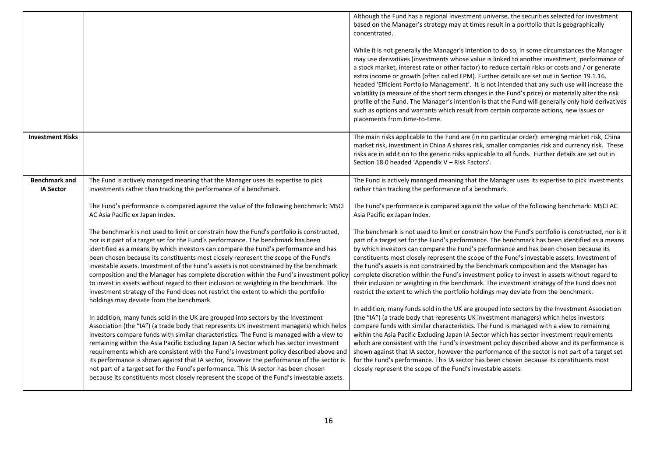|                                          |                                                                                                                                                                                                                                                                                                                                                                                                                                                                                                                                                                                                                                                                                                                                                                                                                                                                                                                                                                                                                                                                                                                                                                                                                                                                                                                                                                                                                                                                                                                                                                                                                                                                                                                                                                                                                          | Although the Fund has a regional investment universe, the securities selected for investment<br>based on the Manager's strategy may at times result in a portfolio that is geographically<br>concentrated.<br>While it is not generally the Manager's intention to do so, in some circumstances the Manager<br>may use derivatives (investments whose value is linked to another investment, performance of<br>a stock market, interest rate or other factor) to reduce certain risks or costs and / or generate<br>extra income or growth (often called EPM). Further details are set out in Section 19.1.16.<br>headed 'Efficient Portfolio Management'. It is not intended that any such use will increase the<br>volatility (a measure of the short term changes in the Fund's price) or materially alter the risk<br>profile of the Fund. The Manager's intention is that the Fund will generally only hold derivatives<br>such as options and warrants which result from certain corporate actions, new issues or<br>placements from time-to-time.                                                                                                                                                                                                                                                                                                                                                                                                                                                                                                                                                                                                                                                                                                                                                              |
|------------------------------------------|--------------------------------------------------------------------------------------------------------------------------------------------------------------------------------------------------------------------------------------------------------------------------------------------------------------------------------------------------------------------------------------------------------------------------------------------------------------------------------------------------------------------------------------------------------------------------------------------------------------------------------------------------------------------------------------------------------------------------------------------------------------------------------------------------------------------------------------------------------------------------------------------------------------------------------------------------------------------------------------------------------------------------------------------------------------------------------------------------------------------------------------------------------------------------------------------------------------------------------------------------------------------------------------------------------------------------------------------------------------------------------------------------------------------------------------------------------------------------------------------------------------------------------------------------------------------------------------------------------------------------------------------------------------------------------------------------------------------------------------------------------------------------------------------------------------------------|-----------------------------------------------------------------------------------------------------------------------------------------------------------------------------------------------------------------------------------------------------------------------------------------------------------------------------------------------------------------------------------------------------------------------------------------------------------------------------------------------------------------------------------------------------------------------------------------------------------------------------------------------------------------------------------------------------------------------------------------------------------------------------------------------------------------------------------------------------------------------------------------------------------------------------------------------------------------------------------------------------------------------------------------------------------------------------------------------------------------------------------------------------------------------------------------------------------------------------------------------------------------------------------------------------------------------------------------------------------------------------------------------------------------------------------------------------------------------------------------------------------------------------------------------------------------------------------------------------------------------------------------------------------------------------------------------------------------------------------------------------------------------------------------------------------------------|
| <b>Investment Risks</b>                  |                                                                                                                                                                                                                                                                                                                                                                                                                                                                                                                                                                                                                                                                                                                                                                                                                                                                                                                                                                                                                                                                                                                                                                                                                                                                                                                                                                                                                                                                                                                                                                                                                                                                                                                                                                                                                          | The main risks applicable to the Fund are (in no particular order): emerging market risk, China<br>market risk, investment in China A shares risk, smaller companies risk and currency risk. These<br>risks are in addition to the generic risks applicable to all funds. Further details are set out in<br>Section 18.0 headed 'Appendix V - Risk Factors'.                                                                                                                                                                                                                                                                                                                                                                                                                                                                                                                                                                                                                                                                                                                                                                                                                                                                                                                                                                                                                                                                                                                                                                                                                                                                                                                                                                                                                                                          |
| <b>Benchmark and</b><br><b>IA Sector</b> | The Fund is actively managed meaning that the Manager uses its expertise to pick<br>investments rather than tracking the performance of a benchmark.<br>The Fund's performance is compared against the value of the following benchmark: MSCI<br>AC Asia Pacific ex Japan Index.<br>The benchmark is not used to limit or constrain how the Fund's portfolio is constructed,<br>nor is it part of a target set for the Fund's performance. The benchmark has been<br>identified as a means by which investors can compare the Fund's performance and has<br>been chosen because its constituents most closely represent the scope of the Fund's<br>investable assets. Investment of the Fund's assets is not constrained by the benchmark<br>composition and the Manager has complete discretion within the Fund's investment policy<br>to invest in assets without regard to their inclusion or weighting in the benchmark. The<br>investment strategy of the Fund does not restrict the extent to which the portfolio<br>holdings may deviate from the benchmark.<br>In addition, many funds sold in the UK are grouped into sectors by the Investment<br>Association (the "IA") (a trade body that represents UK investment managers) which helps<br>investors compare funds with similar characteristics. The Fund is managed with a view to<br>remaining within the Asia Pacific Excluding Japan IA Sector which has sector investment<br>requirements which are consistent with the Fund's investment policy described above and<br>its performance is shown against that IA sector, however the performance of the sector is<br>not part of a target set for the Fund's performance. This IA sector has been chosen<br>because its constituents most closely represent the scope of the Fund's investable assets. | The Fund is actively managed meaning that the Manager uses its expertise to pick investments<br>rather than tracking the performance of a benchmark.<br>The Fund's performance is compared against the value of the following benchmark: MSCI AC<br>Asia Pacific ex Japan Index.<br>The benchmark is not used to limit or constrain how the Fund's portfolio is constructed, nor is it<br>part of a target set for the Fund's performance. The benchmark has been identified as a means<br>by which investors can compare the Fund's performance and has been chosen because its<br>constituents most closely represent the scope of the Fund's investable assets. Investment of<br>the Fund's assets is not constrained by the benchmark composition and the Manager has<br>complete discretion within the Fund's investment policy to invest in assets without regard to<br>their inclusion or weighting in the benchmark. The investment strategy of the Fund does not<br>restrict the extent to which the portfolio holdings may deviate from the benchmark.<br>In addition, many funds sold in the UK are grouped into sectors by the Investment Association<br>(the "IA") (a trade body that represents UK investment managers) which helps investors<br>compare funds with similar characteristics. The Fund is managed with a view to remaining<br>within the Asia Pacific Excluding Japan IA Sector which has sector investment requirements<br>which are consistent with the Fund's investment policy described above and its performance is<br>shown against that IA sector, however the performance of the sector is not part of a target set<br>for the Fund's performance. This IA sector has been chosen because its constituents most<br>closely represent the scope of the Fund's investable assets. |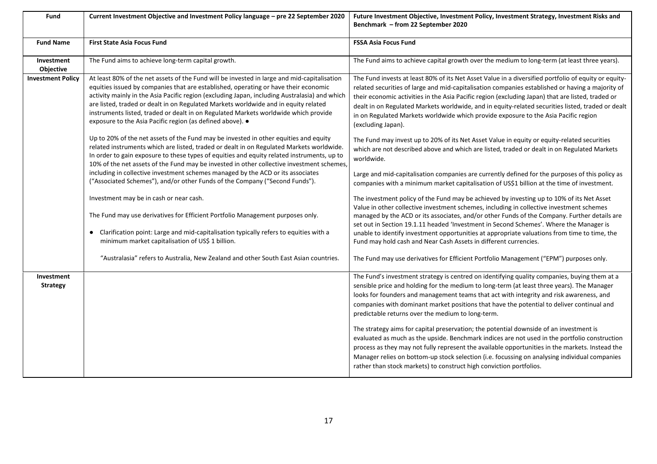| Fund                          | Current Investment Objective and Investment Policy language - pre 22 September 2020                                                                                                                                                                                                                                                                                                                                                                                                                                                    | Future Investment Objective, Investment Policy, Investment Strategy, Investment Risks and<br>Benchmark - from 22 September 2020                                                                                                                                                                                                                                                                                                                                                                                                 |
|-------------------------------|----------------------------------------------------------------------------------------------------------------------------------------------------------------------------------------------------------------------------------------------------------------------------------------------------------------------------------------------------------------------------------------------------------------------------------------------------------------------------------------------------------------------------------------|---------------------------------------------------------------------------------------------------------------------------------------------------------------------------------------------------------------------------------------------------------------------------------------------------------------------------------------------------------------------------------------------------------------------------------------------------------------------------------------------------------------------------------|
| <b>Fund Name</b>              | <b>First State Asia Focus Fund</b>                                                                                                                                                                                                                                                                                                                                                                                                                                                                                                     | <b>FSSA Asia Focus Fund</b>                                                                                                                                                                                                                                                                                                                                                                                                                                                                                                     |
| Investment<br>Objective       | The Fund aims to achieve long-term capital growth.                                                                                                                                                                                                                                                                                                                                                                                                                                                                                     | The Fund aims to achieve capital growth over the medium to long-term (at least three years).                                                                                                                                                                                                                                                                                                                                                                                                                                    |
| <b>Investment Policy</b>      | At least 80% of the net assets of the Fund will be invested in large and mid-capitalisation<br>equities issued by companies that are established, operating or have their economic<br>activity mainly in the Asia Pacific region (excluding Japan, including Australasia) and which<br>are listed, traded or dealt in on Regulated Markets worldwide and in equity related<br>instruments listed, traded or dealt in on Regulated Markets worldwide which provide<br>exposure to the Asia Pacific region (as defined above). $\bullet$ | The Fund invests at least 80% of its Net Asset Value in a diversified portfolio of equity or equity-<br>related securities of large and mid-capitalisation companies established or having a majority of<br>their economic activities in the Asia Pacific region (excluding Japan) that are listed, traded or<br>dealt in on Regulated Markets worldwide, and in equity-related securities listed, traded or dealt<br>in on Regulated Markets worldwide which provide exposure to the Asia Pacific region<br>(excluding Japan). |
|                               | Up to 20% of the net assets of the Fund may be invested in other equities and equity<br>related instruments which are listed, traded or dealt in on Regulated Markets worldwide.<br>In order to gain exposure to these types of equities and equity related instruments, up to<br>10% of the net assets of the Fund may be invested in other collective investment schemes,                                                                                                                                                            | The Fund may invest up to 20% of its Net Asset Value in equity or equity-related securities<br>which are not described above and which are listed, traded or dealt in on Regulated Markets<br>worldwide.                                                                                                                                                                                                                                                                                                                        |
|                               | including in collective investment schemes managed by the ACD or its associates<br>("Associated Schemes"), and/or other Funds of the Company ("Second Funds").                                                                                                                                                                                                                                                                                                                                                                         | Large and mid-capitalisation companies are currently defined for the purposes of this policy as<br>companies with a minimum market capitalisation of US\$1 billion at the time of investment.                                                                                                                                                                                                                                                                                                                                   |
|                               | Investment may be in cash or near cash.<br>The Fund may use derivatives for Efficient Portfolio Management purposes only.                                                                                                                                                                                                                                                                                                                                                                                                              | The investment policy of the Fund may be achieved by investing up to 10% of its Net Asset<br>Value in other collective investment schemes, including in collective investment schemes<br>managed by the ACD or its associates, and/or other Funds of the Company. Further details are<br>set out in Section 19.1.11 headed 'Investment in Second Schemes'. Where the Manager is                                                                                                                                                 |
|                               | Clarification point: Large and mid-capitalisation typically refers to equities with a<br>$\bullet$<br>minimum market capitalisation of US\$ 1 billion.                                                                                                                                                                                                                                                                                                                                                                                 | unable to identify investment opportunities at appropriate valuations from time to time, the<br>Fund may hold cash and Near Cash Assets in different currencies.                                                                                                                                                                                                                                                                                                                                                                |
|                               | "Australasia" refers to Australia, New Zealand and other South East Asian countries.                                                                                                                                                                                                                                                                                                                                                                                                                                                   | The Fund may use derivatives for Efficient Portfolio Management ("EPM") purposes only.                                                                                                                                                                                                                                                                                                                                                                                                                                          |
| Investment<br><b>Strategy</b> |                                                                                                                                                                                                                                                                                                                                                                                                                                                                                                                                        | The Fund's investment strategy is centred on identifying quality companies, buying them at a<br>sensible price and holding for the medium to long-term (at least three years). The Manager<br>looks for founders and management teams that act with integrity and risk awareness, and<br>companies with dominant market positions that have the potential to deliver continual and<br>predictable returns over the medium to long-term.                                                                                         |
|                               |                                                                                                                                                                                                                                                                                                                                                                                                                                                                                                                                        | The strategy aims for capital preservation; the potential downside of an investment is<br>evaluated as much as the upside. Benchmark indices are not used in the portfolio construction<br>process as they may not fully represent the available opportunities in the markets. Instead the<br>Manager relies on bottom-up stock selection (i.e. focussing on analysing individual companies<br>rather than stock markets) to construct high conviction portfolios.                                                              |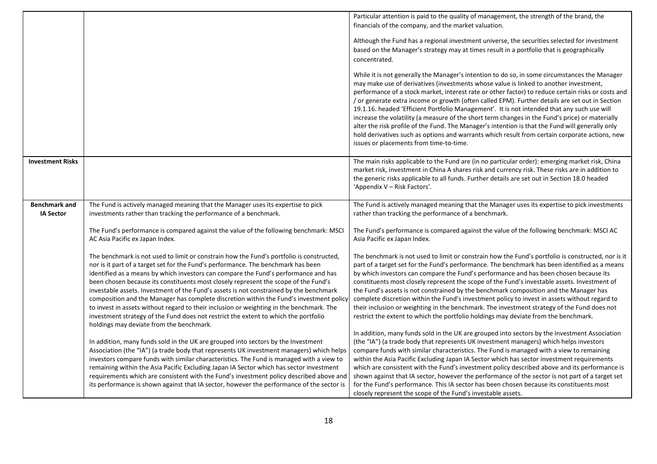|                                          |                                                                                                                                                                                                                                                                                                                                                                                                                                                                                                                                                                                                                                                                                                                                                                                 | Particular attention is paid to the quality of management, the strength of the brand, the                                                                                                                                                                                                                                                                                                                                                                                                                                                                                                                                                                                                                                                                                                                                                          |
|------------------------------------------|---------------------------------------------------------------------------------------------------------------------------------------------------------------------------------------------------------------------------------------------------------------------------------------------------------------------------------------------------------------------------------------------------------------------------------------------------------------------------------------------------------------------------------------------------------------------------------------------------------------------------------------------------------------------------------------------------------------------------------------------------------------------------------|----------------------------------------------------------------------------------------------------------------------------------------------------------------------------------------------------------------------------------------------------------------------------------------------------------------------------------------------------------------------------------------------------------------------------------------------------------------------------------------------------------------------------------------------------------------------------------------------------------------------------------------------------------------------------------------------------------------------------------------------------------------------------------------------------------------------------------------------------|
|                                          |                                                                                                                                                                                                                                                                                                                                                                                                                                                                                                                                                                                                                                                                                                                                                                                 | financials of the company, and the market valuation.                                                                                                                                                                                                                                                                                                                                                                                                                                                                                                                                                                                                                                                                                                                                                                                               |
|                                          |                                                                                                                                                                                                                                                                                                                                                                                                                                                                                                                                                                                                                                                                                                                                                                                 | Although the Fund has a regional investment universe, the securities selected for investment<br>based on the Manager's strategy may at times result in a portfolio that is geographically<br>concentrated.                                                                                                                                                                                                                                                                                                                                                                                                                                                                                                                                                                                                                                         |
|                                          |                                                                                                                                                                                                                                                                                                                                                                                                                                                                                                                                                                                                                                                                                                                                                                                 | While it is not generally the Manager's intention to do so, in some circumstances the Manager<br>may make use of derivatives (investments whose value is linked to another investment,<br>performance of a stock market, interest rate or other factor) to reduce certain risks or costs and<br>or generate extra income or growth (often called EPM). Further details are set out in Section /<br>19.1.16. headed 'Efficient Portfolio Management'. It is not intended that any such use will<br>increase the volatility (a measure of the short term changes in the Fund's price) or materially<br>alter the risk profile of the Fund. The Manager's intention is that the Fund will generally only<br>hold derivatives such as options and warrants which result from certain corporate actions, new<br>issues or placements from time-to-time. |
| <b>Investment Risks</b>                  |                                                                                                                                                                                                                                                                                                                                                                                                                                                                                                                                                                                                                                                                                                                                                                                 | The main risks applicable to the Fund are (in no particular order): emerging market risk, China<br>market risk, investment in China A shares risk and currency risk. These risks are in addition to<br>the generic risks applicable to all funds. Further details are set out in Section 18.0 headed<br>'Appendix V – Risk Factors'.                                                                                                                                                                                                                                                                                                                                                                                                                                                                                                               |
| <b>Benchmark and</b><br><b>IA Sector</b> | The Fund is actively managed meaning that the Manager uses its expertise to pick<br>investments rather than tracking the performance of a benchmark.                                                                                                                                                                                                                                                                                                                                                                                                                                                                                                                                                                                                                            | The Fund is actively managed meaning that the Manager uses its expertise to pick investments<br>rather than tracking the performance of a benchmark.                                                                                                                                                                                                                                                                                                                                                                                                                                                                                                                                                                                                                                                                                               |
|                                          |                                                                                                                                                                                                                                                                                                                                                                                                                                                                                                                                                                                                                                                                                                                                                                                 |                                                                                                                                                                                                                                                                                                                                                                                                                                                                                                                                                                                                                                                                                                                                                                                                                                                    |
|                                          | The Fund's performance is compared against the value of the following benchmark: MSCI<br>AC Asia Pacific ex Japan Index.                                                                                                                                                                                                                                                                                                                                                                                                                                                                                                                                                                                                                                                        | The Fund's performance is compared against the value of the following benchmark: MSCI AC<br>Asia Pacific ex Japan Index.                                                                                                                                                                                                                                                                                                                                                                                                                                                                                                                                                                                                                                                                                                                           |
|                                          | The benchmark is not used to limit or constrain how the Fund's portfolio is constructed,<br>nor is it part of a target set for the Fund's performance. The benchmark has been<br>identified as a means by which investors can compare the Fund's performance and has<br>been chosen because its constituents most closely represent the scope of the Fund's<br>investable assets. Investment of the Fund's assets is not constrained by the benchmark<br>composition and the Manager has complete discretion within the Fund's investment policy<br>to invest in assets without regard to their inclusion or weighting in the benchmark. The<br>investment strategy of the Fund does not restrict the extent to which the portfolio<br>holdings may deviate from the benchmark. | The benchmark is not used to limit or constrain how the Fund's portfolio is constructed, nor is it<br>part of a target set for the Fund's performance. The benchmark has been identified as a means<br>by which investors can compare the Fund's performance and has been chosen because its<br>constituents most closely represent the scope of the Fund's investable assets. Investment of<br>the Fund's assets is not constrained by the benchmark composition and the Manager has<br>complete discretion within the Fund's investment policy to invest in assets without regard to<br>their inclusion or weighting in the benchmark. The investment strategy of the Fund does not<br>restrict the extent to which the portfolio holdings may deviate from the benchmark.                                                                       |
|                                          | In addition, many funds sold in the UK are grouped into sectors by the Investment<br>Association (the "IA") (a trade body that represents UK investment managers) which helps<br>investors compare funds with similar characteristics. The Fund is managed with a view to<br>remaining within the Asia Pacific Excluding Japan IA Sector which has sector investment<br>requirements which are consistent with the Fund's investment policy described above and<br>its performance is shown against that IA sector, however the performance of the sector is                                                                                                                                                                                                                    | In addition, many funds sold in the UK are grouped into sectors by the Investment Association<br>(the "IA") (a trade body that represents UK investment managers) which helps investors<br>compare funds with similar characteristics. The Fund is managed with a view to remaining<br>within the Asia Pacific Excluding Japan IA Sector which has sector investment requirements<br>which are consistent with the Fund's investment policy described above and its performance is<br>shown against that IA sector, however the performance of the sector is not part of a target set<br>for the Fund's performance. This IA sector has been chosen because its constituents most<br>closely represent the scope of the Fund's investable assets.                                                                                                  |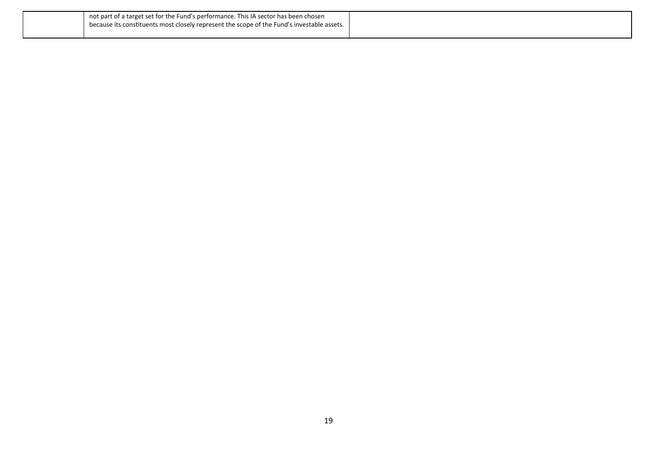| not part of a target set for the Fund's performance. This IA sector has been chosen        |  |
|--------------------------------------------------------------------------------------------|--|
| because its constituents most closely represent the scope of the Fund's investable assets. |  |
|                                                                                            |  |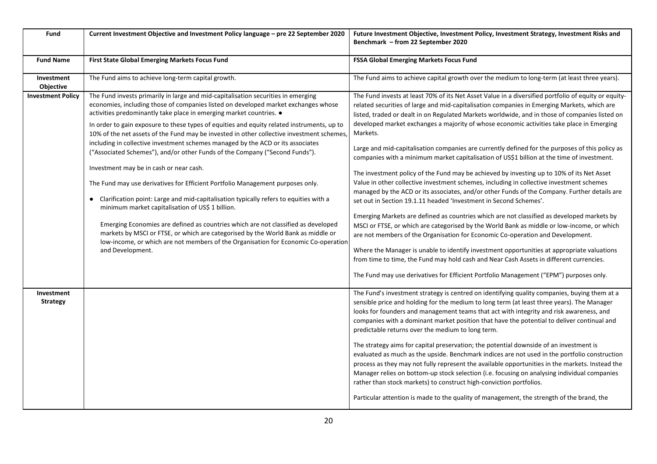| Fund                          | Current Investment Objective and Investment Policy language - pre 22 September 2020                                                                                                                                                                                                                                                                                                                                                                                                                                                                                                                                                                                                                                                                                                                                                                                                                                                                                                                                                                                                                                                                                        | Future Investment Objective, Investment Policy, Investment Strategy, Investment Risks and<br>Benchmark - from 22 September 2020                                                                                                                                                                                                                                                                                                                                                                                                                                                                                                                                                                                                                                                                                                                                                                                                                                                                                                                                                                                                                                                                                                                                                                                                                                                                                                                                                                                                                |
|-------------------------------|----------------------------------------------------------------------------------------------------------------------------------------------------------------------------------------------------------------------------------------------------------------------------------------------------------------------------------------------------------------------------------------------------------------------------------------------------------------------------------------------------------------------------------------------------------------------------------------------------------------------------------------------------------------------------------------------------------------------------------------------------------------------------------------------------------------------------------------------------------------------------------------------------------------------------------------------------------------------------------------------------------------------------------------------------------------------------------------------------------------------------------------------------------------------------|------------------------------------------------------------------------------------------------------------------------------------------------------------------------------------------------------------------------------------------------------------------------------------------------------------------------------------------------------------------------------------------------------------------------------------------------------------------------------------------------------------------------------------------------------------------------------------------------------------------------------------------------------------------------------------------------------------------------------------------------------------------------------------------------------------------------------------------------------------------------------------------------------------------------------------------------------------------------------------------------------------------------------------------------------------------------------------------------------------------------------------------------------------------------------------------------------------------------------------------------------------------------------------------------------------------------------------------------------------------------------------------------------------------------------------------------------------------------------------------------------------------------------------------------|
| <b>Fund Name</b>              | First State Global Emerging Markets Focus Fund                                                                                                                                                                                                                                                                                                                                                                                                                                                                                                                                                                                                                                                                                                                                                                                                                                                                                                                                                                                                                                                                                                                             | <b>FSSA Global Emerging Markets Focus Fund</b>                                                                                                                                                                                                                                                                                                                                                                                                                                                                                                                                                                                                                                                                                                                                                                                                                                                                                                                                                                                                                                                                                                                                                                                                                                                                                                                                                                                                                                                                                                 |
| Investment<br>Objective       | The Fund aims to achieve long-term capital growth.                                                                                                                                                                                                                                                                                                                                                                                                                                                                                                                                                                                                                                                                                                                                                                                                                                                                                                                                                                                                                                                                                                                         | The Fund aims to achieve capital growth over the medium to long-term (at least three years).                                                                                                                                                                                                                                                                                                                                                                                                                                                                                                                                                                                                                                                                                                                                                                                                                                                                                                                                                                                                                                                                                                                                                                                                                                                                                                                                                                                                                                                   |
| <b>Investment Policy</b>      | The Fund invests primarily in large and mid-capitalisation securities in emerging<br>economies, including those of companies listed on developed market exchanges whose<br>activities predominantly take place in emerging market countries. •<br>In order to gain exposure to these types of equities and equity related instruments, up to<br>10% of the net assets of the Fund may be invested in other collective investment schemes,<br>including in collective investment schemes managed by the ACD or its associates<br>("Associated Schemes"), and/or other Funds of the Company ("Second Funds").<br>Investment may be in cash or near cash.<br>The Fund may use derivatives for Efficient Portfolio Management purposes only.<br>• Clarification point: Large and mid-capitalisation typically refers to equities with a<br>minimum market capitalisation of US\$ 1 billion.<br>Emerging Economies are defined as countries which are not classified as developed<br>markets by MSCI or FTSE, or which are categorised by the World Bank as middle or<br>low-income, or which are not members of the Organisation for Economic Co-operation<br>and Development. | The Fund invests at least 70% of its Net Asset Value in a diversified portfolio of equity or equity-<br>related securities of large and mid-capitalisation companies in Emerging Markets, which are<br>listed, traded or dealt in on Regulated Markets worldwide, and in those of companies listed on<br>developed market exchanges a majority of whose economic activities take place in Emerging<br>Markets.<br>Large and mid-capitalisation companies are currently defined for the purposes of this policy as<br>companies with a minimum market capitalisation of US\$1 billion at the time of investment.<br>The investment policy of the Fund may be achieved by investing up to 10% of its Net Asset<br>Value in other collective investment schemes, including in collective investment schemes<br>managed by the ACD or its associates, and/or other Funds of the Company. Further details are<br>set out in Section 19.1.11 headed 'Investment in Second Schemes'.<br>Emerging Markets are defined as countries which are not classified as developed markets by<br>MSCI or FTSE, or which are categorised by the World Bank as middle or low-income, or which<br>are not members of the Organisation for Economic Co-operation and Development.<br>Where the Manager is unable to identify investment opportunities at appropriate valuations<br>from time to time, the Fund may hold cash and Near Cash Assets in different currencies.<br>The Fund may use derivatives for Efficient Portfolio Management ("EPM") purposes only. |
| Investment<br><b>Strategy</b> |                                                                                                                                                                                                                                                                                                                                                                                                                                                                                                                                                                                                                                                                                                                                                                                                                                                                                                                                                                                                                                                                                                                                                                            | The Fund's investment strategy is centred on identifying quality companies, buying them at a<br>sensible price and holding for the medium to long term (at least three years). The Manager<br>looks for founders and management teams that act with integrity and risk awareness, and<br>companies with a dominant market position that have the potential to deliver continual and<br>predictable returns over the medium to long term.<br>The strategy aims for capital preservation; the potential downside of an investment is<br>evaluated as much as the upside. Benchmark indices are not used in the portfolio construction<br>process as they may not fully represent the available opportunities in the markets. Instead the<br>Manager relies on bottom-up stock selection (i.e. focusing on analysing individual companies<br>rather than stock markets) to construct high-conviction portfolios.<br>Particular attention is made to the quality of management, the strength of the brand, the                                                                                                                                                                                                                                                                                                                                                                                                                                                                                                                                     |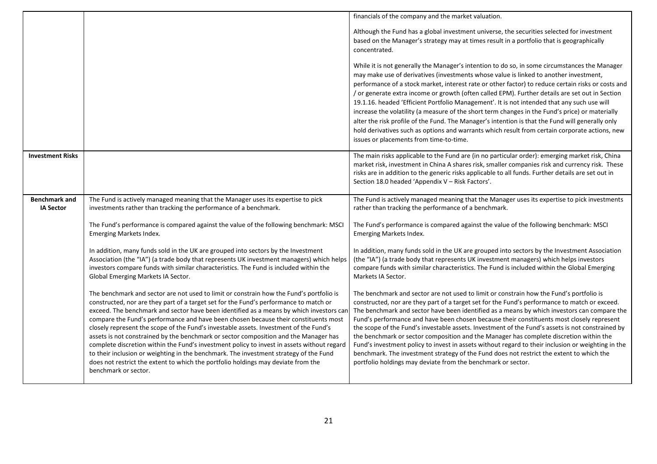|                                          |                                                                                                                                                                                                                                                                                                                                                                                                                                                                                                                                                                                                                                                                                                                                                                                                                                                         | financials of the company and the market valuation.                                                                                                                                                                                                                                                                                                                                                                                                                                                                                                                                                                                                                                                                                                                                                                                                  |
|------------------------------------------|---------------------------------------------------------------------------------------------------------------------------------------------------------------------------------------------------------------------------------------------------------------------------------------------------------------------------------------------------------------------------------------------------------------------------------------------------------------------------------------------------------------------------------------------------------------------------------------------------------------------------------------------------------------------------------------------------------------------------------------------------------------------------------------------------------------------------------------------------------|------------------------------------------------------------------------------------------------------------------------------------------------------------------------------------------------------------------------------------------------------------------------------------------------------------------------------------------------------------------------------------------------------------------------------------------------------------------------------------------------------------------------------------------------------------------------------------------------------------------------------------------------------------------------------------------------------------------------------------------------------------------------------------------------------------------------------------------------------|
|                                          |                                                                                                                                                                                                                                                                                                                                                                                                                                                                                                                                                                                                                                                                                                                                                                                                                                                         | Although the Fund has a global investment universe, the securities selected for investment<br>based on the Manager's strategy may at times result in a portfolio that is geographically<br>concentrated.                                                                                                                                                                                                                                                                                                                                                                                                                                                                                                                                                                                                                                             |
|                                          |                                                                                                                                                                                                                                                                                                                                                                                                                                                                                                                                                                                                                                                                                                                                                                                                                                                         | While it is not generally the Manager's intention to do so, in some circumstances the Manager<br>may make use of derivatives (investments whose value is linked to another investment,<br>performance of a stock market, interest rate or other factor) to reduce certain risks or costs and<br>/ or generate extra income or growth (often called EPM). Further details are set out in Section<br>19.1.16. headed 'Efficient Portfolio Management'. It is not intended that any such use will<br>increase the volatility (a measure of the short term changes in the Fund's price) or materially<br>alter the risk profile of the Fund. The Manager's intention is that the Fund will generally only<br>hold derivatives such as options and warrants which result from certain corporate actions, new<br>issues or placements from time-to-time.   |
| <b>Investment Risks</b>                  |                                                                                                                                                                                                                                                                                                                                                                                                                                                                                                                                                                                                                                                                                                                                                                                                                                                         | The main risks applicable to the Fund are (in no particular order): emerging market risk, China<br>market risk, investment in China A shares risk, smaller companies risk and currency risk. These<br>risks are in addition to the generic risks applicable to all funds. Further details are set out in<br>Section 18.0 headed 'Appendix V - Risk Factors'.                                                                                                                                                                                                                                                                                                                                                                                                                                                                                         |
| <b>Benchmark and</b><br><b>IA Sector</b> | The Fund is actively managed meaning that the Manager uses its expertise to pick<br>investments rather than tracking the performance of a benchmark.                                                                                                                                                                                                                                                                                                                                                                                                                                                                                                                                                                                                                                                                                                    | The Fund is actively managed meaning that the Manager uses its expertise to pick investments<br>rather than tracking the performance of a benchmark.                                                                                                                                                                                                                                                                                                                                                                                                                                                                                                                                                                                                                                                                                                 |
|                                          | The Fund's performance is compared against the value of the following benchmark: MSCI<br>Emerging Markets Index.                                                                                                                                                                                                                                                                                                                                                                                                                                                                                                                                                                                                                                                                                                                                        | The Fund's performance is compared against the value of the following benchmark: MSCI<br><b>Emerging Markets Index.</b>                                                                                                                                                                                                                                                                                                                                                                                                                                                                                                                                                                                                                                                                                                                              |
|                                          | In addition, many funds sold in the UK are grouped into sectors by the Investment<br>Association (the "IA") (a trade body that represents UK investment managers) which helps<br>investors compare funds with similar characteristics. The Fund is included within the<br>Global Emerging Markets IA Sector.                                                                                                                                                                                                                                                                                                                                                                                                                                                                                                                                            | In addition, many funds sold in the UK are grouped into sectors by the Investment Association<br>(the "IA") (a trade body that represents UK investment managers) which helps investors<br>compare funds with similar characteristics. The Fund is included within the Global Emerging<br>Markets IA Sector.                                                                                                                                                                                                                                                                                                                                                                                                                                                                                                                                         |
|                                          | The benchmark and sector are not used to limit or constrain how the Fund's portfolio is<br>constructed, nor are they part of a target set for the Fund's performance to match or<br>exceed. The benchmark and sector have been identified as a means by which investors can<br>compare the Fund's performance and have been chosen because their constituents most<br>closely represent the scope of the Fund's investable assets. Investment of the Fund's<br>assets is not constrained by the benchmark or sector composition and the Manager has<br>complete discretion within the Fund's investment policy to invest in assets without regard<br>to their inclusion or weighting in the benchmark. The investment strategy of the Fund<br>does not restrict the extent to which the portfolio holdings may deviate from the<br>benchmark or sector. | The benchmark and sector are not used to limit or constrain how the Fund's portfolio is<br>constructed, nor are they part of a target set for the Fund's performance to match or exceed.<br>The benchmark and sector have been identified as a means by which investors can compare the<br>Fund's performance and have been chosen because their constituents most closely represent<br>the scope of the Fund's investable assets. Investment of the Fund's assets is not constrained by<br>the benchmark or sector composition and the Manager has complete discretion within the<br>Fund's investment policy to invest in assets without regard to their inclusion or weighting in the<br>benchmark. The investment strategy of the Fund does not restrict the extent to which the<br>portfolio holdings may deviate from the benchmark or sector. |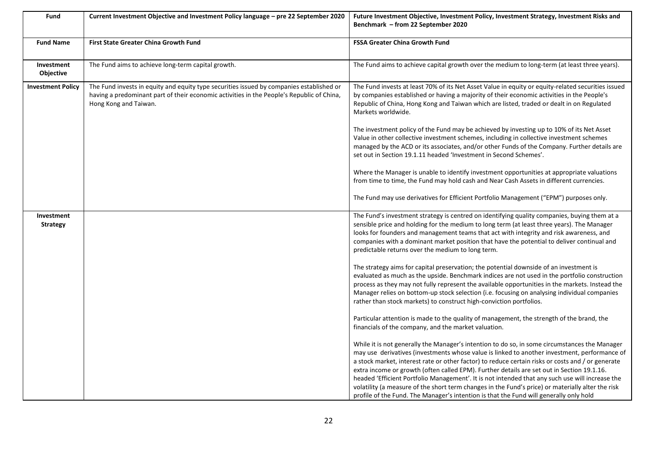| Fund                          | Current Investment Objective and Investment Policy language – pre 22 September 2020                                                                                                                            | Future Investment Objective, Investment Policy, Investment Strategy, Investment Risks and<br>Benchmark – from 22 September 2020                                                                                                                                                                                                                                                                                                                                                                                                                                                                                                                                                                    |
|-------------------------------|----------------------------------------------------------------------------------------------------------------------------------------------------------------------------------------------------------------|----------------------------------------------------------------------------------------------------------------------------------------------------------------------------------------------------------------------------------------------------------------------------------------------------------------------------------------------------------------------------------------------------------------------------------------------------------------------------------------------------------------------------------------------------------------------------------------------------------------------------------------------------------------------------------------------------|
| <b>Fund Name</b>              | <b>First State Greater China Growth Fund</b>                                                                                                                                                                   | <b>FSSA Greater China Growth Fund</b>                                                                                                                                                                                                                                                                                                                                                                                                                                                                                                                                                                                                                                                              |
| Investment<br>Objective       | The Fund aims to achieve long-term capital growth.                                                                                                                                                             | The Fund aims to achieve capital growth over the medium to long-term (at least three years).                                                                                                                                                                                                                                                                                                                                                                                                                                                                                                                                                                                                       |
| <b>Investment Policy</b>      | The Fund invests in equity and equity type securities issued by companies established or<br>having a predominant part of their economic activities in the People's Republic of China,<br>Hong Kong and Taiwan. | The Fund invests at least 70% of its Net Asset Value in equity or equity-related securities issued<br>by companies established or having a majority of their economic activities in the People's<br>Republic of China, Hong Kong and Taiwan which are listed, traded or dealt in on Regulated<br>Markets worldwide.                                                                                                                                                                                                                                                                                                                                                                                |
|                               |                                                                                                                                                                                                                | The investment policy of the Fund may be achieved by investing up to 10% of its Net Asset<br>Value in other collective investment schemes, including in collective investment schemes<br>managed by the ACD or its associates, and/or other Funds of the Company. Further details are<br>set out in Section 19.1.11 headed 'Investment in Second Schemes'.                                                                                                                                                                                                                                                                                                                                         |
|                               |                                                                                                                                                                                                                | Where the Manager is unable to identify investment opportunities at appropriate valuations<br>from time to time, the Fund may hold cash and Near Cash Assets in different currencies.                                                                                                                                                                                                                                                                                                                                                                                                                                                                                                              |
|                               |                                                                                                                                                                                                                | The Fund may use derivatives for Efficient Portfolio Management ("EPM") purposes only.                                                                                                                                                                                                                                                                                                                                                                                                                                                                                                                                                                                                             |
| Investment<br><b>Strategy</b> |                                                                                                                                                                                                                | The Fund's investment strategy is centred on identifying quality companies, buying them at a<br>sensible price and holding for the medium to long term (at least three years). The Manager<br>looks for founders and management teams that act with integrity and risk awareness, and<br>companies with a dominant market position that have the potential to deliver continual and<br>predictable returns over the medium to long term.                                                                                                                                                                                                                                                           |
|                               |                                                                                                                                                                                                                | The strategy aims for capital preservation; the potential downside of an investment is<br>evaluated as much as the upside. Benchmark indices are not used in the portfolio construction<br>process as they may not fully represent the available opportunities in the markets. Instead the<br>Manager relies on bottom-up stock selection (i.e. focusing on analysing individual companies<br>rather than stock markets) to construct high-conviction portfolios.                                                                                                                                                                                                                                  |
|                               |                                                                                                                                                                                                                | Particular attention is made to the quality of management, the strength of the brand, the<br>financials of the company, and the market valuation.                                                                                                                                                                                                                                                                                                                                                                                                                                                                                                                                                  |
|                               |                                                                                                                                                                                                                | While it is not generally the Manager's intention to do so, in some circumstances the Manager<br>may use derivatives (investments whose value is linked to another investment, performance of<br>a stock market, interest rate or other factor) to reduce certain risks or costs and / or generate<br>extra income or growth (often called EPM). Further details are set out in Section 19.1.16.<br>headed 'Efficient Portfolio Management'. It is not intended that any such use will increase the<br>volatility (a measure of the short term changes in the Fund's price) or materially alter the risk<br>profile of the Fund. The Manager's intention is that the Fund will generally only hold |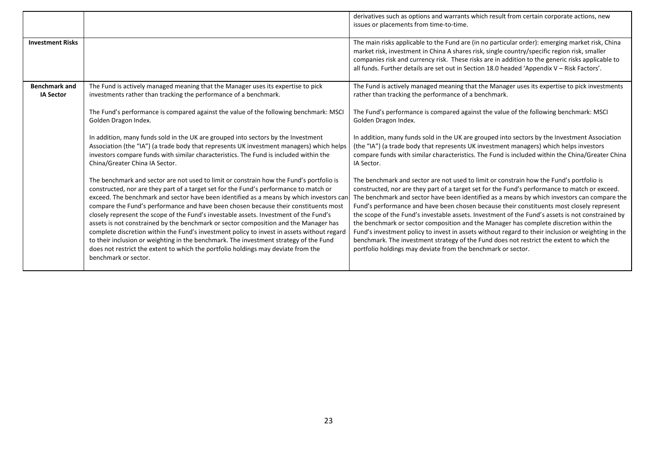|                                          |                                                                                                                                                                                                                                                                                                                                                                                                                                                                                                                                                                                                                                                                                                                                                                                                                                                         | derivatives such as options and warrants which result from certain corporate actions, new<br>issues or placements from time-to-time.                                                                                                                                                                                                                                                                                                                                                                                                                                                                                                                                                                                                                                                                                                                 |
|------------------------------------------|---------------------------------------------------------------------------------------------------------------------------------------------------------------------------------------------------------------------------------------------------------------------------------------------------------------------------------------------------------------------------------------------------------------------------------------------------------------------------------------------------------------------------------------------------------------------------------------------------------------------------------------------------------------------------------------------------------------------------------------------------------------------------------------------------------------------------------------------------------|------------------------------------------------------------------------------------------------------------------------------------------------------------------------------------------------------------------------------------------------------------------------------------------------------------------------------------------------------------------------------------------------------------------------------------------------------------------------------------------------------------------------------------------------------------------------------------------------------------------------------------------------------------------------------------------------------------------------------------------------------------------------------------------------------------------------------------------------------|
| <b>Investment Risks</b>                  |                                                                                                                                                                                                                                                                                                                                                                                                                                                                                                                                                                                                                                                                                                                                                                                                                                                         | The main risks applicable to the Fund are (in no particular order): emerging market risk, China<br>market risk, investment in China A shares risk, single country/specific region risk, smaller<br>companies risk and currency risk. These risks are in addition to the generic risks applicable to<br>all funds. Further details are set out in Section 18.0 headed 'Appendix V - Risk Factors'.                                                                                                                                                                                                                                                                                                                                                                                                                                                    |
| <b>Benchmark and</b><br><b>IA Sector</b> | The Fund is actively managed meaning that the Manager uses its expertise to pick<br>investments rather than tracking the performance of a benchmark.                                                                                                                                                                                                                                                                                                                                                                                                                                                                                                                                                                                                                                                                                                    | The Fund is actively managed meaning that the Manager uses its expertise to pick investments<br>rather than tracking the performance of a benchmark.                                                                                                                                                                                                                                                                                                                                                                                                                                                                                                                                                                                                                                                                                                 |
|                                          | The Fund's performance is compared against the value of the following benchmark: MSCI<br>Golden Dragon Index.                                                                                                                                                                                                                                                                                                                                                                                                                                                                                                                                                                                                                                                                                                                                           | The Fund's performance is compared against the value of the following benchmark: MSCI<br>Golden Dragon Index.                                                                                                                                                                                                                                                                                                                                                                                                                                                                                                                                                                                                                                                                                                                                        |
|                                          | In addition, many funds sold in the UK are grouped into sectors by the Investment<br>Association (the "IA") (a trade body that represents UK investment managers) which helps<br>investors compare funds with similar characteristics. The Fund is included within the<br>China/Greater China IA Sector.                                                                                                                                                                                                                                                                                                                                                                                                                                                                                                                                                | In addition, many funds sold in the UK are grouped into sectors by the Investment Association<br>(the "IA") (a trade body that represents UK investment managers) which helps investors<br>compare funds with similar characteristics. The Fund is included within the China/Greater China<br>IA Sector.                                                                                                                                                                                                                                                                                                                                                                                                                                                                                                                                             |
|                                          | The benchmark and sector are not used to limit or constrain how the Fund's portfolio is<br>constructed, nor are they part of a target set for the Fund's performance to match or<br>exceed. The benchmark and sector have been identified as a means by which investors can<br>compare the Fund's performance and have been chosen because their constituents most<br>closely represent the scope of the Fund's investable assets. Investment of the Fund's<br>assets is not constrained by the benchmark or sector composition and the Manager has<br>complete discretion within the Fund's investment policy to invest in assets without regard<br>to their inclusion or weighting in the benchmark. The investment strategy of the Fund<br>does not restrict the extent to which the portfolio holdings may deviate from the<br>benchmark or sector. | The benchmark and sector are not used to limit or constrain how the Fund's portfolio is<br>constructed, nor are they part of a target set for the Fund's performance to match or exceed.<br>The benchmark and sector have been identified as a means by which investors can compare the<br>Fund's performance and have been chosen because their constituents most closely represent<br>the scope of the Fund's investable assets. Investment of the Fund's assets is not constrained by<br>the benchmark or sector composition and the Manager has complete discretion within the<br>Fund's investment policy to invest in assets without regard to their inclusion or weighting in the<br>benchmark. The investment strategy of the Fund does not restrict the extent to which the<br>portfolio holdings may deviate from the benchmark or sector. |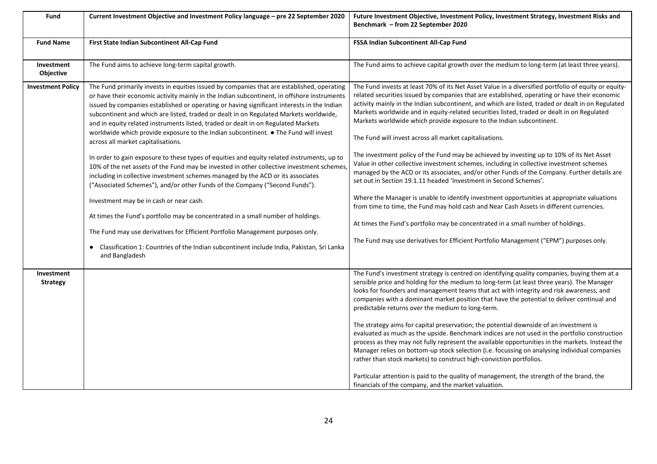| Fund                          | Current Investment Objective and Investment Policy language - pre 22 September 2020                                                                                                                                                                                                                                                                                                                                                                                                                                                                                                                                                                                                                                                                                                                                                                                                                                                                                                                                                                                                           | Future Investment Objective, Investment Policy, Investment Strategy, Investment Risks and<br>Benchmark - from 22 September 2020                                                                                                                                                                                                                                                                                                                                                                                                                                                                                                                                                                                                                                                                                                                                                                                                                                                                                                                                                                                                                                                        |
|-------------------------------|-----------------------------------------------------------------------------------------------------------------------------------------------------------------------------------------------------------------------------------------------------------------------------------------------------------------------------------------------------------------------------------------------------------------------------------------------------------------------------------------------------------------------------------------------------------------------------------------------------------------------------------------------------------------------------------------------------------------------------------------------------------------------------------------------------------------------------------------------------------------------------------------------------------------------------------------------------------------------------------------------------------------------------------------------------------------------------------------------|----------------------------------------------------------------------------------------------------------------------------------------------------------------------------------------------------------------------------------------------------------------------------------------------------------------------------------------------------------------------------------------------------------------------------------------------------------------------------------------------------------------------------------------------------------------------------------------------------------------------------------------------------------------------------------------------------------------------------------------------------------------------------------------------------------------------------------------------------------------------------------------------------------------------------------------------------------------------------------------------------------------------------------------------------------------------------------------------------------------------------------------------------------------------------------------|
| <b>Fund Name</b>              | First State Indian Subcontinent All-Cap Fund                                                                                                                                                                                                                                                                                                                                                                                                                                                                                                                                                                                                                                                                                                                                                                                                                                                                                                                                                                                                                                                  | FSSA Indian Subcontinent All-Cap Fund                                                                                                                                                                                                                                                                                                                                                                                                                                                                                                                                                                                                                                                                                                                                                                                                                                                                                                                                                                                                                                                                                                                                                  |
| Investment<br>Objective       | The Fund aims to achieve long-term capital growth.                                                                                                                                                                                                                                                                                                                                                                                                                                                                                                                                                                                                                                                                                                                                                                                                                                                                                                                                                                                                                                            | The Fund aims to achieve capital growth over the medium to long-term (at least three years).                                                                                                                                                                                                                                                                                                                                                                                                                                                                                                                                                                                                                                                                                                                                                                                                                                                                                                                                                                                                                                                                                           |
| <b>Investment Policy</b>      | The Fund primarily invests in equities issued by companies that are established, operating<br>or have their economic activity mainly in the Indian subcontinent, in offshore instruments<br>issued by companies established or operating or having significant interests in the Indian<br>subcontinent and which are listed, traded or dealt in on Regulated Markets worldwide,<br>and in equity related instruments listed, traded or dealt in on Regulated Markets<br>worldwide which provide exposure to the Indian subcontinent. • The Fund will invest<br>across all market capitalisations.<br>In order to gain exposure to these types of equities and equity related instruments, up to<br>10% of the net assets of the Fund may be invested in other collective investment schemes,<br>including in collective investment schemes managed by the ACD or its associates<br>("Associated Schemes"), and/or other Funds of the Company ("Second Funds").<br>Investment may be in cash or near cash.<br>At times the Fund's portfolio may be concentrated in a small number of holdings. | The Fund invests at least 70% of its Net Asset Value in a diversified portfolio of equity or equity-<br>related securities issued by companies that are established, operating or have their economic<br>activity mainly in the Indian subcontinent, and which are listed, traded or dealt in on Regulated<br>Markets worldwide and in equity-related securities listed, traded or dealt in on Regulated<br>Markets worldwide which provide exposure to the Indian subcontinent.<br>The Fund will invest across all market capitalisations.<br>The investment policy of the Fund may be achieved by investing up to 10% of its Net Asset<br>Value in other collective investment schemes, including in collective investment schemes<br>managed by the ACD or its associates, and/or other Funds of the Company. Further details are<br>set out in Section 19.1.11 headed 'Investment in Second Schemes'.<br>Where the Manager is unable to identify investment opportunities at appropriate valuations<br>from time to time, the Fund may hold cash and Near Cash Assets in different currencies.<br>At times the Fund's portfolio may be concentrated in a small number of holdings. |
|                               | The Fund may use derivatives for Efficient Portfolio Management purposes only.<br>• Classification 1: Countries of the Indian subcontinent include India, Pakistan, Sri Lanka<br>and Bangladesh                                                                                                                                                                                                                                                                                                                                                                                                                                                                                                                                                                                                                                                                                                                                                                                                                                                                                               | The Fund may use derivatives for Efficient Portfolio Management ("EPM") purposes only.                                                                                                                                                                                                                                                                                                                                                                                                                                                                                                                                                                                                                                                                                                                                                                                                                                                                                                                                                                                                                                                                                                 |
| Investment<br><b>Strategy</b> |                                                                                                                                                                                                                                                                                                                                                                                                                                                                                                                                                                                                                                                                                                                                                                                                                                                                                                                                                                                                                                                                                               | The Fund's investment strategy is centred on identifying quality companies, buying them at a<br>sensible price and holding for the medium to long-term (at least three years). The Manager<br>looks for founders and management teams that act with integrity and risk awareness, and<br>companies with a dominant market position that have the potential to deliver continual and<br>predictable returns over the medium to long-term.<br>The strategy aims for capital preservation; the potential downside of an investment is<br>evaluated as much as the upside. Benchmark indices are not used in the portfolio construction<br>process as they may not fully represent the available opportunities in the markets. Instead the<br>Manager relies on bottom-up stock selection (i.e. focussing on analysing individual companies<br>rather than stock markets) to construct high-conviction portfolios.                                                                                                                                                                                                                                                                         |
|                               |                                                                                                                                                                                                                                                                                                                                                                                                                                                                                                                                                                                                                                                                                                                                                                                                                                                                                                                                                                                                                                                                                               | Particular attention is paid to the quality of management, the strength of the brand, the<br>financials of the company, and the market valuation.                                                                                                                                                                                                                                                                                                                                                                                                                                                                                                                                                                                                                                                                                                                                                                                                                                                                                                                                                                                                                                      |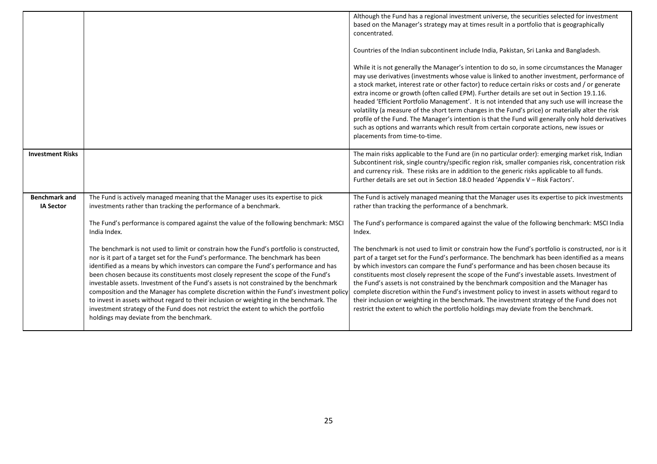|                                          |                                                                                                                                                                                                                                                                                                                                                                                                                                                                                                                                                                                                                                                                                                                                                                                 | Although the Fund has a regional investment universe, the securities selected for investment<br>based on the Manager's strategy may at times result in a portfolio that is geographically<br>concentrated.<br>Countries of the Indian subcontinent include India, Pakistan, Sri Lanka and Bangladesh.<br>While it is not generally the Manager's intention to do so, in some circumstances the Manager<br>may use derivatives (investments whose value is linked to another investment, performance of<br>a stock market, interest rate or other factor) to reduce certain risks or costs and / or generate<br>extra income or growth (often called EPM). Further details are set out in Section 19.1.16.<br>headed 'Efficient Portfolio Management'. It is not intended that any such use will increase the<br>volatility (a measure of the short term changes in the Fund's price) or materially alter the risk<br>profile of the Fund. The Manager's intention is that the Fund will generally only hold derivatives<br>such as options and warrants which result from certain corporate actions, new issues or<br>placements from time-to-time. |
|------------------------------------------|---------------------------------------------------------------------------------------------------------------------------------------------------------------------------------------------------------------------------------------------------------------------------------------------------------------------------------------------------------------------------------------------------------------------------------------------------------------------------------------------------------------------------------------------------------------------------------------------------------------------------------------------------------------------------------------------------------------------------------------------------------------------------------|-----------------------------------------------------------------------------------------------------------------------------------------------------------------------------------------------------------------------------------------------------------------------------------------------------------------------------------------------------------------------------------------------------------------------------------------------------------------------------------------------------------------------------------------------------------------------------------------------------------------------------------------------------------------------------------------------------------------------------------------------------------------------------------------------------------------------------------------------------------------------------------------------------------------------------------------------------------------------------------------------------------------------------------------------------------------------------------------------------------------------------------------------------|
| <b>Investment Risks</b>                  |                                                                                                                                                                                                                                                                                                                                                                                                                                                                                                                                                                                                                                                                                                                                                                                 | The main risks applicable to the Fund are (in no particular order): emerging market risk, Indian<br>Subcontinent risk, single country/specific region risk, smaller companies risk, concentration risk<br>and currency risk. These risks are in addition to the generic risks applicable to all funds.<br>Further details are set out in Section 18.0 headed 'Appendix V - Risk Factors'.                                                                                                                                                                                                                                                                                                                                                                                                                                                                                                                                                                                                                                                                                                                                                           |
| <b>Benchmark and</b><br><b>IA Sector</b> | The Fund is actively managed meaning that the Manager uses its expertise to pick<br>investments rather than tracking the performance of a benchmark.                                                                                                                                                                                                                                                                                                                                                                                                                                                                                                                                                                                                                            | The Fund is actively managed meaning that the Manager uses its expertise to pick investments<br>rather than tracking the performance of a benchmark.                                                                                                                                                                                                                                                                                                                                                                                                                                                                                                                                                                                                                                                                                                                                                                                                                                                                                                                                                                                                |
|                                          | The Fund's performance is compared against the value of the following benchmark: MSCI<br>India Index.                                                                                                                                                                                                                                                                                                                                                                                                                                                                                                                                                                                                                                                                           | The Fund's performance is compared against the value of the following benchmark: MSCI India<br>Index.                                                                                                                                                                                                                                                                                                                                                                                                                                                                                                                                                                                                                                                                                                                                                                                                                                                                                                                                                                                                                                               |
|                                          | The benchmark is not used to limit or constrain how the Fund's portfolio is constructed,<br>nor is it part of a target set for the Fund's performance. The benchmark has been<br>identified as a means by which investors can compare the Fund's performance and has<br>been chosen because its constituents most closely represent the scope of the Fund's<br>investable assets. Investment of the Fund's assets is not constrained by the benchmark<br>composition and the Manager has complete discretion within the Fund's investment policy<br>to invest in assets without regard to their inclusion or weighting in the benchmark. The<br>investment strategy of the Fund does not restrict the extent to which the portfolio<br>holdings may deviate from the benchmark. | The benchmark is not used to limit or constrain how the Fund's portfolio is constructed, nor is it<br>part of a target set for the Fund's performance. The benchmark has been identified as a means<br>by which investors can compare the Fund's performance and has been chosen because its<br>constituents most closely represent the scope of the Fund's investable assets. Investment of<br>the Fund's assets is not constrained by the benchmark composition and the Manager has<br>complete discretion within the Fund's investment policy to invest in assets without regard to<br>their inclusion or weighting in the benchmark. The investment strategy of the Fund does not<br>restrict the extent to which the portfolio holdings may deviate from the benchmark.                                                                                                                                                                                                                                                                                                                                                                        |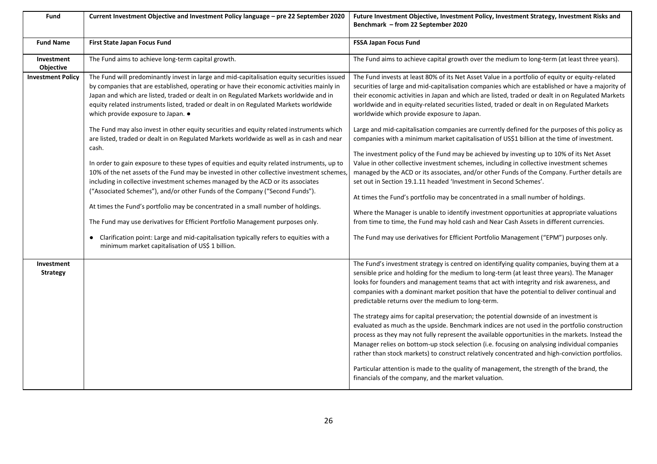| Fund                           | Current Investment Objective and Investment Policy language - pre 22 September 2020                                                                                                                                                                                                                                                                                                                           | Future Investment Objective, Investment Policy, Investment Strategy, Investment Risks and<br>Benchmark - from 22 September 2020                                                                                                                                                                                                                                                                                                                                                               |
|--------------------------------|---------------------------------------------------------------------------------------------------------------------------------------------------------------------------------------------------------------------------------------------------------------------------------------------------------------------------------------------------------------------------------------------------------------|-----------------------------------------------------------------------------------------------------------------------------------------------------------------------------------------------------------------------------------------------------------------------------------------------------------------------------------------------------------------------------------------------------------------------------------------------------------------------------------------------|
| <b>Fund Name</b>               | First State Japan Focus Fund                                                                                                                                                                                                                                                                                                                                                                                  | <b>FSSA Japan Focus Fund</b>                                                                                                                                                                                                                                                                                                                                                                                                                                                                  |
| Investment<br><b>Objective</b> | The Fund aims to achieve long-term capital growth.                                                                                                                                                                                                                                                                                                                                                            | The Fund aims to achieve capital growth over the medium to long-term (at least three years).                                                                                                                                                                                                                                                                                                                                                                                                  |
| <b>Investment Policy</b>       | The Fund will predominantly invest in large and mid-capitalisation equity securities issued<br>by companies that are established, operating or have their economic activities mainly in<br>Japan and which are listed, traded or dealt in on Regulated Markets worldwide and in<br>equity related instruments listed, traded or dealt in on Regulated Markets worldwide<br>which provide exposure to Japan. . | The Fund invests at least 80% of its Net Asset Value in a portfolio of equity or equity-related<br>securities of large and mid-capitalisation companies which are established or have a majority of<br>their economic activities in Japan and which are listed, traded or dealt in on Regulated Markets<br>worldwide and in equity-related securities listed, traded or dealt in on Regulated Markets<br>worldwide which provide exposure to Japan.                                           |
|                                | The Fund may also invest in other equity securities and equity related instruments which<br>are listed, traded or dealt in on Regulated Markets worldwide as well as in cash and near<br>cash.                                                                                                                                                                                                                | Large and mid-capitalisation companies are currently defined for the purposes of this policy as<br>companies with a minimum market capitalisation of US\$1 billion at the time of investment.<br>The investment policy of the Fund may be achieved by investing up to 10% of its Net Asset                                                                                                                                                                                                    |
|                                | In order to gain exposure to these types of equities and equity related instruments, up to<br>10% of the net assets of the Fund may be invested in other collective investment schemes,<br>including in collective investment schemes managed by the ACD or its associates<br>("Associated Schemes"), and/or other Funds of the Company ("Second Funds").                                                     | Value in other collective investment schemes, including in collective investment schemes<br>managed by the ACD or its associates, and/or other Funds of the Company. Further details are<br>set out in Section 19.1.11 headed 'Investment in Second Schemes'.                                                                                                                                                                                                                                 |
|                                | At times the Fund's portfolio may be concentrated in a small number of holdings.<br>The Fund may use derivatives for Efficient Portfolio Management purposes only.                                                                                                                                                                                                                                            | At times the Fund's portfolio may be concentrated in a small number of holdings.<br>Where the Manager is unable to identify investment opportunities at appropriate valuations<br>from time to time, the Fund may hold cash and Near Cash Assets in different currencies.                                                                                                                                                                                                                     |
|                                | • Clarification point: Large and mid-capitalisation typically refers to equities with a<br>minimum market capitalisation of US\$ 1 billion.                                                                                                                                                                                                                                                                   | The Fund may use derivatives for Efficient Portfolio Management ("EPM") purposes only.                                                                                                                                                                                                                                                                                                                                                                                                        |
| Investment<br><b>Strategy</b>  |                                                                                                                                                                                                                                                                                                                                                                                                               | The Fund's investment strategy is centred on identifying quality companies, buying them at a<br>sensible price and holding for the medium to long-term (at least three years). The Manager<br>looks for founders and management teams that act with integrity and risk awareness, and<br>companies with a dominant market position that have the potential to deliver continual and<br>predictable returns over the medium to long-term.                                                      |
|                                |                                                                                                                                                                                                                                                                                                                                                                                                               | The strategy aims for capital preservation; the potential downside of an investment is<br>evaluated as much as the upside. Benchmark indices are not used in the portfolio construction<br>process as they may not fully represent the available opportunities in the markets. Instead the<br>Manager relies on bottom-up stock selection (i.e. focusing on analysing individual companies<br>rather than stock markets) to construct relatively concentrated and high-conviction portfolios. |
|                                |                                                                                                                                                                                                                                                                                                                                                                                                               | Particular attention is made to the quality of management, the strength of the brand, the<br>financials of the company, and the market valuation.                                                                                                                                                                                                                                                                                                                                             |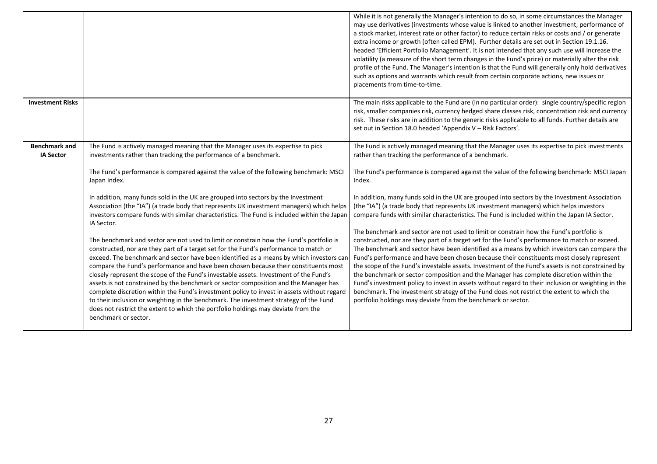|                                          |                                                                                                                                                                                                                                                                                                                                                                                                                                                                                                                                                                                                                                                                                                                                                                                                                                                                                                                                                                                                                                                                                                                                                                                                                                                                                                                                                                                                                        | While it is not generally the Manager's intention to do so, in some circumstances the Manager<br>may use derivatives (investments whose value is linked to another investment, performance of<br>a stock market, interest rate or other factor) to reduce certain risks or costs and / or generate<br>extra income or growth (often called EPM). Further details are set out in Section 19.1.16.<br>headed 'Efficient Portfolio Management'. It is not intended that any such use will increase the<br>volatility (a measure of the short term changes in the Fund's price) or materially alter the risk<br>profile of the Fund. The Manager's intention is that the Fund will generally only hold derivatives<br>such as options and warrants which result from certain corporate actions, new issues or<br>placements from time-to-time.                                                                                                                                                                                                                                                                                                                                                                                                                                                                                                                                                                       |
|------------------------------------------|------------------------------------------------------------------------------------------------------------------------------------------------------------------------------------------------------------------------------------------------------------------------------------------------------------------------------------------------------------------------------------------------------------------------------------------------------------------------------------------------------------------------------------------------------------------------------------------------------------------------------------------------------------------------------------------------------------------------------------------------------------------------------------------------------------------------------------------------------------------------------------------------------------------------------------------------------------------------------------------------------------------------------------------------------------------------------------------------------------------------------------------------------------------------------------------------------------------------------------------------------------------------------------------------------------------------------------------------------------------------------------------------------------------------|------------------------------------------------------------------------------------------------------------------------------------------------------------------------------------------------------------------------------------------------------------------------------------------------------------------------------------------------------------------------------------------------------------------------------------------------------------------------------------------------------------------------------------------------------------------------------------------------------------------------------------------------------------------------------------------------------------------------------------------------------------------------------------------------------------------------------------------------------------------------------------------------------------------------------------------------------------------------------------------------------------------------------------------------------------------------------------------------------------------------------------------------------------------------------------------------------------------------------------------------------------------------------------------------------------------------------------------------------------------------------------------------------------------|
| <b>Investment Risks</b>                  |                                                                                                                                                                                                                                                                                                                                                                                                                                                                                                                                                                                                                                                                                                                                                                                                                                                                                                                                                                                                                                                                                                                                                                                                                                                                                                                                                                                                                        | The main risks applicable to the Fund are (in no particular order): single country/specific region<br>risk, smaller companies risk, currency hedged share classes risk, concentration risk and currency<br>risk. These risks are in addition to the generic risks applicable to all funds. Further details are<br>set out in Section 18.0 headed 'Appendix V - Risk Factors'.                                                                                                                                                                                                                                                                                                                                                                                                                                                                                                                                                                                                                                                                                                                                                                                                                                                                                                                                                                                                                                    |
| <b>Benchmark and</b><br><b>IA Sector</b> | The Fund is actively managed meaning that the Manager uses its expertise to pick<br>investments rather than tracking the performance of a benchmark.<br>The Fund's performance is compared against the value of the following benchmark: MSCI<br>Japan Index.<br>In addition, many funds sold in the UK are grouped into sectors by the Investment<br>Association (the "IA") (a trade body that represents UK investment managers) which helps<br>investors compare funds with similar characteristics. The Fund is included within the Japan<br>IA Sector.<br>The benchmark and sector are not used to limit or constrain how the Fund's portfolio is<br>constructed, nor are they part of a target set for the Fund's performance to match or<br>exceed. The benchmark and sector have been identified as a means by which investors can<br>compare the Fund's performance and have been chosen because their constituents most<br>closely represent the scope of the Fund's investable assets. Investment of the Fund's<br>assets is not constrained by the benchmark or sector composition and the Manager has<br>complete discretion within the Fund's investment policy to invest in assets without regard<br>to their inclusion or weighting in the benchmark. The investment strategy of the Fund<br>does not restrict the extent to which the portfolio holdings may deviate from the<br>benchmark or sector. | The Fund is actively managed meaning that the Manager uses its expertise to pick investments<br>rather than tracking the performance of a benchmark.<br>The Fund's performance is compared against the value of the following benchmark: MSCI Japan<br>Index.<br>In addition, many funds sold in the UK are grouped into sectors by the Investment Association<br>(the "IA") (a trade body that represents UK investment managers) which helps investors<br>compare funds with similar characteristics. The Fund is included within the Japan IA Sector.<br>The benchmark and sector are not used to limit or constrain how the Fund's portfolio is<br>constructed, nor are they part of a target set for the Fund's performance to match or exceed.<br>The benchmark and sector have been identified as a means by which investors can compare the<br>Fund's performance and have been chosen because their constituents most closely represent<br>the scope of the Fund's investable assets. Investment of the Fund's assets is not constrained by<br>the benchmark or sector composition and the Manager has complete discretion within the<br>Fund's investment policy to invest in assets without regard to their inclusion or weighting in the<br>benchmark. The investment strategy of the Fund does not restrict the extent to which the<br>portfolio holdings may deviate from the benchmark or sector. |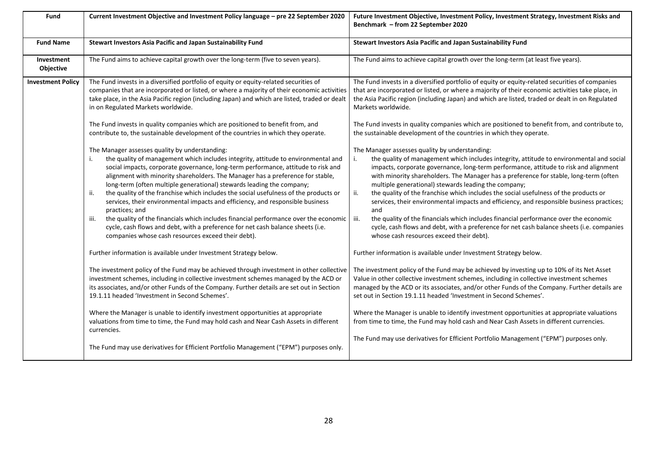| Fund                     | Current Investment Objective and Investment Policy language - pre 22 September 2020                                                                                                                                                                                                                                                                                                                                                                                                                                                                                                                                                                                                                                                                                                                                                   | Future Investment Objective, Investment Policy, Investment Strategy, Investment Risks and<br>Benchmark - from 22 September 2020                                                                                                                                                                                                                                                                                                                                                                                                                                                                                                                                                                                                                                                                                                       |
|--------------------------|---------------------------------------------------------------------------------------------------------------------------------------------------------------------------------------------------------------------------------------------------------------------------------------------------------------------------------------------------------------------------------------------------------------------------------------------------------------------------------------------------------------------------------------------------------------------------------------------------------------------------------------------------------------------------------------------------------------------------------------------------------------------------------------------------------------------------------------|---------------------------------------------------------------------------------------------------------------------------------------------------------------------------------------------------------------------------------------------------------------------------------------------------------------------------------------------------------------------------------------------------------------------------------------------------------------------------------------------------------------------------------------------------------------------------------------------------------------------------------------------------------------------------------------------------------------------------------------------------------------------------------------------------------------------------------------|
| <b>Fund Name</b>         | Stewart Investors Asia Pacific and Japan Sustainability Fund                                                                                                                                                                                                                                                                                                                                                                                                                                                                                                                                                                                                                                                                                                                                                                          | Stewart Investors Asia Pacific and Japan Sustainability Fund                                                                                                                                                                                                                                                                                                                                                                                                                                                                                                                                                                                                                                                                                                                                                                          |
| Investment<br>Objective  | The Fund aims to achieve capital growth over the long-term (five to seven years).                                                                                                                                                                                                                                                                                                                                                                                                                                                                                                                                                                                                                                                                                                                                                     | The Fund aims to achieve capital growth over the long-term (at least five years).                                                                                                                                                                                                                                                                                                                                                                                                                                                                                                                                                                                                                                                                                                                                                     |
| <b>Investment Policy</b> | The Fund invests in a diversified portfolio of equity or equity-related securities of<br>companies that are incorporated or listed, or where a majority of their economic activities<br>take place, in the Asia Pacific region (including Japan) and which are listed, traded or dealt<br>in on Regulated Markets worldwide.                                                                                                                                                                                                                                                                                                                                                                                                                                                                                                          | The Fund invests in a diversified portfolio of equity or equity-related securities of companies<br>that are incorporated or listed, or where a majority of their economic activities take place, in<br>the Asia Pacific region (including Japan) and which are listed, traded or dealt in on Regulated<br>Markets worldwide.                                                                                                                                                                                                                                                                                                                                                                                                                                                                                                          |
|                          | The Fund invests in quality companies which are positioned to benefit from, and<br>contribute to, the sustainable development of the countries in which they operate.                                                                                                                                                                                                                                                                                                                                                                                                                                                                                                                                                                                                                                                                 | The Fund invests in quality companies which are positioned to benefit from, and contribute to,<br>the sustainable development of the countries in which they operate.                                                                                                                                                                                                                                                                                                                                                                                                                                                                                                                                                                                                                                                                 |
|                          | The Manager assesses quality by understanding:<br>the quality of management which includes integrity, attitude to environmental and<br>i.<br>social impacts, corporate governance, long-term performance, attitude to risk and<br>alignment with minority shareholders. The Manager has a preference for stable,<br>long-term (often multiple generational) stewards leading the company;<br>the quality of the franchise which includes the social usefulness of the products or<br>ii.<br>services, their environmental impacts and efficiency, and responsible business<br>practices; and<br>the quality of the financials which includes financial performance over the economic<br>iii.<br>cycle, cash flows and debt, with a preference for net cash balance sheets (i.e.<br>companies whose cash resources exceed their debt). | The Manager assesses quality by understanding:<br>the quality of management which includes integrity, attitude to environmental and social<br>i.<br>impacts, corporate governance, long-term performance, attitude to risk and alignment<br>with minority shareholders. The Manager has a preference for stable, long-term (often<br>multiple generational) stewards leading the company;<br>ii.<br>the quality of the franchise which includes the social usefulness of the products or<br>services, their environmental impacts and efficiency, and responsible business practices;<br>and<br>the quality of the financials which includes financial performance over the economic<br>iii.<br>cycle, cash flows and debt, with a preference for net cash balance sheets (i.e. companies<br>whose cash resources exceed their debt). |
|                          | Further information is available under Investment Strategy below.<br>The investment policy of the Fund may be achieved through investment in other collective<br>investment schemes, including in collective investment schemes managed by the ACD or<br>its associates, and/or other Funds of the Company. Further details are set out in Section<br>19.1.11 headed 'Investment in Second Schemes'.                                                                                                                                                                                                                                                                                                                                                                                                                                  | Further information is available under Investment Strategy below.<br>The investment policy of the Fund may be achieved by investing up to 10% of its Net Asset<br>Value in other collective investment schemes, including in collective investment schemes<br>managed by the ACD or its associates, and/or other Funds of the Company. Further details are<br>set out in Section 19.1.11 headed 'Investment in Second Schemes'.                                                                                                                                                                                                                                                                                                                                                                                                       |
|                          | Where the Manager is unable to identify investment opportunities at appropriate<br>valuations from time to time, the Fund may hold cash and Near Cash Assets in different<br>currencies.                                                                                                                                                                                                                                                                                                                                                                                                                                                                                                                                                                                                                                              | Where the Manager is unable to identify investment opportunities at appropriate valuations<br>from time to time, the Fund may hold cash and Near Cash Assets in different currencies.<br>The Fund may use derivatives for Efficient Portfolio Management ("EPM") purposes only.                                                                                                                                                                                                                                                                                                                                                                                                                                                                                                                                                       |
|                          | The Fund may use derivatives for Efficient Portfolio Management ("EPM") purposes only.                                                                                                                                                                                                                                                                                                                                                                                                                                                                                                                                                                                                                                                                                                                                                |                                                                                                                                                                                                                                                                                                                                                                                                                                                                                                                                                                                                                                                                                                                                                                                                                                       |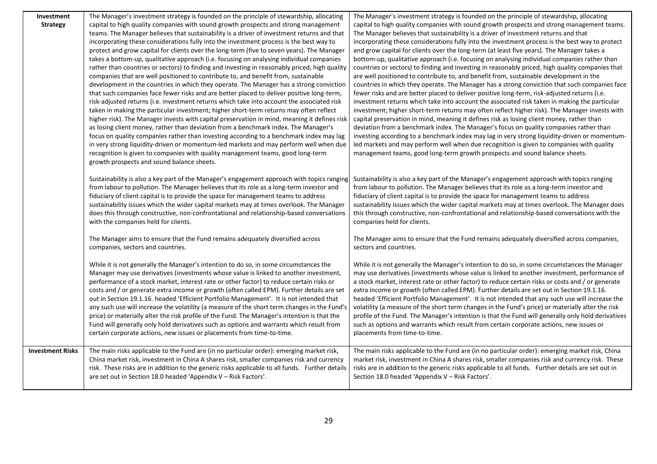| Investment              | The Manager's investment strategy is founded on the principle of stewardship, allocating        | The Manager's investment strategy is founded on the principle of stewardship, allocating           |
|-------------------------|-------------------------------------------------------------------------------------------------|----------------------------------------------------------------------------------------------------|
| <b>Strategy</b>         | capital to high quality companies with sound growth prospects and strong management             | capital to high quality companies with sound growth prospects and strong management teams.         |
|                         | teams. The Manager believes that sustainability is a driver of investment returns and that      | The Manager believes that sustainability is a driver of investment returns and that                |
|                         | incorporating these considerations fully into the investment process is the best way to         | incorporating these considerations fully into the investment process is the best way to protect    |
|                         | protect and grow capital for clients over the long-term (five to seven years). The Manager      | and grow capital for clients over the long-term (at least five years). The Manager takes a         |
|                         | takes a bottom-up, qualitative approach (i.e. focusing on analysing individual companies        | bottom-up, qualitative approach (i.e. focusing on analysing individual companies rather than       |
|                         | rather than countries or sectors) to finding and investing in reasonably priced, high quality   | countries or sectors) to finding and investing in reasonably priced, high quality companies that   |
|                         | companies that are well positioned to contribute to, and benefit from, sustainable              | are well positioned to contribute to, and benefit from, sustainable development in the             |
|                         | development in the countries in which they operate. The Manager has a strong conviction         | countries in which they operate. The Manager has a strong conviction that such companies face      |
|                         | that such companies face fewer risks and are better placed to deliver positive long-term,       | fewer risks and are better placed to deliver positive long-term, risk-adjusted returns (i.e.       |
|                         | risk-adjusted returns (i.e. investment returns which take into account the associated risk      | investment returns which take into account the associated risk taken in making the particular      |
|                         | taken in making the particular investment; higher short-term returns may often reflect          | investment; higher short-term returns may often reflect higher risk). The Manager invests with     |
|                         | higher risk). The Manager invests with capital preservation in mind, meaning it defines risk    | capital preservation in mind, meaning it defines risk as losing client money, rather than          |
|                         | as losing client money, rather than deviation from a benchmark index. The Manager's             | deviation from a benchmark index. The Manager's focus on quality companies rather than             |
|                         | focus on quality companies rather than investing according to a benchmark index may lag         | investing according to a benchmark index may lag in very strong liquidity-driven or momentum-      |
|                         | in very strong liquidity-driven or momentum-led markets and may perform well when due           | led markets and may perform well when due recognition is given to companies with quality           |
|                         | recognition is given to companies with quality management teams, good long-term                 | management teams, good long-term growth prospects and sound balance sheets.                        |
|                         | growth prospects and sound balance sheets.                                                      |                                                                                                    |
|                         | Sustainability is also a key part of the Manager's engagement approach with topics ranging      | Sustainability is also a key part of the Manager's engagement approach with topics ranging         |
|                         | from labour to pollution. The Manager believes that its role as a long-term investor and        | from labour to pollution. The Manager believes that its role as a long-term investor and           |
|                         | fiduciary of client capital is to provide the space for management teams to address             | fiduciary of client capital is to provide the space for management teams to address                |
|                         | sustainability issues which the wider capital markets may at times overlook. The Manager        | sustainability issues which the wider capital markets may at times overlook. The Manager does      |
|                         | does this through constructive, non-confrontational and relationship-based conversations        | this through constructive, non-confrontational and relationship-based conversations with the       |
|                         | with the companies held for clients.                                                            | companies held for clients.                                                                        |
|                         |                                                                                                 |                                                                                                    |
|                         | The Manager aims to ensure that the Fund remains adequately diversified across                  | The Manager aims to ensure that the Fund remains adequately diversified across companies,          |
|                         | companies, sectors and countries.                                                               | sectors and countries.                                                                             |
|                         | While it is not generally the Manager's intention to do so, in some circumstances the           | While it is not generally the Manager's intention to do so, in some circumstances the Manager      |
|                         | Manager may use derivatives (investments whose value is linked to another investment,           | may use derivatives (investments whose value is linked to another investment, performance of       |
|                         | performance of a stock market, interest rate or other factor) to reduce certain risks or        | a stock market, interest rate or other factor) to reduce certain risks or costs and / or generate  |
|                         | costs and / or generate extra income or growth (often called EPM). Further details are set      | extra income or growth (often called EPM). Further details are set out in Section 19.1.16.         |
|                         | out in Section 19.1.16. headed 'Efficient Portfolio Management'. It is not intended that        | headed 'Efficient Portfolio Management'. It is not intended that any such use will increase the    |
|                         | any such use will increase the volatility (a measure of the short term changes in the Fund's    | volatility (a measure of the short term changes in the Fund's price) or materially alter the risk  |
|                         | price) or materially alter the risk profile of the Fund. The Manager's intention is that the    | profile of the Fund. The Manager's intention is that the Fund will generally only hold derivatives |
|                         | Fund will generally only hold derivatives such as options and warrants which result from        | such as options and warrants which result from certain corporate actions, new issues or            |
|                         | certain corporate actions, new issues or placements from time-to-time.                          | placements from time-to-time.                                                                      |
|                         |                                                                                                 |                                                                                                    |
| <b>Investment Risks</b> | The main risks applicable to the Fund are (in no particular order): emerging market risk,       | The main risks applicable to the Fund are (in no particular order): emerging market risk, China    |
|                         | China market risk, investment in China A shares risk, smaller companies risk and currency       | market risk, investment in China A shares risk, smaller companies risk and currency risk. These    |
|                         | risk. These risks are in addition to the generic risks applicable to all funds. Further details | risks are in addition to the generic risks applicable to all funds. Further details are set out in |
|                         | are set out in Section 18.0 headed 'Appendix V – Risk Factors'.                                 | Section 18.0 headed 'Appendix V - Risk Factors'.                                                   |
|                         |                                                                                                 |                                                                                                    |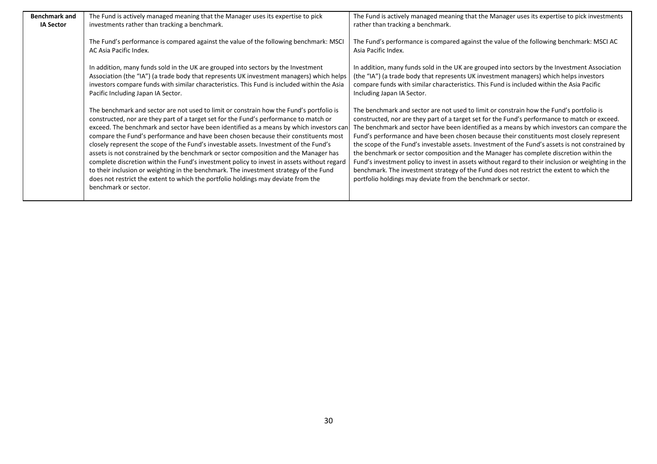| <b>Benchmark and</b> | The Fund is actively managed meaning that the Manager uses its expertise to pick                                                                                                                                                                                                                                                                                                                                                                                                                                                                                                                                                                                                                                                                                                                                                                        | The Fund is actively managed meaning that the Manager uses its expertise to pick investments                                                                                                                                                                                                                                                                                                                                                                                                                                                                                                                                                                                                                                                                                                                                                         |
|----------------------|---------------------------------------------------------------------------------------------------------------------------------------------------------------------------------------------------------------------------------------------------------------------------------------------------------------------------------------------------------------------------------------------------------------------------------------------------------------------------------------------------------------------------------------------------------------------------------------------------------------------------------------------------------------------------------------------------------------------------------------------------------------------------------------------------------------------------------------------------------|------------------------------------------------------------------------------------------------------------------------------------------------------------------------------------------------------------------------------------------------------------------------------------------------------------------------------------------------------------------------------------------------------------------------------------------------------------------------------------------------------------------------------------------------------------------------------------------------------------------------------------------------------------------------------------------------------------------------------------------------------------------------------------------------------------------------------------------------------|
| <b>IA Sector</b>     | investments rather than tracking a benchmark.                                                                                                                                                                                                                                                                                                                                                                                                                                                                                                                                                                                                                                                                                                                                                                                                           | rather than tracking a benchmark.                                                                                                                                                                                                                                                                                                                                                                                                                                                                                                                                                                                                                                                                                                                                                                                                                    |
|                      | The Fund's performance is compared against the value of the following benchmark: MSCI<br>AC Asia Pacific Index.                                                                                                                                                                                                                                                                                                                                                                                                                                                                                                                                                                                                                                                                                                                                         | The Fund's performance is compared against the value of the following benchmark: MSCI AC<br>Asia Pacific Index.                                                                                                                                                                                                                                                                                                                                                                                                                                                                                                                                                                                                                                                                                                                                      |
|                      | In addition, many funds sold in the UK are grouped into sectors by the Investment<br>Association (the "IA") (a trade body that represents UK investment managers) which helps<br>investors compare funds with similar characteristics. This Fund is included within the Asia<br>Pacific Including Japan IA Sector.                                                                                                                                                                                                                                                                                                                                                                                                                                                                                                                                      | In addition, many funds sold in the UK are grouped into sectors by the Investment Association<br>(the "IA") (a trade body that represents UK investment managers) which helps investors<br>compare funds with similar characteristics. This Fund is included within the Asia Pacific<br>Including Japan IA Sector.                                                                                                                                                                                                                                                                                                                                                                                                                                                                                                                                   |
|                      | The benchmark and sector are not used to limit or constrain how the Fund's portfolio is<br>constructed, nor are they part of a target set for the Fund's performance to match or<br>exceed. The benchmark and sector have been identified as a means by which investors can<br>compare the Fund's performance and have been chosen because their constituents most<br>closely represent the scope of the Fund's investable assets. Investment of the Fund's<br>assets is not constrained by the benchmark or sector composition and the Manager has<br>complete discretion within the Fund's investment policy to invest in assets without regard<br>to their inclusion or weighting in the benchmark. The investment strategy of the Fund<br>does not restrict the extent to which the portfolio holdings may deviate from the<br>benchmark or sector. | The benchmark and sector are not used to limit or constrain how the Fund's portfolio is<br>constructed, nor are they part of a target set for the Fund's performance to match or exceed.<br>The benchmark and sector have been identified as a means by which investors can compare the<br>Fund's performance and have been chosen because their constituents most closely represent<br>the scope of the Fund's investable assets. Investment of the Fund's assets is not constrained by<br>the benchmark or sector composition and the Manager has complete discretion within the<br>Fund's investment policy to invest in assets without regard to their inclusion or weighting in the<br>benchmark. The investment strategy of the Fund does not restrict the extent to which the<br>portfolio holdings may deviate from the benchmark or sector. |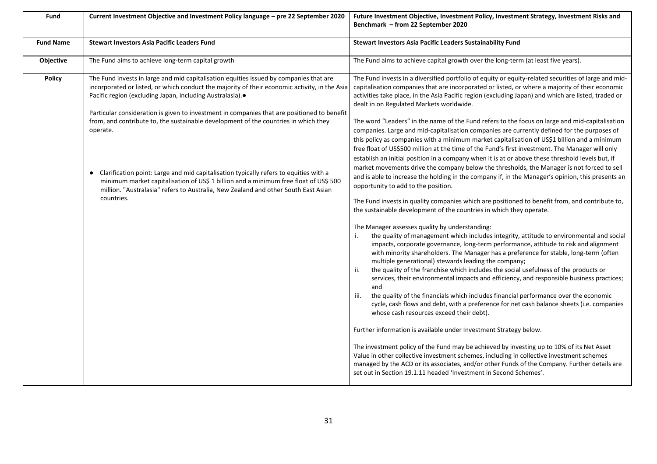| Fund             | Current Investment Objective and Investment Policy language - pre 22 September 2020                                                                                                                                                                                                                                                                                                                                                                                     | Future Investment Objective, Investment Policy, Investment Strategy, Investment Risks and<br>Benchmark - from 22 September 2020                                                                                                                                                                                                                                                                                                                                                                                                                                                                                                                                                                                                                                                                                          |
|------------------|-------------------------------------------------------------------------------------------------------------------------------------------------------------------------------------------------------------------------------------------------------------------------------------------------------------------------------------------------------------------------------------------------------------------------------------------------------------------------|--------------------------------------------------------------------------------------------------------------------------------------------------------------------------------------------------------------------------------------------------------------------------------------------------------------------------------------------------------------------------------------------------------------------------------------------------------------------------------------------------------------------------------------------------------------------------------------------------------------------------------------------------------------------------------------------------------------------------------------------------------------------------------------------------------------------------|
| <b>Fund Name</b> | <b>Stewart Investors Asia Pacific Leaders Fund</b>                                                                                                                                                                                                                                                                                                                                                                                                                      | Stewart Investors Asia Pacific Leaders Sustainability Fund                                                                                                                                                                                                                                                                                                                                                                                                                                                                                                                                                                                                                                                                                                                                                               |
| Objective        | The Fund aims to achieve long-term capital growth                                                                                                                                                                                                                                                                                                                                                                                                                       | The Fund aims to achieve capital growth over the long-term (at least five years).                                                                                                                                                                                                                                                                                                                                                                                                                                                                                                                                                                                                                                                                                                                                        |
| <b>Policy</b>    | The Fund invests in large and mid capitalisation equities issued by companies that are<br>incorporated or listed, or which conduct the majority of their economic activity, in the Asia<br>Pacific region (excluding Japan, including Australasia). <sup>•</sup>                                                                                                                                                                                                        | The Fund invests in a diversified portfolio of equity or equity-related securities of large and mid-<br>capitalisation companies that are incorporated or listed, or where a majority of their economic<br>activities take place, in the Asia Pacific region (excluding Japan) and which are listed, traded or<br>dealt in on Regulated Markets worldwide.                                                                                                                                                                                                                                                                                                                                                                                                                                                               |
|                  | Particular consideration is given to investment in companies that are positioned to benefit<br>from, and contribute to, the sustainable development of the countries in which they<br>operate.<br>• Clarification point: Large and mid capitalisation typically refers to equities with a<br>minimum market capitalisation of US\$ 1 billion and a minimum free float of US\$ 500<br>million. "Australasia" refers to Australia, New Zealand and other South East Asian | The word "Leaders" in the name of the Fund refers to the focus on large and mid-capitalisation<br>companies. Large and mid-capitalisation companies are currently defined for the purposes of<br>this policy as companies with a minimum market capitalisation of US\$1 billion and a minimum<br>free float of US\$500 million at the time of the Fund's first investment. The Manager will only<br>establish an initial position in a company when it is at or above these threshold levels but, if<br>market movements drive the company below the thresholds, the Manager is not forced to sell<br>and is able to increase the holding in the company if, in the Manager's opinion, this presents an<br>opportunity to add to the position.                                                                           |
|                  | countries.                                                                                                                                                                                                                                                                                                                                                                                                                                                              | The Fund invests in quality companies which are positioned to benefit from, and contribute to,<br>the sustainable development of the countries in which they operate.                                                                                                                                                                                                                                                                                                                                                                                                                                                                                                                                                                                                                                                    |
|                  |                                                                                                                                                                                                                                                                                                                                                                                                                                                                         | The Manager assesses quality by understanding:<br>the quality of management which includes integrity, attitude to environmental and social<br>impacts, corporate governance, long-term performance, attitude to risk and alignment<br>with minority shareholders. The Manager has a preference for stable, long-term (often<br>multiple generational) stewards leading the company;<br>the quality of the franchise which includes the social usefulness of the products or<br>services, their environmental impacts and efficiency, and responsible business practices;<br>and<br>the quality of the financials which includes financial performance over the economic<br>iii.<br>cycle, cash flows and debt, with a preference for net cash balance sheets (i.e. companies<br>whose cash resources exceed their debt). |
|                  |                                                                                                                                                                                                                                                                                                                                                                                                                                                                         | Further information is available under Investment Strategy below.<br>The investment policy of the Fund may be achieved by investing up to 10% of its Net Asset<br>Value in other collective investment schemes, including in collective investment schemes<br>managed by the ACD or its associates, and/or other Funds of the Company. Further details are<br>set out in Section 19.1.11 headed 'Investment in Second Schemes'.                                                                                                                                                                                                                                                                                                                                                                                          |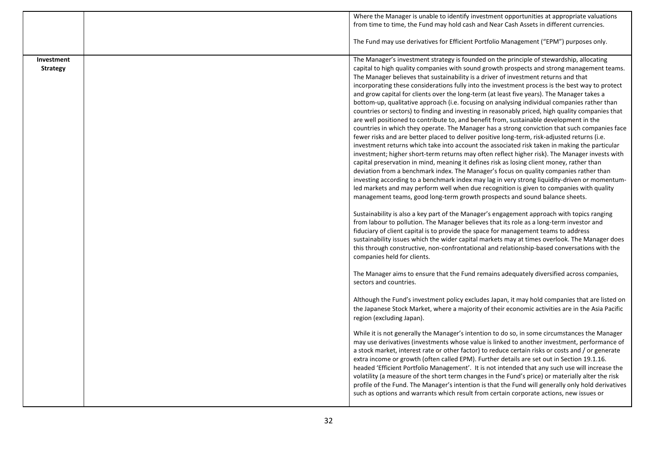|                               | Where the Manager is unable to identify investment opportunities at appropriate valuations<br>from time to time, the Fund may hold cash and Near Cash Assets in different currencies.                                                                                                                                                                                                                                                                                                                                                                                                                                                                                                                                                                                                                                                                                                                                                                                                                                                                                                                                                                                                                                                                                                                                                                                                                                                                                                                                                                                                                                                               |
|-------------------------------|-----------------------------------------------------------------------------------------------------------------------------------------------------------------------------------------------------------------------------------------------------------------------------------------------------------------------------------------------------------------------------------------------------------------------------------------------------------------------------------------------------------------------------------------------------------------------------------------------------------------------------------------------------------------------------------------------------------------------------------------------------------------------------------------------------------------------------------------------------------------------------------------------------------------------------------------------------------------------------------------------------------------------------------------------------------------------------------------------------------------------------------------------------------------------------------------------------------------------------------------------------------------------------------------------------------------------------------------------------------------------------------------------------------------------------------------------------------------------------------------------------------------------------------------------------------------------------------------------------------------------------------------------------|
|                               | The Fund may use derivatives for Efficient Portfolio Management ("EPM") purposes only.                                                                                                                                                                                                                                                                                                                                                                                                                                                                                                                                                                                                                                                                                                                                                                                                                                                                                                                                                                                                                                                                                                                                                                                                                                                                                                                                                                                                                                                                                                                                                              |
| Investment<br><b>Strategy</b> | The Manager's investment strategy is founded on the principle of stewardship, allocating<br>capital to high quality companies with sound growth prospects and strong management teams.<br>The Manager believes that sustainability is a driver of investment returns and that<br>incorporating these considerations fully into the investment process is the best way to protect<br>and grow capital for clients over the long-term (at least five years). The Manager takes a<br>bottom-up, qualitative approach (i.e. focusing on analysing individual companies rather than<br>countries or sectors) to finding and investing in reasonably priced, high quality companies that<br>are well positioned to contribute to, and benefit from, sustainable development in the<br>countries in which they operate. The Manager has a strong conviction that such companies face<br>fewer risks and are better placed to deliver positive long-term, risk-adjusted returns (i.e.<br>investment returns which take into account the associated risk taken in making the particular<br>investment; higher short-term returns may often reflect higher risk). The Manager invests with<br>capital preservation in mind, meaning it defines risk as losing client money, rather than<br>deviation from a benchmark index. The Manager's focus on quality companies rather than<br>investing according to a benchmark index may lag in very strong liquidity-driven or momentum-<br>led markets and may perform well when due recognition is given to companies with quality<br>management teams, good long-term growth prospects and sound balance sheets. |
|                               | Sustainability is also a key part of the Manager's engagement approach with topics ranging<br>from labour to pollution. The Manager believes that its role as a long-term investor and<br>fiduciary of client capital is to provide the space for management teams to address<br>sustainability issues which the wider capital markets may at times overlook. The Manager does<br>this through constructive, non-confrontational and relationship-based conversations with the<br>companies held for clients.                                                                                                                                                                                                                                                                                                                                                                                                                                                                                                                                                                                                                                                                                                                                                                                                                                                                                                                                                                                                                                                                                                                                       |
|                               | The Manager aims to ensure that the Fund remains adequately diversified across companies,<br>sectors and countries.                                                                                                                                                                                                                                                                                                                                                                                                                                                                                                                                                                                                                                                                                                                                                                                                                                                                                                                                                                                                                                                                                                                                                                                                                                                                                                                                                                                                                                                                                                                                 |
|                               | Although the Fund's investment policy excludes Japan, it may hold companies that are listed on<br>the Japanese Stock Market, where a majority of their economic activities are in the Asia Pacific<br>region (excluding Japan).                                                                                                                                                                                                                                                                                                                                                                                                                                                                                                                                                                                                                                                                                                                                                                                                                                                                                                                                                                                                                                                                                                                                                                                                                                                                                                                                                                                                                     |
|                               | While it is not generally the Manager's intention to do so, in some circumstances the Manager<br>may use derivatives (investments whose value is linked to another investment, performance of<br>a stock market, interest rate or other factor) to reduce certain risks or costs and / or generate<br>extra income or growth (often called EPM). Further details are set out in Section 19.1.16.<br>headed 'Efficient Portfolio Management'. It is not intended that any such use will increase the<br>volatility (a measure of the short term changes in the Fund's price) or materially alter the risk<br>profile of the Fund. The Manager's intention is that the Fund will generally only hold derivatives<br>such as options and warrants which result from certain corporate actions, new issues or                                                                                                                                                                                                                                                                                                                                                                                                                                                                                                                                                                                                                                                                                                                                                                                                                                           |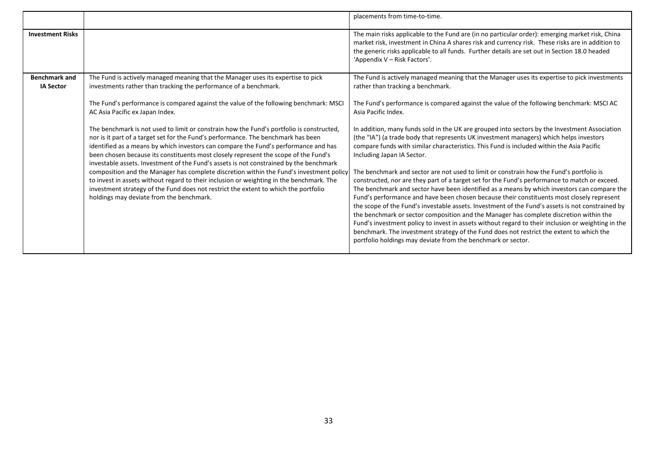|                                          |                                                                                                                                                                                                                                                                                                                                                                                                                                                       | placements from time-to-time.                                                                                                                                                                                                                                                                                                                                                                                                                                                                                                                                                                                                                                                                                                                                                        |
|------------------------------------------|-------------------------------------------------------------------------------------------------------------------------------------------------------------------------------------------------------------------------------------------------------------------------------------------------------------------------------------------------------------------------------------------------------------------------------------------------------|--------------------------------------------------------------------------------------------------------------------------------------------------------------------------------------------------------------------------------------------------------------------------------------------------------------------------------------------------------------------------------------------------------------------------------------------------------------------------------------------------------------------------------------------------------------------------------------------------------------------------------------------------------------------------------------------------------------------------------------------------------------------------------------|
| <b>Investment Risks</b>                  |                                                                                                                                                                                                                                                                                                                                                                                                                                                       | The main risks applicable to the Fund are (in no particular order): emerging market risk, China<br>market risk, investment in China A shares risk and currency risk. These risks are in addition to<br>the generic risks applicable to all funds. Further details are set out in Section 18.0 headed<br>'Appendix V – Risk Factors'.                                                                                                                                                                                                                                                                                                                                                                                                                                                 |
| <b>Benchmark and</b><br><b>IA Sector</b> | The Fund is actively managed meaning that the Manager uses its expertise to pick<br>investments rather than tracking the performance of a benchmark.                                                                                                                                                                                                                                                                                                  | The Fund is actively managed meaning that the Manager uses its expertise to pick investments<br>rather than tracking a benchmark.                                                                                                                                                                                                                                                                                                                                                                                                                                                                                                                                                                                                                                                    |
|                                          | The Fund's performance is compared against the value of the following benchmark: MSCI<br>AC Asia Pacific ex Japan Index.                                                                                                                                                                                                                                                                                                                              | The Fund's performance is compared against the value of the following benchmark: MSCI AC<br>Asia Pacific Index.                                                                                                                                                                                                                                                                                                                                                                                                                                                                                                                                                                                                                                                                      |
|                                          | The benchmark is not used to limit or constrain how the Fund's portfolio is constructed,<br>nor is it part of a target set for the Fund's performance. The benchmark has been<br>identified as a means by which investors can compare the Fund's performance and has<br>been chosen because its constituents most closely represent the scope of the Fund's<br>investable assets. Investment of the Fund's assets is not constrained by the benchmark | In addition, many funds sold in the UK are grouped into sectors by the Investment Association<br>(the "IA") (a trade body that represents UK investment managers) which helps investors<br>compare funds with similar characteristics. This Fund is included within the Asia Pacific<br>Including Japan IA Sector.                                                                                                                                                                                                                                                                                                                                                                                                                                                                   |
|                                          | composition and the Manager has complete discretion within the Fund's investment policy<br>to invest in assets without regard to their inclusion or weighting in the benchmark. The<br>investment strategy of the Fund does not restrict the extent to which the portfolio<br>holdings may deviate from the benchmark.                                                                                                                                | The benchmark and sector are not used to limit or constrain how the Fund's portfolio is<br>constructed, nor are they part of a target set for the Fund's performance to match or exceed.<br>The benchmark and sector have been identified as a means by which investors can compare the<br>Fund's performance and have been chosen because their constituents most closely represent<br>the scope of the Fund's investable assets. Investment of the Fund's assets is not constrained by<br>the benchmark or sector composition and the Manager has complete discretion within the<br>Fund's investment policy to invest in assets without regard to their inclusion or weighting in the<br>benchmark. The investment strategy of the Fund does not restrict the extent to which the |
|                                          |                                                                                                                                                                                                                                                                                                                                                                                                                                                       | portfolio holdings may deviate from the benchmark or sector.                                                                                                                                                                                                                                                                                                                                                                                                                                                                                                                                                                                                                                                                                                                         |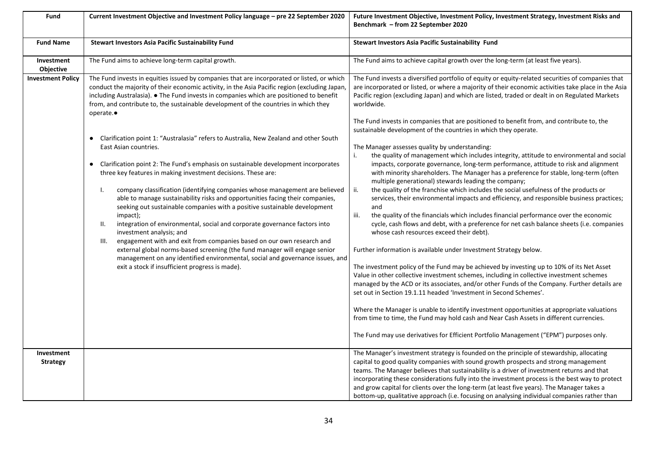| Fund                     | Current Investment Objective and Investment Policy language - pre 22 September 2020                                                                                                                                                                                                                                                                                                                                                                                                                                                                                                                                                                                                                                                                                                                                                                                                                                                                         | Future Investment Objective, Investment Policy, Investment Strategy, Investment Risks and<br>Benchmark - from 22 September 2020                                                                                                                                                                                                                                                                                                                                                                                                                                                                                                                                                                                                                                                                                                                                                                                                                                                                                                                                                                                                                                         |
|--------------------------|-------------------------------------------------------------------------------------------------------------------------------------------------------------------------------------------------------------------------------------------------------------------------------------------------------------------------------------------------------------------------------------------------------------------------------------------------------------------------------------------------------------------------------------------------------------------------------------------------------------------------------------------------------------------------------------------------------------------------------------------------------------------------------------------------------------------------------------------------------------------------------------------------------------------------------------------------------------|-------------------------------------------------------------------------------------------------------------------------------------------------------------------------------------------------------------------------------------------------------------------------------------------------------------------------------------------------------------------------------------------------------------------------------------------------------------------------------------------------------------------------------------------------------------------------------------------------------------------------------------------------------------------------------------------------------------------------------------------------------------------------------------------------------------------------------------------------------------------------------------------------------------------------------------------------------------------------------------------------------------------------------------------------------------------------------------------------------------------------------------------------------------------------|
| <b>Fund Name</b>         | <b>Stewart Investors Asia Pacific Sustainability Fund</b>                                                                                                                                                                                                                                                                                                                                                                                                                                                                                                                                                                                                                                                                                                                                                                                                                                                                                                   | Stewart Investors Asia Pacific Sustainability Fund                                                                                                                                                                                                                                                                                                                                                                                                                                                                                                                                                                                                                                                                                                                                                                                                                                                                                                                                                                                                                                                                                                                      |
| Investment<br>Objective  | The Fund aims to achieve long-term capital growth.                                                                                                                                                                                                                                                                                                                                                                                                                                                                                                                                                                                                                                                                                                                                                                                                                                                                                                          | The Fund aims to achieve capital growth over the long-term (at least five years).                                                                                                                                                                                                                                                                                                                                                                                                                                                                                                                                                                                                                                                                                                                                                                                                                                                                                                                                                                                                                                                                                       |
| <b>Investment Policy</b> | The Fund invests in equities issued by companies that are incorporated or listed, or which<br>conduct the majority of their economic activity, in the Asia Pacific region (excluding Japan,<br>including Australasia). • The Fund invests in companies which are positioned to benefit<br>from, and contribute to, the sustainable development of the countries in which they<br>operate.•                                                                                                                                                                                                                                                                                                                                                                                                                                                                                                                                                                  | The Fund invests a diversified portfolio of equity or equity-related securities of companies that<br>are incorporated or listed, or where a majority of their economic activities take place in the Asia<br>Pacific region (excluding Japan) and which are listed, traded or dealt in on Regulated Markets<br>worldwide.                                                                                                                                                                                                                                                                                                                                                                                                                                                                                                                                                                                                                                                                                                                                                                                                                                                |
|                          | • Clarification point 1: "Australasia" refers to Australia, New Zealand and other South<br>East Asian countries.<br>• Clarification point 2: The Fund's emphasis on sustainable development incorporates<br>three key features in making investment decisions. These are:<br>company classification (identifying companies whose management are believed<br>I.<br>able to manage sustainability risks and opportunities facing their companies,<br>seeking out sustainable companies with a positive sustainable development<br>impact);<br>integration of environmental, social and corporate governance factors into<br>н.<br>investment analysis; and<br>engagement with and exit from companies based on our own research and<br>III.<br>external global norms-based screening (the fund manager will engage senior<br>management on any identified environmental, social and governance issues, and<br>exit a stock if insufficient progress is made). | The Fund invests in companies that are positioned to benefit from, and contribute to, the<br>sustainable development of the countries in which they operate.<br>The Manager assesses quality by understanding:<br>the quality of management which includes integrity, attitude to environmental and social<br>i.<br>impacts, corporate governance, long-term performance, attitude to risk and alignment<br>with minority shareholders. The Manager has a preference for stable, long-term (often<br>multiple generational) stewards leading the company;<br>the quality of the franchise which includes the social usefulness of the products or<br>ii.<br>services, their environmental impacts and efficiency, and responsible business practices;<br>and<br>iii.<br>the quality of the financials which includes financial performance over the economic<br>cycle, cash flows and debt, with a preference for net cash balance sheets (i.e. companies<br>whose cash resources exceed their debt).<br>Further information is available under Investment Strategy below.<br>The investment policy of the Fund may be achieved by investing up to 10% of its Net Asset |
| Investment               |                                                                                                                                                                                                                                                                                                                                                                                                                                                                                                                                                                                                                                                                                                                                                                                                                                                                                                                                                             | Value in other collective investment schemes, including in collective investment schemes<br>managed by the ACD or its associates, and/or other Funds of the Company. Further details are<br>set out in Section 19.1.11 headed 'Investment in Second Schemes'.<br>Where the Manager is unable to identify investment opportunities at appropriate valuations<br>from time to time, the Fund may hold cash and Near Cash Assets in different currencies.<br>The Fund may use derivatives for Efficient Portfolio Management ("EPM") purposes only.<br>The Manager's investment strategy is founded on the principle of stewardship, allocating                                                                                                                                                                                                                                                                                                                                                                                                                                                                                                                            |
| <b>Strategy</b>          |                                                                                                                                                                                                                                                                                                                                                                                                                                                                                                                                                                                                                                                                                                                                                                                                                                                                                                                                                             | capital to good quality companies with sound growth prospects and strong management<br>teams. The Manager believes that sustainability is a driver of investment returns and that<br>incorporating these considerations fully into the investment process is the best way to protect<br>and grow capital for clients over the long-term (at least five years). The Manager takes a<br>bottom-up, qualitative approach (i.e. focusing on analysing individual companies rather than                                                                                                                                                                                                                                                                                                                                                                                                                                                                                                                                                                                                                                                                                      |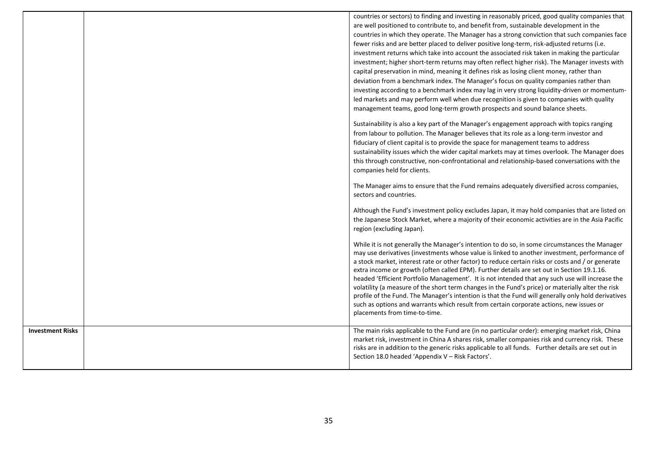|                         | countries or sectors) to finding and investing in reasonably priced, good quality companies that<br>are well positioned to contribute to, and benefit from, sustainable development in the |
|-------------------------|--------------------------------------------------------------------------------------------------------------------------------------------------------------------------------------------|
|                         | countries in which they operate. The Manager has a strong conviction that such companies face                                                                                              |
|                         | fewer risks and are better placed to deliver positive long-term, risk-adjusted returns (i.e.                                                                                               |
|                         | investment returns which take into account the associated risk taken in making the particular                                                                                              |
|                         | investment; higher short-term returns may often reflect higher risk). The Manager invests with                                                                                             |
|                         | capital preservation in mind, meaning it defines risk as losing client money, rather than                                                                                                  |
|                         | deviation from a benchmark index. The Manager's focus on quality companies rather than                                                                                                     |
|                         | investing according to a benchmark index may lag in very strong liquidity-driven or momentum-                                                                                              |
|                         | led markets and may perform well when due recognition is given to companies with quality                                                                                                   |
|                         | management teams, good long-term growth prospects and sound balance sheets.                                                                                                                |
|                         |                                                                                                                                                                                            |
|                         | Sustainability is also a key part of the Manager's engagement approach with topics ranging                                                                                                 |
|                         | from labour to pollution. The Manager believes that its role as a long-term investor and                                                                                                   |
|                         | fiduciary of client capital is to provide the space for management teams to address                                                                                                        |
|                         | sustainability issues which the wider capital markets may at times overlook. The Manager does                                                                                              |
|                         | this through constructive, non-confrontational and relationship-based conversations with the                                                                                               |
|                         | companies held for clients.                                                                                                                                                                |
|                         |                                                                                                                                                                                            |
|                         | The Manager aims to ensure that the Fund remains adequately diversified across companies,                                                                                                  |
|                         | sectors and countries.                                                                                                                                                                     |
|                         | Although the Fund's investment policy excludes Japan, it may hold companies that are listed on                                                                                             |
|                         | the Japanese Stock Market, where a majority of their economic activities are in the Asia Pacific                                                                                           |
|                         | region (excluding Japan).                                                                                                                                                                  |
|                         |                                                                                                                                                                                            |
|                         | While it is not generally the Manager's intention to do so, in some circumstances the Manager                                                                                              |
|                         | may use derivatives (investments whose value is linked to another investment, performance of                                                                                               |
|                         | a stock market, interest rate or other factor) to reduce certain risks or costs and / or generate                                                                                          |
|                         | extra income or growth (often called EPM). Further details are set out in Section 19.1.16.                                                                                                 |
|                         | headed 'Efficient Portfolio Management'. It is not intended that any such use will increase the                                                                                            |
|                         | volatility (a measure of the short term changes in the Fund's price) or materially alter the risk                                                                                          |
|                         | profile of the Fund. The Manager's intention is that the Fund will generally only hold derivatives                                                                                         |
|                         | such as options and warrants which result from certain corporate actions, new issues or<br>placements from time-to-time.                                                                   |
|                         |                                                                                                                                                                                            |
| <b>Investment Risks</b> | The main risks applicable to the Fund are (in no particular order): emerging market risk, China                                                                                            |
|                         | market risk, investment in China A shares risk, smaller companies risk and currency risk. These                                                                                            |
|                         | risks are in addition to the generic risks applicable to all funds. Further details are set out in                                                                                         |
|                         | Section 18.0 headed 'Appendix V - Risk Factors'.                                                                                                                                           |
|                         |                                                                                                                                                                                            |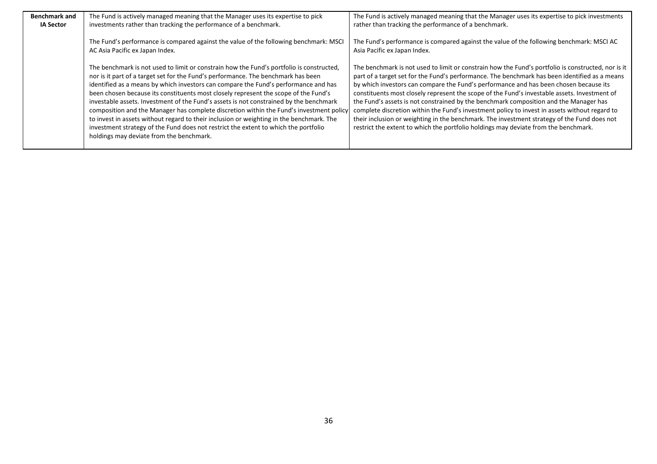| <b>Benchmark and</b> | The Fund is actively managed meaning that the Manager uses its expertise to pick                                                                                                                                                                                                                                                                                                                                                                                                                                                                                                                                                                                                                                                                                                | The Fund is actively managed meaning that the Manager uses its expertise to pick investments                                                                                                                                                                                                                                                                                                                                                                                                                                                                                                                                                                                                                                                                                 |
|----------------------|---------------------------------------------------------------------------------------------------------------------------------------------------------------------------------------------------------------------------------------------------------------------------------------------------------------------------------------------------------------------------------------------------------------------------------------------------------------------------------------------------------------------------------------------------------------------------------------------------------------------------------------------------------------------------------------------------------------------------------------------------------------------------------|------------------------------------------------------------------------------------------------------------------------------------------------------------------------------------------------------------------------------------------------------------------------------------------------------------------------------------------------------------------------------------------------------------------------------------------------------------------------------------------------------------------------------------------------------------------------------------------------------------------------------------------------------------------------------------------------------------------------------------------------------------------------------|
| <b>IA Sector</b>     | investments rather than tracking the performance of a benchmark.                                                                                                                                                                                                                                                                                                                                                                                                                                                                                                                                                                                                                                                                                                                | rather than tracking the performance of a benchmark.                                                                                                                                                                                                                                                                                                                                                                                                                                                                                                                                                                                                                                                                                                                         |
|                      | The Fund's performance is compared against the value of the following benchmark: MSCI<br>AC Asia Pacific ex Japan Index.                                                                                                                                                                                                                                                                                                                                                                                                                                                                                                                                                                                                                                                        | The Fund's performance is compared against the value of the following benchmark: MSCI AC<br>Asia Pacific ex Japan Index.                                                                                                                                                                                                                                                                                                                                                                                                                                                                                                                                                                                                                                                     |
|                      | The benchmark is not used to limit or constrain how the Fund's portfolio is constructed,<br>nor is it part of a target set for the Fund's performance. The benchmark has been<br>identified as a means by which investors can compare the Fund's performance and has<br>been chosen because its constituents most closely represent the scope of the Fund's<br>investable assets. Investment of the Fund's assets is not constrained by the benchmark<br>composition and the Manager has complete discretion within the Fund's investment policy<br>to invest in assets without regard to their inclusion or weighting in the benchmark. The<br>investment strategy of the Fund does not restrict the extent to which the portfolio<br>holdings may deviate from the benchmark. | The benchmark is not used to limit or constrain how the Fund's portfolio is constructed, nor is it<br>part of a target set for the Fund's performance. The benchmark has been identified as a means<br>by which investors can compare the Fund's performance and has been chosen because its<br>constituents most closely represent the scope of the Fund's investable assets. Investment of<br>the Fund's assets is not constrained by the benchmark composition and the Manager has<br>complete discretion within the Fund's investment policy to invest in assets without regard to<br>their inclusion or weighting in the benchmark. The investment strategy of the Fund does not<br>restrict the extent to which the portfolio holdings may deviate from the benchmark. |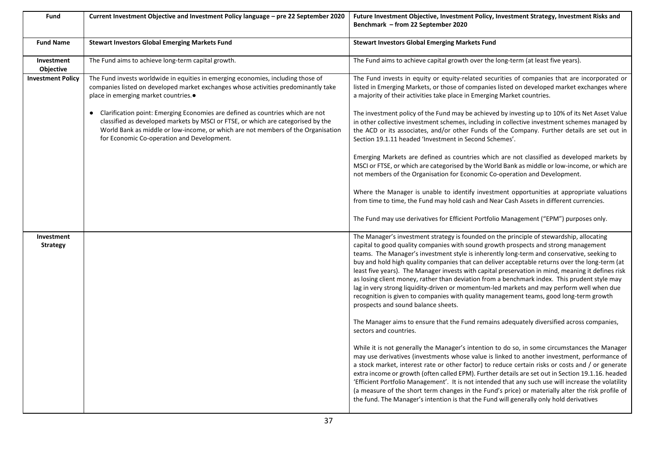| <b>Fund</b>                    | Current Investment Objective and Investment Policy language - pre 22 September 2020                                                                                                                                                                                                                    | Future Investment Objective, Investment Policy, Investment Strategy, Investment Risks and<br>Benchmark – from 22 September 2020                                                                                                                                                                                                                                                                                                                                                                                                                                                                                                                                                                                                                                                                                    |
|--------------------------------|--------------------------------------------------------------------------------------------------------------------------------------------------------------------------------------------------------------------------------------------------------------------------------------------------------|--------------------------------------------------------------------------------------------------------------------------------------------------------------------------------------------------------------------------------------------------------------------------------------------------------------------------------------------------------------------------------------------------------------------------------------------------------------------------------------------------------------------------------------------------------------------------------------------------------------------------------------------------------------------------------------------------------------------------------------------------------------------------------------------------------------------|
| <b>Fund Name</b>               | <b>Stewart Investors Global Emerging Markets Fund</b>                                                                                                                                                                                                                                                  | <b>Stewart Investors Global Emerging Markets Fund</b>                                                                                                                                                                                                                                                                                                                                                                                                                                                                                                                                                                                                                                                                                                                                                              |
| Investment<br><b>Objective</b> | The Fund aims to achieve long-term capital growth.                                                                                                                                                                                                                                                     | The Fund aims to achieve capital growth over the long-term (at least five years).                                                                                                                                                                                                                                                                                                                                                                                                                                                                                                                                                                                                                                                                                                                                  |
| <b>Investment Policy</b>       | The Fund invests worldwide in equities in emerging economies, including those of<br>companies listed on developed market exchanges whose activities predominantly take<br>place in emerging market countries                                                                                           | The Fund invests in equity or equity-related securities of companies that are incorporated or<br>listed in Emerging Markets, or those of companies listed on developed market exchanges where<br>a majority of their activities take place in Emerging Market countries.                                                                                                                                                                                                                                                                                                                                                                                                                                                                                                                                           |
|                                | • Clarification point: Emerging Economies are defined as countries which are not<br>classified as developed markets by MSCI or FTSE, or which are categorised by the<br>World Bank as middle or low-income, or which are not members of the Organisation<br>for Economic Co-operation and Development. | The investment policy of the Fund may be achieved by investing up to 10% of its Net Asset Value<br>in other collective investment schemes, including in collective investment schemes managed by<br>the ACD or its associates, and/or other Funds of the Company. Further details are set out in<br>Section 19.1.11 headed 'Investment in Second Schemes'.                                                                                                                                                                                                                                                                                                                                                                                                                                                         |
|                                |                                                                                                                                                                                                                                                                                                        | Emerging Markets are defined as countries which are not classified as developed markets by<br>MSCI or FTSE, or which are categorised by the World Bank as middle or low-income, or which are<br>not members of the Organisation for Economic Co-operation and Development.                                                                                                                                                                                                                                                                                                                                                                                                                                                                                                                                         |
|                                |                                                                                                                                                                                                                                                                                                        | Where the Manager is unable to identify investment opportunities at appropriate valuations<br>from time to time, the Fund may hold cash and Near Cash Assets in different currencies.                                                                                                                                                                                                                                                                                                                                                                                                                                                                                                                                                                                                                              |
|                                |                                                                                                                                                                                                                                                                                                        | The Fund may use derivatives for Efficient Portfolio Management ("EPM") purposes only.                                                                                                                                                                                                                                                                                                                                                                                                                                                                                                                                                                                                                                                                                                                             |
| Investment<br><b>Strategy</b>  |                                                                                                                                                                                                                                                                                                        | The Manager's investment strategy is founded on the principle of stewardship, allocating<br>capital to good quality companies with sound growth prospects and strong management<br>teams. The Manager's investment style is inherently long-term and conservative, seeking to<br>buy and hold high quality companies that can deliver acceptable returns over the long-term (at<br>least five years). The Manager invests with capital preservation in mind, meaning it defines risk<br>as losing client money, rather than deviation from a benchmark index. This prudent style may<br>lag in very strong liquidity-driven or momentum-led markets and may perform well when due<br>recognition is given to companies with quality management teams, good long-term growth<br>prospects and sound balance sheets. |
|                                |                                                                                                                                                                                                                                                                                                        | The Manager aims to ensure that the Fund remains adequately diversified across companies,<br>sectors and countries.                                                                                                                                                                                                                                                                                                                                                                                                                                                                                                                                                                                                                                                                                                |
|                                |                                                                                                                                                                                                                                                                                                        | While it is not generally the Manager's intention to do so, in some circumstances the Manager<br>may use derivatives (investments whose value is linked to another investment, performance of<br>a stock market, interest rate or other factor) to reduce certain risks or costs and / or generate<br>extra income or growth (often called EPM). Further details are set out in Section 19.1.16. headed<br>'Efficient Portfolio Management'. It is not intended that any such use will increase the volatility<br>(a measure of the short term changes in the Fund's price) or materially alter the risk profile of<br>the fund. The Manager's intention is that the Fund will generally only hold derivatives                                                                                                     |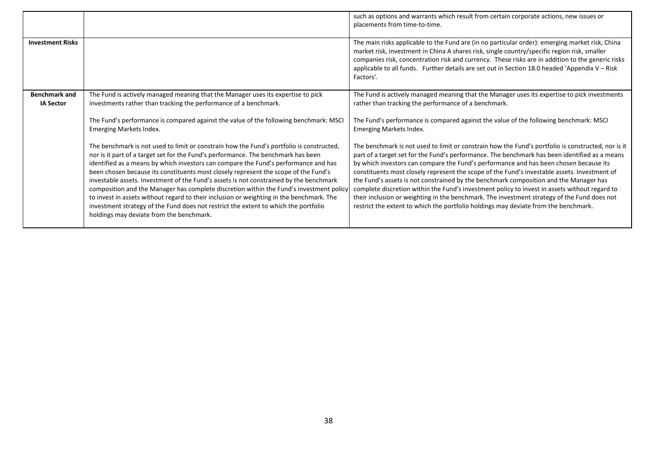|                                          |                                                                                                                                                                                                                                                                                                                                                                                                                                                                                                                                                                                                                                                                                                                                                                                 | such as options and warrants which result from certain corporate actions, new issues or<br>placements from time-to-time.                                                                                                                                                                                                                                                                                                                                                                                                                                                                                                                                                                                                                                                     |
|------------------------------------------|---------------------------------------------------------------------------------------------------------------------------------------------------------------------------------------------------------------------------------------------------------------------------------------------------------------------------------------------------------------------------------------------------------------------------------------------------------------------------------------------------------------------------------------------------------------------------------------------------------------------------------------------------------------------------------------------------------------------------------------------------------------------------------|------------------------------------------------------------------------------------------------------------------------------------------------------------------------------------------------------------------------------------------------------------------------------------------------------------------------------------------------------------------------------------------------------------------------------------------------------------------------------------------------------------------------------------------------------------------------------------------------------------------------------------------------------------------------------------------------------------------------------------------------------------------------------|
| <b>Investment Risks</b>                  |                                                                                                                                                                                                                                                                                                                                                                                                                                                                                                                                                                                                                                                                                                                                                                                 | The main risks applicable to the Fund are (in no particular order): emerging market risk, China<br>market risk, investment in China A shares risk, single country/specific region risk, smaller<br>companies risk, concentration risk and currency. These risks are in addition to the generic risks<br>applicable to all funds. Further details are set out in Section 18.0 headed 'Appendix V - Risk<br>Factors'.                                                                                                                                                                                                                                                                                                                                                          |
| <b>Benchmark and</b><br><b>IA Sector</b> | The Fund is actively managed meaning that the Manager uses its expertise to pick<br>investments rather than tracking the performance of a benchmark.                                                                                                                                                                                                                                                                                                                                                                                                                                                                                                                                                                                                                            | The Fund is actively managed meaning that the Manager uses its expertise to pick investments<br>rather than tracking the performance of a benchmark.                                                                                                                                                                                                                                                                                                                                                                                                                                                                                                                                                                                                                         |
|                                          | The Fund's performance is compared against the value of the following benchmark: MSCI<br>Emerging Markets Index.                                                                                                                                                                                                                                                                                                                                                                                                                                                                                                                                                                                                                                                                | The Fund's performance is compared against the value of the following benchmark: MSCI<br><b>Emerging Markets Index.</b>                                                                                                                                                                                                                                                                                                                                                                                                                                                                                                                                                                                                                                                      |
|                                          | The benchmark is not used to limit or constrain how the Fund's portfolio is constructed,<br>nor is it part of a target set for the Fund's performance. The benchmark has been<br>identified as a means by which investors can compare the Fund's performance and has<br>been chosen because its constituents most closely represent the scope of the Fund's<br>investable assets. Investment of the Fund's assets is not constrained by the benchmark<br>composition and the Manager has complete discretion within the Fund's investment policy<br>to invest in assets without regard to their inclusion or weighting in the benchmark. The<br>investment strategy of the Fund does not restrict the extent to which the portfolio<br>holdings may deviate from the benchmark. | The benchmark is not used to limit or constrain how the Fund's portfolio is constructed, nor is it<br>part of a target set for the Fund's performance. The benchmark has been identified as a means<br>by which investors can compare the Fund's performance and has been chosen because its<br>constituents most closely represent the scope of the Fund's investable assets. Investment of<br>the Fund's assets is not constrained by the benchmark composition and the Manager has<br>complete discretion within the Fund's investment policy to invest in assets without regard to<br>their inclusion or weighting in the benchmark. The investment strategy of the Fund does not<br>restrict the extent to which the portfolio holdings may deviate from the benchmark. |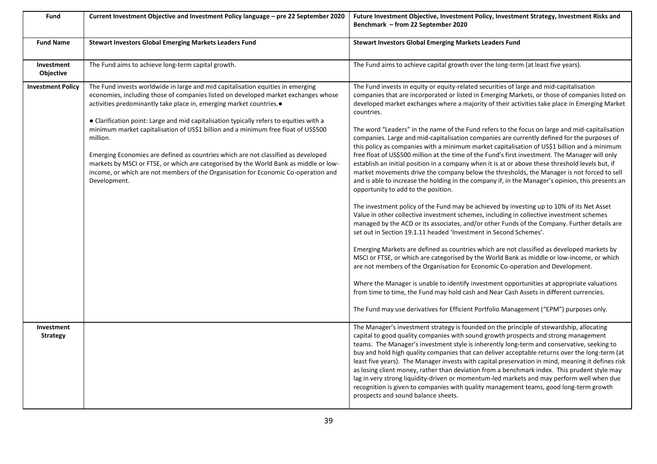| Fund                           | Current Investment Objective and Investment Policy language - pre 22 September 2020                                                                                                                                                                                                                                                                                                | Future Investment Objective, Investment Policy, Investment Strategy, Investment Risks and<br>Benchmark - from 22 September 2020                                                                                                                                                                                                                                                                                                                                                                                                                                                                                                                                                                                                                                                                                    |
|--------------------------------|------------------------------------------------------------------------------------------------------------------------------------------------------------------------------------------------------------------------------------------------------------------------------------------------------------------------------------------------------------------------------------|--------------------------------------------------------------------------------------------------------------------------------------------------------------------------------------------------------------------------------------------------------------------------------------------------------------------------------------------------------------------------------------------------------------------------------------------------------------------------------------------------------------------------------------------------------------------------------------------------------------------------------------------------------------------------------------------------------------------------------------------------------------------------------------------------------------------|
| <b>Fund Name</b>               | <b>Stewart Investors Global Emerging Markets Leaders Fund</b>                                                                                                                                                                                                                                                                                                                      | Stewart Investors Global Emerging Markets Leaders Fund                                                                                                                                                                                                                                                                                                                                                                                                                                                                                                                                                                                                                                                                                                                                                             |
| Investment<br><b>Objective</b> | The Fund aims to achieve long-term capital growth.                                                                                                                                                                                                                                                                                                                                 | The Fund aims to achieve capital growth over the long-term (at least five years).                                                                                                                                                                                                                                                                                                                                                                                                                                                                                                                                                                                                                                                                                                                                  |
| <b>Investment Policy</b>       | The Fund invests worldwide in large and mid capitalisation equities in emerging<br>economies, including those of companies listed on developed market exchanges whose<br>activities predominantly take place in, emerging market countries.<br>• Clarification point: Large and mid capitalisation typically refers to equities with a                                             | The Fund invests in equity or equity-related securities of large and mid-capitalisation<br>companies that are incorporated or listed in Emerging Markets, or those of companies listed on<br>developed market exchanges where a majority of their activities take place in Emerging Market<br>countries.                                                                                                                                                                                                                                                                                                                                                                                                                                                                                                           |
|                                | minimum market capitalisation of US\$1 billion and a minimum free float of US\$500<br>million.<br>Emerging Economies are defined as countries which are not classified as developed<br>markets by MSCI or FTSE, or which are categorised by the World Bank as middle or low-<br>income, or which are not members of the Organisation for Economic Co-operation and<br>Development. | The word "Leaders" in the name of the Fund refers to the focus on large and mid-capitalisation<br>companies. Large and mid-capitalisation companies are currently defined for the purposes of<br>this policy as companies with a minimum market capitalisation of US\$1 billion and a minimum<br>free float of US\$500 million at the time of the Fund's first investment. The Manager will only<br>establish an initial position in a company when it is at or above these threshold levels but, if<br>market movements drive the company below the thresholds, the Manager is not forced to sell<br>and is able to increase the holding in the company if, in the Manager's opinion, this presents an<br>opportunity to add to the position.                                                                     |
|                                |                                                                                                                                                                                                                                                                                                                                                                                    | The investment policy of the Fund may be achieved by investing up to 10% of its Net Asset<br>Value in other collective investment schemes, including in collective investment schemes<br>managed by the ACD or its associates, and/or other Funds of the Company. Further details are<br>set out in Section 19.1.11 headed 'Investment in Second Schemes'.                                                                                                                                                                                                                                                                                                                                                                                                                                                         |
|                                |                                                                                                                                                                                                                                                                                                                                                                                    | Emerging Markets are defined as countries which are not classified as developed markets by<br>MSCI or FTSE, or which are categorised by the World Bank as middle or low-income, or which<br>are not members of the Organisation for Economic Co-operation and Development.                                                                                                                                                                                                                                                                                                                                                                                                                                                                                                                                         |
|                                |                                                                                                                                                                                                                                                                                                                                                                                    | Where the Manager is unable to identify investment opportunities at appropriate valuations<br>from time to time, the Fund may hold cash and Near Cash Assets in different currencies.                                                                                                                                                                                                                                                                                                                                                                                                                                                                                                                                                                                                                              |
|                                |                                                                                                                                                                                                                                                                                                                                                                                    | The Fund may use derivatives for Efficient Portfolio Management ("EPM") purposes only.                                                                                                                                                                                                                                                                                                                                                                                                                                                                                                                                                                                                                                                                                                                             |
| Investment<br><b>Strategy</b>  |                                                                                                                                                                                                                                                                                                                                                                                    | The Manager's investment strategy is founded on the principle of stewardship, allocating<br>capital to good quality companies with sound growth prospects and strong management<br>teams. The Manager's investment style is inherently long-term and conservative, seeking to<br>buy and hold high quality companies that can deliver acceptable returns over the long-term (at<br>least five years). The Manager invests with capital preservation in mind, meaning it defines risk<br>as losing client money, rather than deviation from a benchmark index. This prudent style may<br>lag in very strong liquidity-driven or momentum-led markets and may perform well when due<br>recognition is given to companies with quality management teams, good long-term growth<br>prospects and sound balance sheets. |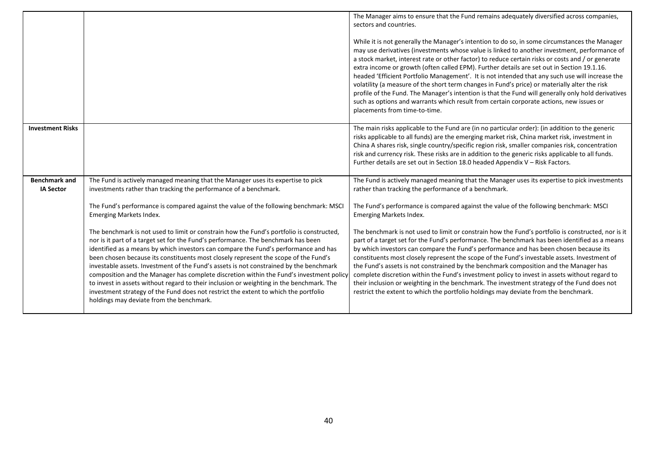|                                          |                                                                                                                                                                                                                                                                                                                                                                                                                                                                                                                                                                                                                                                                                                                                                                                 | The Manager aims to ensure that the Fund remains adequately diversified across companies,<br>sectors and countries.<br>While it is not generally the Manager's intention to do so, in some circumstances the Manager<br>may use derivatives (investments whose value is linked to another investment, performance of<br>a stock market, interest rate or other factor) to reduce certain risks or costs and / or generate<br>extra income or growth (often called EPM). Further details are set out in Section 19.1.16.<br>headed 'Efficient Portfolio Management'. It is not intended that any such use will increase the<br>volatility (a measure of the short term changes in Fund's price) or materially alter the risk<br>profile of the Fund. The Manager's intention is that the Fund will generally only hold derivatives<br>such as options and warrants which result from certain corporate actions, new issues or<br>placements from time-to-time. |
|------------------------------------------|---------------------------------------------------------------------------------------------------------------------------------------------------------------------------------------------------------------------------------------------------------------------------------------------------------------------------------------------------------------------------------------------------------------------------------------------------------------------------------------------------------------------------------------------------------------------------------------------------------------------------------------------------------------------------------------------------------------------------------------------------------------------------------|---------------------------------------------------------------------------------------------------------------------------------------------------------------------------------------------------------------------------------------------------------------------------------------------------------------------------------------------------------------------------------------------------------------------------------------------------------------------------------------------------------------------------------------------------------------------------------------------------------------------------------------------------------------------------------------------------------------------------------------------------------------------------------------------------------------------------------------------------------------------------------------------------------------------------------------------------------------|
| <b>Investment Risks</b>                  |                                                                                                                                                                                                                                                                                                                                                                                                                                                                                                                                                                                                                                                                                                                                                                                 | The main risks applicable to the Fund are (in no particular order): (in addition to the generic<br>risks applicable to all funds) are the emerging market risk, China market risk, investment in<br>China A shares risk, single country/specific region risk, smaller companies risk, concentration<br>risk and currency risk. These risks are in addition to the generic risks applicable to all funds.<br>Further details are set out in Section 18.0 headed Appendix V - Risk Factors.                                                                                                                                                                                                                                                                                                                                                                                                                                                                     |
| <b>Benchmark and</b><br><b>IA Sector</b> | The Fund is actively managed meaning that the Manager uses its expertise to pick<br>investments rather than tracking the performance of a benchmark.<br>The Fund's performance is compared against the value of the following benchmark: MSCI<br>Emerging Markets Index.                                                                                                                                                                                                                                                                                                                                                                                                                                                                                                        | The Fund is actively managed meaning that the Manager uses its expertise to pick investments<br>rather than tracking the performance of a benchmark.<br>The Fund's performance is compared against the value of the following benchmark: MSCI<br>Emerging Markets Index.                                                                                                                                                                                                                                                                                                                                                                                                                                                                                                                                                                                                                                                                                      |
|                                          | The benchmark is not used to limit or constrain how the Fund's portfolio is constructed,<br>nor is it part of a target set for the Fund's performance. The benchmark has been<br>identified as a means by which investors can compare the Fund's performance and has<br>been chosen because its constituents most closely represent the scope of the Fund's<br>investable assets. Investment of the Fund's assets is not constrained by the benchmark<br>composition and the Manager has complete discretion within the Fund's investment policy<br>to invest in assets without regard to their inclusion or weighting in the benchmark. The<br>investment strategy of the Fund does not restrict the extent to which the portfolio<br>holdings may deviate from the benchmark. | The benchmark is not used to limit or constrain how the Fund's portfolio is constructed, nor is it<br>part of a target set for the Fund's performance. The benchmark has been identified as a means<br>by which investors can compare the Fund's performance and has been chosen because its<br>constituents most closely represent the scope of the Fund's investable assets. Investment of<br>the Fund's assets is not constrained by the benchmark composition and the Manager has<br>complete discretion within the Fund's investment policy to invest in assets without regard to<br>their inclusion or weighting in the benchmark. The investment strategy of the Fund does not<br>restrict the extent to which the portfolio holdings may deviate from the benchmark.                                                                                                                                                                                  |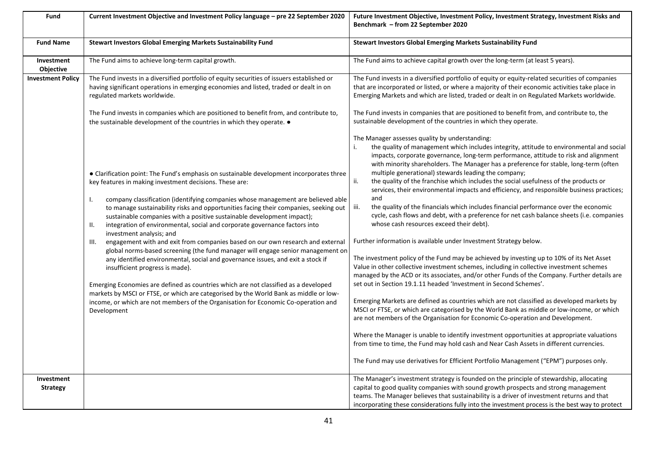| Fund                           | Current Investment Objective and Investment Policy language - pre 22 September 2020                                                                                                                                                                                                                                                                                                                                                                                                                                                                                                                                                                                                                                                                                                                                                                                                                                                                                                                                                                                                                                      | Future Investment Objective, Investment Policy, Investment Strategy, Investment Risks and<br>Benchmark - from 22 September 2020                                                                                                                                                                                                                                                                                                                                                                                                                                                                                                                                                                                                                                                                                                                                                                                                                                                                                                                                                                                                                                                                                                                                                                                                                                                                                                                                                                                                                                                                                                                                                                                                                                                                                                     |
|--------------------------------|--------------------------------------------------------------------------------------------------------------------------------------------------------------------------------------------------------------------------------------------------------------------------------------------------------------------------------------------------------------------------------------------------------------------------------------------------------------------------------------------------------------------------------------------------------------------------------------------------------------------------------------------------------------------------------------------------------------------------------------------------------------------------------------------------------------------------------------------------------------------------------------------------------------------------------------------------------------------------------------------------------------------------------------------------------------------------------------------------------------------------|-------------------------------------------------------------------------------------------------------------------------------------------------------------------------------------------------------------------------------------------------------------------------------------------------------------------------------------------------------------------------------------------------------------------------------------------------------------------------------------------------------------------------------------------------------------------------------------------------------------------------------------------------------------------------------------------------------------------------------------------------------------------------------------------------------------------------------------------------------------------------------------------------------------------------------------------------------------------------------------------------------------------------------------------------------------------------------------------------------------------------------------------------------------------------------------------------------------------------------------------------------------------------------------------------------------------------------------------------------------------------------------------------------------------------------------------------------------------------------------------------------------------------------------------------------------------------------------------------------------------------------------------------------------------------------------------------------------------------------------------------------------------------------------------------------------------------------------|
| <b>Fund Name</b>               | <b>Stewart Investors Global Emerging Markets Sustainability Fund</b>                                                                                                                                                                                                                                                                                                                                                                                                                                                                                                                                                                                                                                                                                                                                                                                                                                                                                                                                                                                                                                                     | Stewart Investors Global Emerging Markets Sustainability Fund                                                                                                                                                                                                                                                                                                                                                                                                                                                                                                                                                                                                                                                                                                                                                                                                                                                                                                                                                                                                                                                                                                                                                                                                                                                                                                                                                                                                                                                                                                                                                                                                                                                                                                                                                                       |
| Investment<br><b>Objective</b> | The Fund aims to achieve long-term capital growth.                                                                                                                                                                                                                                                                                                                                                                                                                                                                                                                                                                                                                                                                                                                                                                                                                                                                                                                                                                                                                                                                       | The Fund aims to achieve capital growth over the long-term (at least 5 years).                                                                                                                                                                                                                                                                                                                                                                                                                                                                                                                                                                                                                                                                                                                                                                                                                                                                                                                                                                                                                                                                                                                                                                                                                                                                                                                                                                                                                                                                                                                                                                                                                                                                                                                                                      |
| <b>Investment Policy</b>       | The Fund invests in a diversified portfolio of equity securities of issuers established or<br>having significant operations in emerging economies and listed, traded or dealt in on<br>regulated markets worldwide.                                                                                                                                                                                                                                                                                                                                                                                                                                                                                                                                                                                                                                                                                                                                                                                                                                                                                                      | The Fund invests in a diversified portfolio of equity or equity-related securities of companies<br>that are incorporated or listed, or where a majority of their economic activities take place in<br>Emerging Markets and which are listed, traded or dealt in on Regulated Markets worldwide.                                                                                                                                                                                                                                                                                                                                                                                                                                                                                                                                                                                                                                                                                                                                                                                                                                                                                                                                                                                                                                                                                                                                                                                                                                                                                                                                                                                                                                                                                                                                     |
|                                | The Fund invests in companies which are positioned to benefit from, and contribute to,<br>the sustainable development of the countries in which they operate. •                                                                                                                                                                                                                                                                                                                                                                                                                                                                                                                                                                                                                                                                                                                                                                                                                                                                                                                                                          | The Fund invests in companies that are positioned to benefit from, and contribute to, the<br>sustainable development of the countries in which they operate.                                                                                                                                                                                                                                                                                                                                                                                                                                                                                                                                                                                                                                                                                                                                                                                                                                                                                                                                                                                                                                                                                                                                                                                                                                                                                                                                                                                                                                                                                                                                                                                                                                                                        |
|                                | • Clarification point: The Fund's emphasis on sustainable development incorporates three<br>key features in making investment decisions. These are:<br>company classification (identifying companies whose management are believed able<br>Ι.<br>to manage sustainability risks and opportunities facing their companies, seeking out<br>sustainable companies with a positive sustainable development impact);<br>integration of environmental, social and corporate governance factors into<br>II.<br>investment analysis; and<br>engagement with and exit from companies based on our own research and external<br>III.<br>global norms-based screening (the fund manager will engage senior management on<br>any identified environmental, social and governance issues, and exit a stock if<br>insufficient progress is made).<br>Emerging Economies are defined as countries which are not classified as a developed<br>markets by MSCI or FTSE, or which are categorised by the World Bank as middle or low-<br>income, or which are not members of the Organisation for Economic Co-operation and<br>Development | The Manager assesses quality by understanding:<br>the quality of management which includes integrity, attitude to environmental and social<br>impacts, corporate governance, long-term performance, attitude to risk and alignment<br>with minority shareholders. The Manager has a preference for stable, long-term (often<br>multiple generational) stewards leading the company;<br>the quality of the franchise which includes the social usefulness of the products or<br>ii.<br>services, their environmental impacts and efficiency, and responsible business practices;<br>and<br>iii.<br>the quality of the financials which includes financial performance over the economic<br>cycle, cash flows and debt, with a preference for net cash balance sheets (i.e. companies<br>whose cash resources exceed their debt).<br>Further information is available under Investment Strategy below.<br>The investment policy of the Fund may be achieved by investing up to 10% of its Net Asset<br>Value in other collective investment schemes, including in collective investment schemes<br>managed by the ACD or its associates, and/or other Funds of the Company. Further details are<br>set out in Section 19.1.11 headed 'Investment in Second Schemes'.<br>Emerging Markets are defined as countries which are not classified as developed markets by<br>MSCI or FTSE, or which are categorised by the World Bank as middle or low-income, or which<br>are not members of the Organisation for Economic Co-operation and Development.<br>Where the Manager is unable to identify investment opportunities at appropriate valuations<br>from time to time, the Fund may hold cash and Near Cash Assets in different currencies.<br>The Fund may use derivatives for Efficient Portfolio Management ("EPM") purposes only. |
| Investment<br><b>Strategy</b>  |                                                                                                                                                                                                                                                                                                                                                                                                                                                                                                                                                                                                                                                                                                                                                                                                                                                                                                                                                                                                                                                                                                                          | The Manager's investment strategy is founded on the principle of stewardship, allocating<br>capital to good quality companies with sound growth prospects and strong management<br>teams. The Manager believes that sustainability is a driver of investment returns and that<br>incorporating these considerations fully into the investment process is the best way to protect                                                                                                                                                                                                                                                                                                                                                                                                                                                                                                                                                                                                                                                                                                                                                                                                                                                                                                                                                                                                                                                                                                                                                                                                                                                                                                                                                                                                                                                    |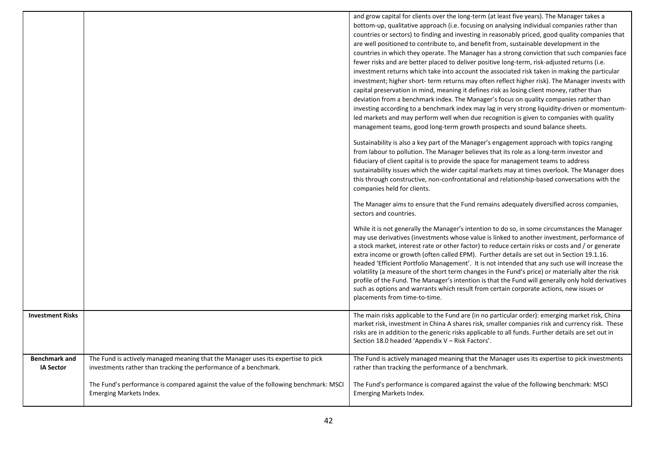| <b>Investment Risks</b>                  |                                                                                                                                                      | and grow capital for clients over the long-term (at least five years). The Manager takes a<br>bottom-up, qualitative approach (i.e. focusing on analysing individual companies rather than<br>countries or sectors) to finding and investing in reasonably priced, good quality companies that<br>are well positioned to contribute to, and benefit from, sustainable development in the<br>countries in which they operate. The Manager has a strong conviction that such companies face<br>fewer risks and are better placed to deliver positive long-term, risk-adjusted returns (i.e.<br>investment returns which take into account the associated risk taken in making the particular<br>investment; higher short- term returns may often reflect higher risk). The Manager invests with<br>capital preservation in mind, meaning it defines risk as losing client money, rather than<br>deviation from a benchmark index. The Manager's focus on quality companies rather than<br>investing according to a benchmark index may lag in very strong liquidity-driven or momentum-<br>led markets and may perform well when due recognition is given to companies with quality<br>management teams, good long-term growth prospects and sound balance sheets.<br>Sustainability is also a key part of the Manager's engagement approach with topics ranging<br>from labour to pollution. The Manager believes that its role as a long-term investor and<br>fiduciary of client capital is to provide the space for management teams to address<br>sustainability issues which the wider capital markets may at times overlook. The Manager does<br>this through constructive, non-confrontational and relationship-based conversations with the<br>companies held for clients.<br>The Manager aims to ensure that the Fund remains adequately diversified across companies,<br>sectors and countries.<br>While it is not generally the Manager's intention to do so, in some circumstances the Manager<br>may use derivatives (investments whose value is linked to another investment, performance of<br>a stock market, interest rate or other factor) to reduce certain risks or costs and / or generate<br>extra income or growth (often called EPM). Further details are set out in Section 19.1.16.<br>headed 'Efficient Portfolio Management'. It is not intended that any such use will increase the<br>volatility (a measure of the short term changes in the Fund's price) or materially alter the risk<br>profile of the Fund. The Manager's intention is that the Fund will generally only hold derivatives<br>such as options and warrants which result from certain corporate actions, new issues or<br>placements from time-to-time.<br>The main risks applicable to the Fund are (in no particular order): emerging market risk, China<br>market risk, investment in China A shares risk, smaller companies risk and currency risk. These<br>risks are in addition to the generic risks applicable to all funds. Further details are set out in |
|------------------------------------------|------------------------------------------------------------------------------------------------------------------------------------------------------|--------------------------------------------------------------------------------------------------------------------------------------------------------------------------------------------------------------------------------------------------------------------------------------------------------------------------------------------------------------------------------------------------------------------------------------------------------------------------------------------------------------------------------------------------------------------------------------------------------------------------------------------------------------------------------------------------------------------------------------------------------------------------------------------------------------------------------------------------------------------------------------------------------------------------------------------------------------------------------------------------------------------------------------------------------------------------------------------------------------------------------------------------------------------------------------------------------------------------------------------------------------------------------------------------------------------------------------------------------------------------------------------------------------------------------------------------------------------------------------------------------------------------------------------------------------------------------------------------------------------------------------------------------------------------------------------------------------------------------------------------------------------------------------------------------------------------------------------------------------------------------------------------------------------------------------------------------------------------------------------------------------------------------------------------------------------------------------------------------------------------------------------------------------------------------------------------------------------------------------------------------------------------------------------------------------------------------------------------------------------------------------------------------------------------------------------------------------------------------------------------------------------------------------------------------------------------------------------------------------------------------------------------------------------------------------------------------------------------------------------------------------------------------------------------------------------------------------------------------------------------------------------------------------------------------------------------------------------------------------------------------------------------------------------------------------------|
|                                          |                                                                                                                                                      | Section 18.0 headed 'Appendix V - Risk Factors'.                                                                                                                                                                                                                                                                                                                                                                                                                                                                                                                                                                                                                                                                                                                                                                                                                                                                                                                                                                                                                                                                                                                                                                                                                                                                                                                                                                                                                                                                                                                                                                                                                                                                                                                                                                                                                                                                                                                                                                                                                                                                                                                                                                                                                                                                                                                                                                                                                                                                                                                                                                                                                                                                                                                                                                                                                                                                                                                                                                                                                   |
| <b>Benchmark and</b><br><b>IA Sector</b> | The Fund is actively managed meaning that the Manager uses its expertise to pick<br>investments rather than tracking the performance of a benchmark. | The Fund is actively managed meaning that the Manager uses its expertise to pick investments<br>rather than tracking the performance of a benchmark.                                                                                                                                                                                                                                                                                                                                                                                                                                                                                                                                                                                                                                                                                                                                                                                                                                                                                                                                                                                                                                                                                                                                                                                                                                                                                                                                                                                                                                                                                                                                                                                                                                                                                                                                                                                                                                                                                                                                                                                                                                                                                                                                                                                                                                                                                                                                                                                                                                                                                                                                                                                                                                                                                                                                                                                                                                                                                                               |
|                                          | The Fund's performance is compared against the value of the following benchmark: MSCI<br><b>Emerging Markets Index.</b>                              | The Fund's performance is compared against the value of the following benchmark: MSCI<br><b>Emerging Markets Index.</b>                                                                                                                                                                                                                                                                                                                                                                                                                                                                                                                                                                                                                                                                                                                                                                                                                                                                                                                                                                                                                                                                                                                                                                                                                                                                                                                                                                                                                                                                                                                                                                                                                                                                                                                                                                                                                                                                                                                                                                                                                                                                                                                                                                                                                                                                                                                                                                                                                                                                                                                                                                                                                                                                                                                                                                                                                                                                                                                                            |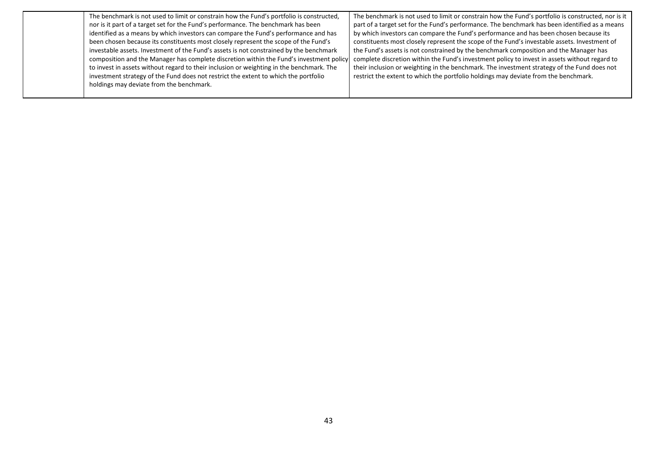| The benchmark is not used to limit or constrain how the Fund's portfolio is constructed, | The benchmark is not used to limit or constrain how the Fund's portfolio is constructed, nor is it |
|------------------------------------------------------------------------------------------|----------------------------------------------------------------------------------------------------|
| nor is it part of a target set for the Fund's performance. The benchmark has been        | part of a target set for the Fund's performance. The benchmark has been identified as a means      |
| identified as a means by which investors can compare the Fund's performance and has      | by which investors can compare the Fund's performance and has been chosen because its              |
| been chosen because its constituents most closely represent the scope of the Fund's      | constituents most closely represent the scope of the Fund's investable assets. Investment of       |
| investable assets. Investment of the Fund's assets is not constrained by the benchmark   | the Fund's assets is not constrained by the benchmark composition and the Manager has              |
| composition and the Manager has complete discretion within the Fund's investment policy  | complete discretion within the Fund's investment policy to invest in assets without regard to      |
| to invest in assets without regard to their inclusion or weighting in the benchmark. The | their inclusion or weighting in the benchmark. The investment strategy of the Fund does not        |
| investment strategy of the Fund does not restrict the extent to which the portfolio      | restrict the extent to which the portfolio holdings may deviate from the benchmark.                |
| holdings may deviate from the benchmark.                                                 |                                                                                                    |
|                                                                                          |                                                                                                    |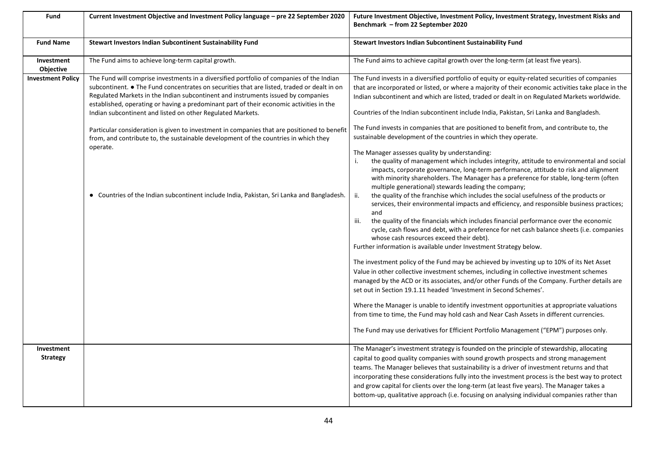| Fund                          | Current Investment Objective and Investment Policy language - pre 22 September 2020                                                                                                                                                                                                                                                                                                                                                                                                                                                                                                                                                                                                                                                | Future Investment Objective, Investment Policy, Investment Strategy, Investment Risks and<br>Benchmark - from 22 September 2020                                                                                                                                                                                                                                                                                                                                                                                                                                                                                                                                                                                                                                                                                                                                                                                                                                                                                                                                                                                                                                                                                                                                                                                                                                                                                                                                                                                                                                                                                                                                                                                                                                                                                                                                                                                                                                                                                                                                                                                            |
|-------------------------------|------------------------------------------------------------------------------------------------------------------------------------------------------------------------------------------------------------------------------------------------------------------------------------------------------------------------------------------------------------------------------------------------------------------------------------------------------------------------------------------------------------------------------------------------------------------------------------------------------------------------------------------------------------------------------------------------------------------------------------|----------------------------------------------------------------------------------------------------------------------------------------------------------------------------------------------------------------------------------------------------------------------------------------------------------------------------------------------------------------------------------------------------------------------------------------------------------------------------------------------------------------------------------------------------------------------------------------------------------------------------------------------------------------------------------------------------------------------------------------------------------------------------------------------------------------------------------------------------------------------------------------------------------------------------------------------------------------------------------------------------------------------------------------------------------------------------------------------------------------------------------------------------------------------------------------------------------------------------------------------------------------------------------------------------------------------------------------------------------------------------------------------------------------------------------------------------------------------------------------------------------------------------------------------------------------------------------------------------------------------------------------------------------------------------------------------------------------------------------------------------------------------------------------------------------------------------------------------------------------------------------------------------------------------------------------------------------------------------------------------------------------------------------------------------------------------------------------------------------------------------|
| <b>Fund Name</b>              | Stewart Investors Indian Subcontinent Sustainability Fund                                                                                                                                                                                                                                                                                                                                                                                                                                                                                                                                                                                                                                                                          | Stewart Investors Indian Subcontinent Sustainability Fund                                                                                                                                                                                                                                                                                                                                                                                                                                                                                                                                                                                                                                                                                                                                                                                                                                                                                                                                                                                                                                                                                                                                                                                                                                                                                                                                                                                                                                                                                                                                                                                                                                                                                                                                                                                                                                                                                                                                                                                                                                                                  |
| Investment<br>Objective       | The Fund aims to achieve long-term capital growth.                                                                                                                                                                                                                                                                                                                                                                                                                                                                                                                                                                                                                                                                                 | The Fund aims to achieve capital growth over the long-term (at least five years).                                                                                                                                                                                                                                                                                                                                                                                                                                                                                                                                                                                                                                                                                                                                                                                                                                                                                                                                                                                                                                                                                                                                                                                                                                                                                                                                                                                                                                                                                                                                                                                                                                                                                                                                                                                                                                                                                                                                                                                                                                          |
| <b>Investment Policy</b>      | The Fund will comprise investments in a diversified portfolio of companies of the Indian<br>subcontinent. ● The Fund concentrates on securities that are listed, traded or dealt in on<br>Regulated Markets in the Indian subcontinent and instruments issued by companies<br>established, operating or having a predominant part of their economic activities in the<br>Indian subcontinent and listed on other Regulated Markets.<br>Particular consideration is given to investment in companies that are positioned to benefit<br>from, and contribute to, the sustainable development of the countries in which they<br>operate.<br>• Countries of the Indian subcontinent include India, Pakistan, Sri Lanka and Bangladesh. | The Fund invests in a diversified portfolio of equity or equity-related securities of companies<br>that are incorporated or listed, or where a majority of their economic activities take place in the<br>Indian subcontinent and which are listed, traded or dealt in on Regulated Markets worldwide.<br>Countries of the Indian subcontinent include India, Pakistan, Sri Lanka and Bangladesh.<br>The Fund invests in companies that are positioned to benefit from, and contribute to, the<br>sustainable development of the countries in which they operate.<br>The Manager assesses quality by understanding:<br>the quality of management which includes integrity, attitude to environmental and social<br>impacts, corporate governance, long-term performance, attitude to risk and alignment<br>with minority shareholders. The Manager has a preference for stable, long-term (often<br>multiple generational) stewards leading the company;<br>ii.<br>the quality of the franchise which includes the social usefulness of the products or<br>services, their environmental impacts and efficiency, and responsible business practices;<br>and<br>the quality of the financials which includes financial performance over the economic<br>iii.<br>cycle, cash flows and debt, with a preference for net cash balance sheets (i.e. companies<br>whose cash resources exceed their debt).<br>Further information is available under Investment Strategy below.<br>The investment policy of the Fund may be achieved by investing up to 10% of its Net Asset<br>Value in other collective investment schemes, including in collective investment schemes<br>managed by the ACD or its associates, and/or other Funds of the Company. Further details are<br>set out in Section 19.1.11 headed 'Investment in Second Schemes'.<br>Where the Manager is unable to identify investment opportunities at appropriate valuations<br>from time to time, the Fund may hold cash and Near Cash Assets in different currencies.<br>The Fund may use derivatives for Efficient Portfolio Management ("EPM") purposes only. |
| Investment<br><b>Strategy</b> |                                                                                                                                                                                                                                                                                                                                                                                                                                                                                                                                                                                                                                                                                                                                    | The Manager's investment strategy is founded on the principle of stewardship, allocating<br>capital to good quality companies with sound growth prospects and strong management<br>teams. The Manager believes that sustainability is a driver of investment returns and that<br>incorporating these considerations fully into the investment process is the best way to protect<br>and grow capital for clients over the long-term (at least five years). The Manager takes a                                                                                                                                                                                                                                                                                                                                                                                                                                                                                                                                                                                                                                                                                                                                                                                                                                                                                                                                                                                                                                                                                                                                                                                                                                                                                                                                                                                                                                                                                                                                                                                                                                             |
|                               |                                                                                                                                                                                                                                                                                                                                                                                                                                                                                                                                                                                                                                                                                                                                    | bottom-up, qualitative approach (i.e. focusing on analysing individual companies rather than                                                                                                                                                                                                                                                                                                                                                                                                                                                                                                                                                                                                                                                                                                                                                                                                                                                                                                                                                                                                                                                                                                                                                                                                                                                                                                                                                                                                                                                                                                                                                                                                                                                                                                                                                                                                                                                                                                                                                                                                                               |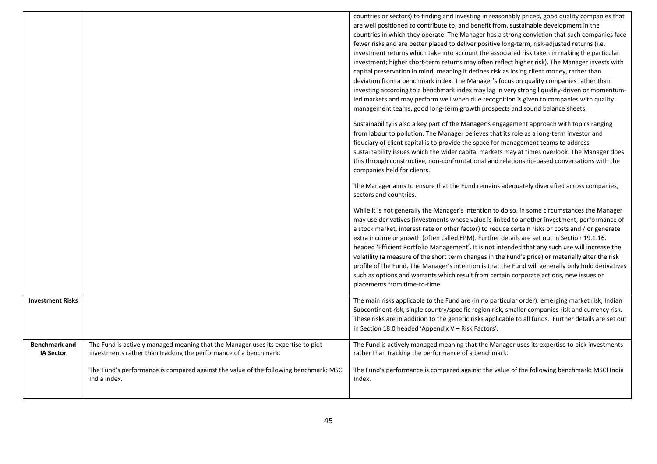|                                          |                                                                                                                                                      | countries or sectors) to finding and investing in reasonably priced, good quality companies that<br>are well positioned to contribute to, and benefit from, sustainable development in the<br>countries in which they operate. The Manager has a strong conviction that such companies face<br>fewer risks and are better placed to deliver positive long-term, risk-adjusted returns (i.e.<br>investment returns which take into account the associated risk taken in making the particular<br>investment; higher short-term returns may often reflect higher risk). The Manager invests with<br>capital preservation in mind, meaning it defines risk as losing client money, rather than<br>deviation from a benchmark index. The Manager's focus on quality companies rather than<br>investing according to a benchmark index may lag in very strong liquidity-driven or momentum-<br>led markets and may perform well when due recognition is given to companies with quality<br>management teams, good long-term growth prospects and sound balance sheets.<br>Sustainability is also a key part of the Manager's engagement approach with topics ranging |
|------------------------------------------|------------------------------------------------------------------------------------------------------------------------------------------------------|-----------------------------------------------------------------------------------------------------------------------------------------------------------------------------------------------------------------------------------------------------------------------------------------------------------------------------------------------------------------------------------------------------------------------------------------------------------------------------------------------------------------------------------------------------------------------------------------------------------------------------------------------------------------------------------------------------------------------------------------------------------------------------------------------------------------------------------------------------------------------------------------------------------------------------------------------------------------------------------------------------------------------------------------------------------------------------------------------------------------------------------------------------------------|
|                                          |                                                                                                                                                      | from labour to pollution. The Manager believes that its role as a long-term investor and<br>fiduciary of client capital is to provide the space for management teams to address<br>sustainability issues which the wider capital markets may at times overlook. The Manager does<br>this through constructive, non-confrontational and relationship-based conversations with the<br>companies held for clients.                                                                                                                                                                                                                                                                                                                                                                                                                                                                                                                                                                                                                                                                                                                                                 |
|                                          |                                                                                                                                                      | The Manager aims to ensure that the Fund remains adequately diversified across companies,<br>sectors and countries.                                                                                                                                                                                                                                                                                                                                                                                                                                                                                                                                                                                                                                                                                                                                                                                                                                                                                                                                                                                                                                             |
|                                          |                                                                                                                                                      | While it is not generally the Manager's intention to do so, in some circumstances the Manager<br>may use derivatives (investments whose value is linked to another investment, performance of<br>a stock market, interest rate or other factor) to reduce certain risks or costs and / or generate<br>extra income or growth (often called EPM). Further details are set out in Section 19.1.16.<br>headed 'Efficient Portfolio Management'. It is not intended that any such use will increase the<br>volatility (a measure of the short term changes in the Fund's price) or materially alter the risk<br>profile of the Fund. The Manager's intention is that the Fund will generally only hold derivatives<br>such as options and warrants which result from certain corporate actions, new issues or<br>placements from time-to-time.                                                                                                                                                                                                                                                                                                                      |
| <b>Investment Risks</b>                  |                                                                                                                                                      | The main risks applicable to the Fund are (in no particular order): emerging market risk, Indian<br>Subcontinent risk, single country/specific region risk, smaller companies risk and currency risk.<br>These risks are in addition to the generic risks applicable to all funds. Further details are set out<br>in Section 18.0 headed 'Appendix V - Risk Factors'.                                                                                                                                                                                                                                                                                                                                                                                                                                                                                                                                                                                                                                                                                                                                                                                           |
| <b>Benchmark and</b><br><b>IA Sector</b> | The Fund is actively managed meaning that the Manager uses its expertise to pick<br>investments rather than tracking the performance of a benchmark. | The Fund is actively managed meaning that the Manager uses its expertise to pick investments<br>rather than tracking the performance of a benchmark.                                                                                                                                                                                                                                                                                                                                                                                                                                                                                                                                                                                                                                                                                                                                                                                                                                                                                                                                                                                                            |
|                                          | The Fund's performance is compared against the value of the following benchmark: MSCI<br>India Index.                                                | The Fund's performance is compared against the value of the following benchmark: MSCI India<br>Index.                                                                                                                                                                                                                                                                                                                                                                                                                                                                                                                                                                                                                                                                                                                                                                                                                                                                                                                                                                                                                                                           |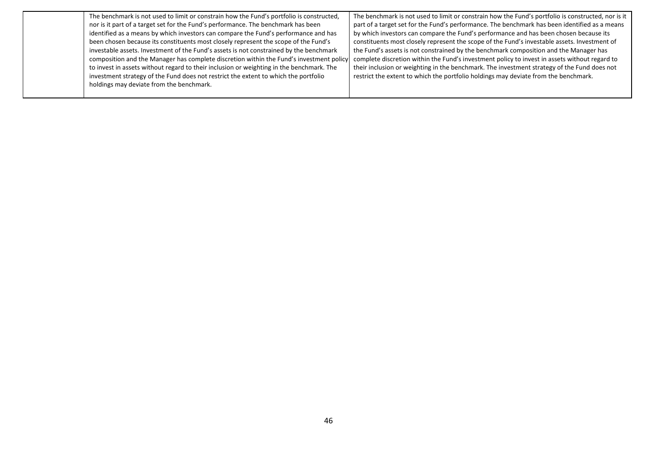| The benchmark is not used to limit or constrain how the Fund's portfolio is constructed, | The benchmark is not used to limit or constrain how the Fund's portfolio is constructed, nor is it |
|------------------------------------------------------------------------------------------|----------------------------------------------------------------------------------------------------|
| nor is it part of a target set for the Fund's performance. The benchmark has been        | part of a target set for the Fund's performance. The benchmark has been identified as a means      |
| identified as a means by which investors can compare the Fund's performance and has      | by which investors can compare the Fund's performance and has been chosen because its              |
| been chosen because its constituents most closely represent the scope of the Fund's      | constituents most closely represent the scope of the Fund's investable assets. Investment of       |
| investable assets. Investment of the Fund's assets is not constrained by the benchmark   | the Fund's assets is not constrained by the benchmark composition and the Manager has              |
| composition and the Manager has complete discretion within the Fund's investment policy  | complete discretion within the Fund's investment policy to invest in assets without regard to      |
| to invest in assets without regard to their inclusion or weighting in the benchmark. The | their inclusion or weighting in the benchmark. The investment strategy of the Fund does not        |
| investment strategy of the Fund does not restrict the extent to which the portfolio      | restrict the extent to which the portfolio holdings may deviate from the benchmark.                |
| holdings may deviate from the benchmark.                                                 |                                                                                                    |
|                                                                                          |                                                                                                    |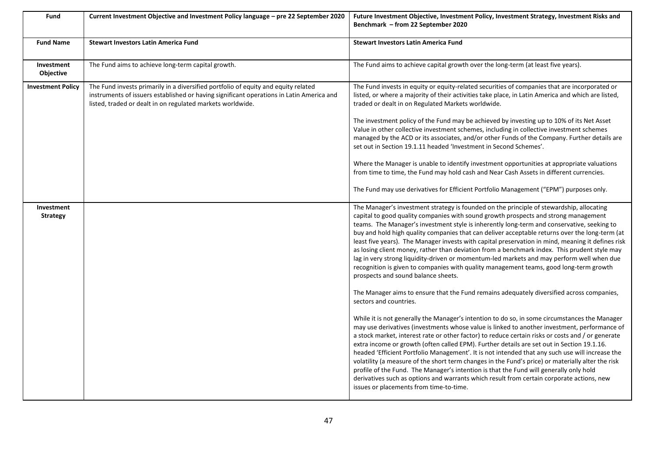| Fund                          | Current Investment Objective and Investment Policy language - pre 22 September 2020                                                                                                                                                          | Future Investment Objective, Investment Policy, Investment Strategy, Investment Risks and<br>Benchmark – from 22 September 2020                                                                                                                                                                                                                                                                                                                                                                                                                                                                                                                                                                                                                                                                                                            |
|-------------------------------|----------------------------------------------------------------------------------------------------------------------------------------------------------------------------------------------------------------------------------------------|--------------------------------------------------------------------------------------------------------------------------------------------------------------------------------------------------------------------------------------------------------------------------------------------------------------------------------------------------------------------------------------------------------------------------------------------------------------------------------------------------------------------------------------------------------------------------------------------------------------------------------------------------------------------------------------------------------------------------------------------------------------------------------------------------------------------------------------------|
| <b>Fund Name</b>              | <b>Stewart Investors Latin America Fund</b>                                                                                                                                                                                                  | <b>Stewart Investors Latin America Fund</b>                                                                                                                                                                                                                                                                                                                                                                                                                                                                                                                                                                                                                                                                                                                                                                                                |
| Investment<br>Objective       | The Fund aims to achieve long-term capital growth.                                                                                                                                                                                           | The Fund aims to achieve capital growth over the long-term (at least five years).                                                                                                                                                                                                                                                                                                                                                                                                                                                                                                                                                                                                                                                                                                                                                          |
| <b>Investment Policy</b>      | The Fund invests primarily in a diversified portfolio of equity and equity related<br>instruments of issuers established or having significant operations in Latin America and<br>listed, traded or dealt in on regulated markets worldwide. | The Fund invests in equity or equity-related securities of companies that are incorporated or<br>listed, or where a majority of their activities take place, in Latin America and which are listed,<br>traded or dealt in on Regulated Markets worldwide.                                                                                                                                                                                                                                                                                                                                                                                                                                                                                                                                                                                  |
|                               |                                                                                                                                                                                                                                              | The investment policy of the Fund may be achieved by investing up to 10% of its Net Asset<br>Value in other collective investment schemes, including in collective investment schemes<br>managed by the ACD or its associates, and/or other Funds of the Company. Further details are<br>set out in Section 19.1.11 headed 'Investment in Second Schemes'.                                                                                                                                                                                                                                                                                                                                                                                                                                                                                 |
|                               |                                                                                                                                                                                                                                              | Where the Manager is unable to identify investment opportunities at appropriate valuations<br>from time to time, the Fund may hold cash and Near Cash Assets in different currencies.                                                                                                                                                                                                                                                                                                                                                                                                                                                                                                                                                                                                                                                      |
|                               |                                                                                                                                                                                                                                              | The Fund may use derivatives for Efficient Portfolio Management ("EPM") purposes only.                                                                                                                                                                                                                                                                                                                                                                                                                                                                                                                                                                                                                                                                                                                                                     |
| Investment<br><b>Strategy</b> |                                                                                                                                                                                                                                              | The Manager's investment strategy is founded on the principle of stewardship, allocating<br>capital to good quality companies with sound growth prospects and strong management<br>teams. The Manager's investment style is inherently long-term and conservative, seeking to<br>buy and hold high quality companies that can deliver acceptable returns over the long-term (at<br>least five years). The Manager invests with capital preservation in mind, meaning it defines risk<br>as losing client money, rather than deviation from a benchmark index. This prudent style may<br>lag in very strong liquidity-driven or momentum-led markets and may perform well when due<br>recognition is given to companies with quality management teams, good long-term growth<br>prospects and sound balance sheets.                         |
|                               |                                                                                                                                                                                                                                              | The Manager aims to ensure that the Fund remains adequately diversified across companies,<br>sectors and countries.                                                                                                                                                                                                                                                                                                                                                                                                                                                                                                                                                                                                                                                                                                                        |
|                               |                                                                                                                                                                                                                                              | While it is not generally the Manager's intention to do so, in some circumstances the Manager<br>may use derivatives (investments whose value is linked to another investment, performance of<br>a stock market, interest rate or other factor) to reduce certain risks or costs and / or generate<br>extra income or growth (often called EPM). Further details are set out in Section 19.1.16.<br>headed 'Efficient Portfolio Management'. It is not intended that any such use will increase the<br>volatility (a measure of the short term changes in the Fund's price) or materially alter the risk<br>profile of the Fund. The Manager's intention is that the Fund will generally only hold<br>derivatives such as options and warrants which result from certain corporate actions, new<br>issues or placements from time-to-time. |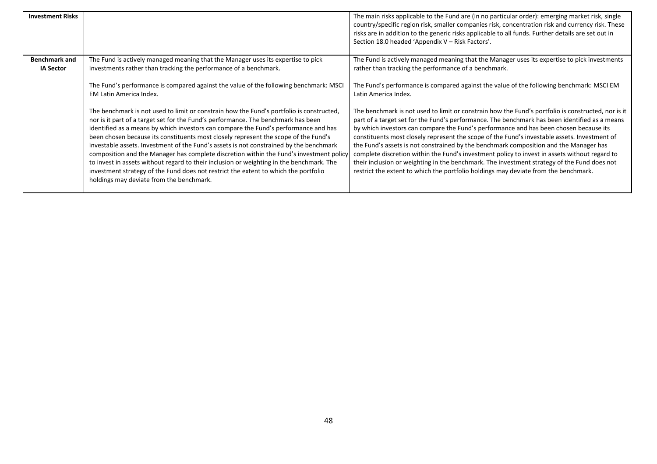| <b>Investment Risks</b>                  |                                                                                                                                                                                                                                                                                                                                                                                                                                                                                                                                                                                                                                                                                                                                                                                 | The main risks applicable to the Fund are (in no particular order): emerging market risk, single<br>country/specific region risk, smaller companies risk, concentration risk and currency risk. These<br>risks are in addition to the generic risks applicable to all funds. Further details are set out in<br>Section 18.0 headed 'Appendix V - Risk Factors'.                                                                                                                                                                                                                                                                                                                                                                                                              |
|------------------------------------------|---------------------------------------------------------------------------------------------------------------------------------------------------------------------------------------------------------------------------------------------------------------------------------------------------------------------------------------------------------------------------------------------------------------------------------------------------------------------------------------------------------------------------------------------------------------------------------------------------------------------------------------------------------------------------------------------------------------------------------------------------------------------------------|------------------------------------------------------------------------------------------------------------------------------------------------------------------------------------------------------------------------------------------------------------------------------------------------------------------------------------------------------------------------------------------------------------------------------------------------------------------------------------------------------------------------------------------------------------------------------------------------------------------------------------------------------------------------------------------------------------------------------------------------------------------------------|
| <b>Benchmark and</b><br><b>IA Sector</b> | The Fund is actively managed meaning that the Manager uses its expertise to pick<br>investments rather than tracking the performance of a benchmark.                                                                                                                                                                                                                                                                                                                                                                                                                                                                                                                                                                                                                            | The Fund is actively managed meaning that the Manager uses its expertise to pick investments<br>rather than tracking the performance of a benchmark.                                                                                                                                                                                                                                                                                                                                                                                                                                                                                                                                                                                                                         |
|                                          | The Fund's performance is compared against the value of the following benchmark: MSCI<br>EM Latin America Index.                                                                                                                                                                                                                                                                                                                                                                                                                                                                                                                                                                                                                                                                | The Fund's performance is compared against the value of the following benchmark: MSCI EM<br>Latin America Index.                                                                                                                                                                                                                                                                                                                                                                                                                                                                                                                                                                                                                                                             |
|                                          | The benchmark is not used to limit or constrain how the Fund's portfolio is constructed,<br>nor is it part of a target set for the Fund's performance. The benchmark has been<br>identified as a means by which investors can compare the Fund's performance and has<br>been chosen because its constituents most closely represent the scope of the Fund's<br>investable assets. Investment of the Fund's assets is not constrained by the benchmark<br>composition and the Manager has complete discretion within the Fund's investment policy<br>to invest in assets without regard to their inclusion or weighting in the benchmark. The<br>investment strategy of the Fund does not restrict the extent to which the portfolio<br>holdings may deviate from the benchmark. | The benchmark is not used to limit or constrain how the Fund's portfolio is constructed, nor is it<br>part of a target set for the Fund's performance. The benchmark has been identified as a means<br>by which investors can compare the Fund's performance and has been chosen because its<br>constituents most closely represent the scope of the Fund's investable assets. Investment of<br>the Fund's assets is not constrained by the benchmark composition and the Manager has<br>complete discretion within the Fund's investment policy to invest in assets without regard to<br>their inclusion or weighting in the benchmark. The investment strategy of the Fund does not<br>restrict the extent to which the portfolio holdings may deviate from the benchmark. |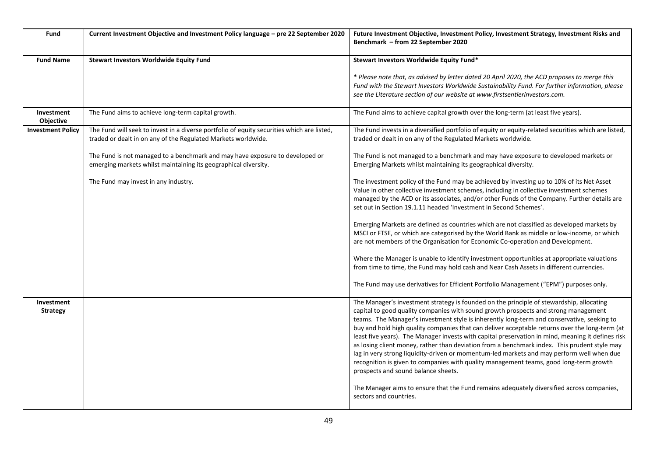| Fund                           | Current Investment Objective and Investment Policy language - pre 22 September 2020                                                                         | Future Investment Objective, Investment Policy, Investment Strategy, Investment Risks and<br>Benchmark - from 22 September 2020                                                                                                                                                                                                                                                                                                                                                                                                                                                                                                                                                                                                                                                                                                                                                                                 |
|--------------------------------|-------------------------------------------------------------------------------------------------------------------------------------------------------------|-----------------------------------------------------------------------------------------------------------------------------------------------------------------------------------------------------------------------------------------------------------------------------------------------------------------------------------------------------------------------------------------------------------------------------------------------------------------------------------------------------------------------------------------------------------------------------------------------------------------------------------------------------------------------------------------------------------------------------------------------------------------------------------------------------------------------------------------------------------------------------------------------------------------|
| <b>Fund Name</b>               | <b>Stewart Investors Worldwide Equity Fund</b>                                                                                                              | Stewart Investors Worldwide Equity Fund*                                                                                                                                                                                                                                                                                                                                                                                                                                                                                                                                                                                                                                                                                                                                                                                                                                                                        |
|                                |                                                                                                                                                             | * Please note that, as advised by letter dated 20 April 2020, the ACD proposes to merge this<br>Fund with the Stewart Investors Worldwide Sustainability Fund. For further information, please<br>see the Literature section of our website at www.firstsentierinvestors.com.                                                                                                                                                                                                                                                                                                                                                                                                                                                                                                                                                                                                                                   |
| Investment<br><b>Objective</b> | The Fund aims to achieve long-term capital growth.                                                                                                          | The Fund aims to achieve capital growth over the long-term (at least five years).                                                                                                                                                                                                                                                                                                                                                                                                                                                                                                                                                                                                                                                                                                                                                                                                                               |
| <b>Investment Policy</b>       | The Fund will seek to invest in a diverse portfolio of equity securities which are listed,<br>traded or dealt in on any of the Regulated Markets worldwide. | The Fund invests in a diversified portfolio of equity or equity-related securities which are listed,<br>traded or dealt in on any of the Regulated Markets worldwide.                                                                                                                                                                                                                                                                                                                                                                                                                                                                                                                                                                                                                                                                                                                                           |
|                                | The Fund is not managed to a benchmark and may have exposure to developed or<br>emerging markets whilst maintaining its geographical diversity.             | The Fund is not managed to a benchmark and may have exposure to developed markets or<br>Emerging Markets whilst maintaining its geographical diversity.                                                                                                                                                                                                                                                                                                                                                                                                                                                                                                                                                                                                                                                                                                                                                         |
|                                | The Fund may invest in any industry.                                                                                                                        | The investment policy of the Fund may be achieved by investing up to 10% of its Net Asset<br>Value in other collective investment schemes, including in collective investment schemes<br>managed by the ACD or its associates, and/or other Funds of the Company. Further details are<br>set out in Section 19.1.11 headed 'Investment in Second Schemes'.                                                                                                                                                                                                                                                                                                                                                                                                                                                                                                                                                      |
|                                |                                                                                                                                                             | Emerging Markets are defined as countries which are not classified as developed markets by<br>MSCI or FTSE, or which are categorised by the World Bank as middle or low-income, or which<br>are not members of the Organisation for Economic Co-operation and Development.                                                                                                                                                                                                                                                                                                                                                                                                                                                                                                                                                                                                                                      |
|                                |                                                                                                                                                             | Where the Manager is unable to identify investment opportunities at appropriate valuations<br>from time to time, the Fund may hold cash and Near Cash Assets in different currencies.                                                                                                                                                                                                                                                                                                                                                                                                                                                                                                                                                                                                                                                                                                                           |
|                                |                                                                                                                                                             | The Fund may use derivatives for Efficient Portfolio Management ("EPM") purposes only.                                                                                                                                                                                                                                                                                                                                                                                                                                                                                                                                                                                                                                                                                                                                                                                                                          |
| Investment<br><b>Strategy</b>  |                                                                                                                                                             | The Manager's investment strategy is founded on the principle of stewardship, allocating<br>capital to good quality companies with sound growth prospects and strong management<br>teams. The Manager's investment style is inherently long-term and conservative, seeking to<br>buy and hold high quality companies that can deliver acceptable returns over the long-term (at<br>least five years). The Manager invests with capital preservation in mind, meaning it defines risk<br>as losing client money, rather than deviation from a benchmark index. This prudent style may<br>lag in very strong liquidity-driven or momentum-led markets and may perform well when due<br>recognition is given to companies with quality management teams, good long-term growth<br>prospects and sound balance sheets.<br>The Manager aims to ensure that the Fund remains adequately diversified across companies, |
|                                |                                                                                                                                                             | sectors and countries.                                                                                                                                                                                                                                                                                                                                                                                                                                                                                                                                                                                                                                                                                                                                                                                                                                                                                          |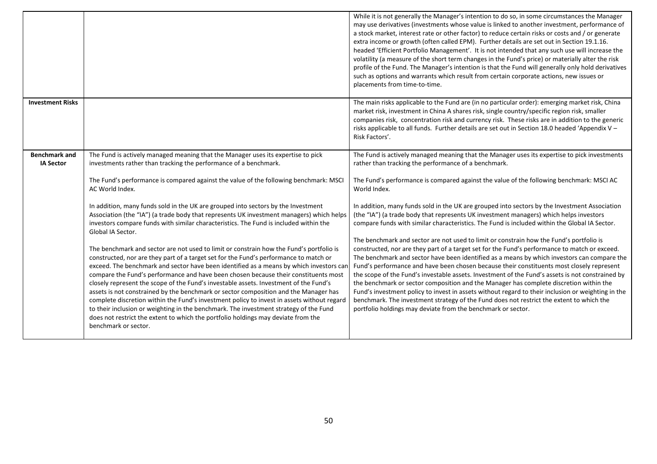|                                          |                                                                                                                                                                                                                                                                                                                                                                                                                                                                                                                                                                                                                                                                                                                                                                                                                                                                                                                                                                                                                                                                                                                                                                                                                                                                                                                                                                                                                            | While it is not generally the Manager's intention to do so, in some circumstances the Manager<br>may use derivatives (investments whose value is linked to another investment, performance of<br>a stock market, interest rate or other factor) to reduce certain risks or costs and / or generate<br>extra income or growth (often called EPM). Further details are set out in Section 19.1.16.<br>headed 'Efficient Portfolio Management'. It is not intended that any such use will increase the<br>volatility (a measure of the short term changes in the Fund's price) or materially alter the risk<br>profile of the Fund. The Manager's intention is that the Fund will generally only hold derivatives<br>such as options and warrants which result from certain corporate actions, new issues or<br>placements from time-to-time.                                                                                                                                                                                                                                                                                                                                                                                                                                                                                                                                                                           |
|------------------------------------------|----------------------------------------------------------------------------------------------------------------------------------------------------------------------------------------------------------------------------------------------------------------------------------------------------------------------------------------------------------------------------------------------------------------------------------------------------------------------------------------------------------------------------------------------------------------------------------------------------------------------------------------------------------------------------------------------------------------------------------------------------------------------------------------------------------------------------------------------------------------------------------------------------------------------------------------------------------------------------------------------------------------------------------------------------------------------------------------------------------------------------------------------------------------------------------------------------------------------------------------------------------------------------------------------------------------------------------------------------------------------------------------------------------------------------|----------------------------------------------------------------------------------------------------------------------------------------------------------------------------------------------------------------------------------------------------------------------------------------------------------------------------------------------------------------------------------------------------------------------------------------------------------------------------------------------------------------------------------------------------------------------------------------------------------------------------------------------------------------------------------------------------------------------------------------------------------------------------------------------------------------------------------------------------------------------------------------------------------------------------------------------------------------------------------------------------------------------------------------------------------------------------------------------------------------------------------------------------------------------------------------------------------------------------------------------------------------------------------------------------------------------------------------------------------------------------------------------------------------------|
| <b>Investment Risks</b>                  |                                                                                                                                                                                                                                                                                                                                                                                                                                                                                                                                                                                                                                                                                                                                                                                                                                                                                                                                                                                                                                                                                                                                                                                                                                                                                                                                                                                                                            | The main risks applicable to the Fund are (in no particular order): emerging market risk, China<br>market risk, investment in China A shares risk, single country/specific region risk, smaller<br>companies risk, concentration risk and currency risk. These risks are in addition to the generic<br>risks applicable to all funds. Further details are set out in Section 18.0 headed 'Appendix V -<br>Risk Factors'.                                                                                                                                                                                                                                                                                                                                                                                                                                                                                                                                                                                                                                                                                                                                                                                                                                                                                                                                                                                             |
| <b>Benchmark and</b><br><b>IA Sector</b> | The Fund is actively managed meaning that the Manager uses its expertise to pick<br>investments rather than tracking the performance of a benchmark.<br>The Fund's performance is compared against the value of the following benchmark: MSCI<br>AC World Index.<br>In addition, many funds sold in the UK are grouped into sectors by the Investment<br>Association (the "IA") (a trade body that represents UK investment managers) which helps<br>investors compare funds with similar characteristics. The Fund is included within the<br>Global IA Sector.<br>The benchmark and sector are not used to limit or constrain how the Fund's portfolio is<br>constructed, nor are they part of a target set for the Fund's performance to match or<br>exceed. The benchmark and sector have been identified as a means by which investors can<br>compare the Fund's performance and have been chosen because their constituents most<br>closely represent the scope of the Fund's investable assets. Investment of the Fund's<br>assets is not constrained by the benchmark or sector composition and the Manager has<br>complete discretion within the Fund's investment policy to invest in assets without regard<br>to their inclusion or weighting in the benchmark. The investment strategy of the Fund<br>does not restrict the extent to which the portfolio holdings may deviate from the<br>benchmark or sector. | The Fund is actively managed meaning that the Manager uses its expertise to pick investments<br>rather than tracking the performance of a benchmark.<br>The Fund's performance is compared against the value of the following benchmark: MSCI AC<br>World Index.<br>In addition, many funds sold in the UK are grouped into sectors by the Investment Association<br>(the "IA") (a trade body that represents UK investment managers) which helps investors<br>compare funds with similar characteristics. The Fund is included within the Global IA Sector.<br>The benchmark and sector are not used to limit or constrain how the Fund's portfolio is<br>constructed, nor are they part of a target set for the Fund's performance to match or exceed.<br>The benchmark and sector have been identified as a means by which investors can compare the<br>Fund's performance and have been chosen because their constituents most closely represent<br>the scope of the Fund's investable assets. Investment of the Fund's assets is not constrained by<br>the benchmark or sector composition and the Manager has complete discretion within the<br>Fund's investment policy to invest in assets without regard to their inclusion or weighting in the<br>benchmark. The investment strategy of the Fund does not restrict the extent to which the<br>portfolio holdings may deviate from the benchmark or sector. |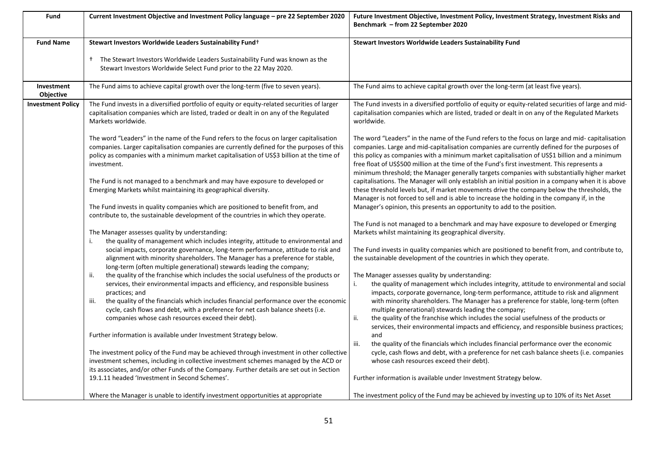| Fund                           | Current Investment Objective and Investment Policy language - pre 22 September 2020                                                                                                                                                                                                                                               | Future Investment Objective, Investment Policy, Investment Strategy, Investment Risks and<br>Benchmark - from 22 September 2020                                                                                                                                                                                                                                                                                                                                                              |
|--------------------------------|-----------------------------------------------------------------------------------------------------------------------------------------------------------------------------------------------------------------------------------------------------------------------------------------------------------------------------------|----------------------------------------------------------------------------------------------------------------------------------------------------------------------------------------------------------------------------------------------------------------------------------------------------------------------------------------------------------------------------------------------------------------------------------------------------------------------------------------------|
| <b>Fund Name</b>               | Stewart Investors Worldwide Leaders Sustainability Fund+                                                                                                                                                                                                                                                                          | Stewart Investors Worldwide Leaders Sustainability Fund                                                                                                                                                                                                                                                                                                                                                                                                                                      |
|                                | <sup>†</sup> The Stewart Investors Worldwide Leaders Sustainability Fund was known as the<br>Stewart Investors Worldwide Select Fund prior to the 22 May 2020.                                                                                                                                                                    |                                                                                                                                                                                                                                                                                                                                                                                                                                                                                              |
| Investment<br><b>Objective</b> | The Fund aims to achieve capital growth over the long-term (five to seven years).                                                                                                                                                                                                                                                 | The Fund aims to achieve capital growth over the long-term (at least five years).                                                                                                                                                                                                                                                                                                                                                                                                            |
| <b>Investment Policy</b>       | The Fund invests in a diversified portfolio of equity or equity-related securities of larger<br>capitalisation companies which are listed, traded or dealt in on any of the Regulated<br>Markets worldwide.                                                                                                                       | The Fund invests in a diversified portfolio of equity or equity-related securities of large and mid-<br>capitalisation companies which are listed, traded or dealt in on any of the Regulated Markets<br>worldwide.                                                                                                                                                                                                                                                                          |
|                                | The word "Leaders" in the name of the Fund refers to the focus on larger capitalisation<br>companies. Larger capitalisation companies are currently defined for the purposes of this<br>policy as companies with a minimum market capitalisation of US\$3 billion at the time of<br>investment.                                   | The word "Leaders" in the name of the Fund refers to the focus on large and mid- capitalisation<br>companies. Large and mid-capitalisation companies are currently defined for the purposes of<br>this policy as companies with a minimum market capitalisation of US\$1 billion and a minimum<br>free float of US\$500 million at the time of the Fund's first investment. This represents a<br>minimum threshold; the Manager generally targets companies with substantially higher market |
|                                | The Fund is not managed to a benchmark and may have exposure to developed or<br>Emerging Markets whilst maintaining its geographical diversity.<br>The Fund invests in quality companies which are positioned to benefit from, and                                                                                                | capitalisations. The Manager will only establish an initial position in a company when it is above<br>these threshold levels but, if market movements drive the company below the thresholds, the<br>Manager is not forced to sell and is able to increase the holding in the company if, in the<br>Manager's opinion, this presents an opportunity to add to the position.                                                                                                                  |
|                                | contribute to, the sustainable development of the countries in which they operate.                                                                                                                                                                                                                                                | The Fund is not managed to a benchmark and may have exposure to developed or Emerging                                                                                                                                                                                                                                                                                                                                                                                                        |
|                                | The Manager assesses quality by understanding:                                                                                                                                                                                                                                                                                    | Markets whilst maintaining its geographical diversity.                                                                                                                                                                                                                                                                                                                                                                                                                                       |
|                                | the quality of management which includes integrity, attitude to environmental and<br>social impacts, corporate governance, long-term performance, attitude to risk and<br>alignment with minority shareholders. The Manager has a preference for stable,<br>long-term (often multiple generational) stewards leading the company; | The Fund invests in quality companies which are positioned to benefit from, and contribute to,<br>the sustainable development of the countries in which they operate.                                                                                                                                                                                                                                                                                                                        |
|                                | the quality of the franchise which includes the social usefulness of the products or<br>ii.<br>services, their environmental impacts and efficiency, and responsible business<br>practices; and                                                                                                                                   | The Manager assesses quality by understanding:<br>the quality of management which includes integrity, attitude to environmental and social<br>i.<br>impacts, corporate governance, long-term performance, attitude to risk and alignment                                                                                                                                                                                                                                                     |
|                                | the quality of the financials which includes financial performance over the economic<br>iii.<br>cycle, cash flows and debt, with a preference for net cash balance sheets (i.e.<br>companies whose cash resources exceed their debt).                                                                                             | with minority shareholders. The Manager has a preference for stable, long-term (often<br>multiple generational) stewards leading the company;<br>the quality of the franchise which includes the social usefulness of the products or<br>ii.<br>services, their environmental impacts and efficiency, and responsible business practices;                                                                                                                                                    |
|                                | Further information is available under Investment Strategy below.                                                                                                                                                                                                                                                                 | and<br>the quality of the financials which includes financial performance over the economic<br>iii.                                                                                                                                                                                                                                                                                                                                                                                          |
|                                | The investment policy of the Fund may be achieved through investment in other collective<br>investment schemes, including in collective investment schemes managed by the ACD or<br>its associates, and/or other Funds of the Company. Further details are set out in Section                                                     | cycle, cash flows and debt, with a preference for net cash balance sheets (i.e. companies<br>whose cash resources exceed their debt).                                                                                                                                                                                                                                                                                                                                                        |
|                                | 19.1.11 headed 'Investment in Second Schemes'.                                                                                                                                                                                                                                                                                    | Further information is available under Investment Strategy below.                                                                                                                                                                                                                                                                                                                                                                                                                            |
|                                | Where the Manager is unable to identify investment opportunities at appropriate                                                                                                                                                                                                                                                   | The investment policy of the Fund may be achieved by investing up to 10% of its Net Asset                                                                                                                                                                                                                                                                                                                                                                                                    |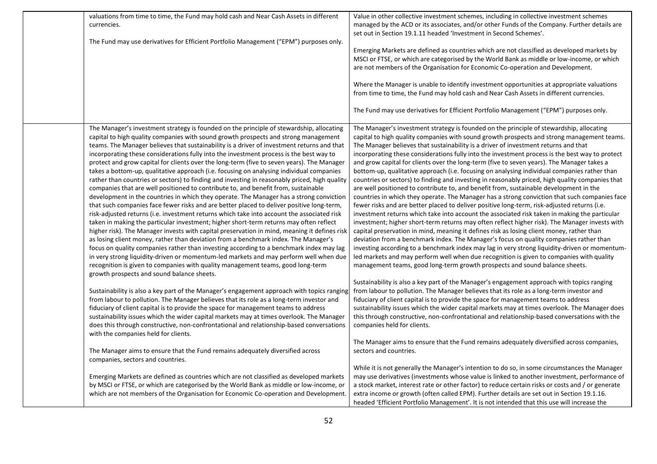| valuations from time to time, the Fund may hold cash and Near Cash Assets in different<br>currencies.                                                                                                                                                                                                                                                                                                                                                                                                                                                                                                                                                                                                                                                                                                                                                                                                                                                                                                                                                                                                                                                                                                                                                                                                                                                                                                                                                                                                                                                                                                   | Value in other collective investment schemes, including in collective investment schemes<br>managed by the ACD or its associates, and/or other Funds of the Company. Further details are<br>set out in Section 19.1.11 headed 'Investment in Second Schemes'.                                                                                                                                                                                                                                                                                                                                                                                                                                                                                                                                                                                                                                                                                                                                                                                                                                                                                                                                                                                                                                                                                                                                                                                                                                                                                                                                                                                       |
|---------------------------------------------------------------------------------------------------------------------------------------------------------------------------------------------------------------------------------------------------------------------------------------------------------------------------------------------------------------------------------------------------------------------------------------------------------------------------------------------------------------------------------------------------------------------------------------------------------------------------------------------------------------------------------------------------------------------------------------------------------------------------------------------------------------------------------------------------------------------------------------------------------------------------------------------------------------------------------------------------------------------------------------------------------------------------------------------------------------------------------------------------------------------------------------------------------------------------------------------------------------------------------------------------------------------------------------------------------------------------------------------------------------------------------------------------------------------------------------------------------------------------------------------------------------------------------------------------------|-----------------------------------------------------------------------------------------------------------------------------------------------------------------------------------------------------------------------------------------------------------------------------------------------------------------------------------------------------------------------------------------------------------------------------------------------------------------------------------------------------------------------------------------------------------------------------------------------------------------------------------------------------------------------------------------------------------------------------------------------------------------------------------------------------------------------------------------------------------------------------------------------------------------------------------------------------------------------------------------------------------------------------------------------------------------------------------------------------------------------------------------------------------------------------------------------------------------------------------------------------------------------------------------------------------------------------------------------------------------------------------------------------------------------------------------------------------------------------------------------------------------------------------------------------------------------------------------------------------------------------------------------------|
| The Fund may use derivatives for Efficient Portfolio Management ("EPM") purposes only.                                                                                                                                                                                                                                                                                                                                                                                                                                                                                                                                                                                                                                                                                                                                                                                                                                                                                                                                                                                                                                                                                                                                                                                                                                                                                                                                                                                                                                                                                                                  | Emerging Markets are defined as countries which are not classified as developed markets by<br>MSCI or FTSE, or which are categorised by the World Bank as middle or low-income, or which<br>are not members of the Organisation for Economic Co-operation and Development.                                                                                                                                                                                                                                                                                                                                                                                                                                                                                                                                                                                                                                                                                                                                                                                                                                                                                                                                                                                                                                                                                                                                                                                                                                                                                                                                                                          |
|                                                                                                                                                                                                                                                                                                                                                                                                                                                                                                                                                                                                                                                                                                                                                                                                                                                                                                                                                                                                                                                                                                                                                                                                                                                                                                                                                                                                                                                                                                                                                                                                         | Where the Manager is unable to identify investment opportunities at appropriate valuations<br>from time to time, the Fund may hold cash and Near Cash Assets in different currencies.                                                                                                                                                                                                                                                                                                                                                                                                                                                                                                                                                                                                                                                                                                                                                                                                                                                                                                                                                                                                                                                                                                                                                                                                                                                                                                                                                                                                                                                               |
|                                                                                                                                                                                                                                                                                                                                                                                                                                                                                                                                                                                                                                                                                                                                                                                                                                                                                                                                                                                                                                                                                                                                                                                                                                                                                                                                                                                                                                                                                                                                                                                                         | The Fund may use derivatives for Efficient Portfolio Management ("EPM") purposes only.                                                                                                                                                                                                                                                                                                                                                                                                                                                                                                                                                                                                                                                                                                                                                                                                                                                                                                                                                                                                                                                                                                                                                                                                                                                                                                                                                                                                                                                                                                                                                              |
| The Manager's investment strategy is founded on the principle of stewardship, allocating<br>capital to high quality companies with sound growth prospects and strong management<br>teams. The Manager believes that sustainability is a driver of investment returns and that<br>incorporating these considerations fully into the investment process is the best way to<br>protect and grow capital for clients over the long-term (five to seven years). The Manager<br>takes a bottom-up, qualitative approach (i.e. focusing on analysing individual companies<br>rather than countries or sectors) to finding and investing in reasonably priced, high quality<br>companies that are well positioned to contribute to, and benefit from, sustainable<br>development in the countries in which they operate. The Manager has a strong conviction<br>that such companies face fewer risks and are better placed to deliver positive long-term,<br>risk-adjusted returns (i.e. investment returns which take into account the associated risk<br>taken in making the particular investment; higher short-term returns may often reflect<br>higher risk). The Manager invests with capital preservation in mind, meaning it defines risk<br>as losing client money, rather than deviation from a benchmark index. The Manager's<br>focus on quality companies rather than investing according to a benchmark index may lag<br>in very strong liquidity-driven or momentum-led markets and may perform well when due<br>recognition is given to companies with quality management teams, good long-term | The Manager's investment strategy is founded on the principle of stewardship, allocating<br>capital to high quality companies with sound growth prospects and strong management teams.<br>The Manager believes that sustainability is a driver of investment returns and that<br>incorporating these considerations fully into the investment process is the best way to protect<br>and grow capital for clients over the long-term (five to seven years). The Manager takes a<br>bottom-up, qualitative approach (i.e. focusing on analysing individual companies rather than<br>countries or sectors) to finding and investing in reasonably priced, high quality companies that<br>are well positioned to contribute to, and benefit from, sustainable development in the<br>countries in which they operate. The Manager has a strong conviction that such companies face<br>fewer risks and are better placed to deliver positive long-term, risk-adjusted returns (i.e.<br>investment returns which take into account the associated risk taken in making the particular<br>investment; higher short-term returns may often reflect higher risk). The Manager invests with<br>capital preservation in mind, meaning it defines risk as losing client money, rather than<br>deviation from a benchmark index. The Manager's focus on quality companies rather than<br>investing according to a benchmark index may lag in very strong liquidity-driven or momentum-<br>led markets and may perform well when due recognition is given to companies with quality<br>management teams, good long-term growth prospects and sound balance sheets. |
| growth prospects and sound balance sheets.<br>Sustainability is also a key part of the Manager's engagement approach with topics ranging<br>from labour to pollution. The Manager believes that its role as a long-term investor and<br>fiduciary of client capital is to provide the space for management teams to address<br>sustainability issues which the wider capital markets may at times overlook. The Manager<br>does this through constructive, non-confrontational and relationship-based conversations<br>with the companies held for clients.                                                                                                                                                                                                                                                                                                                                                                                                                                                                                                                                                                                                                                                                                                                                                                                                                                                                                                                                                                                                                                             | Sustainability is also a key part of the Manager's engagement approach with topics ranging<br>from labour to pollution. The Manager believes that its role as a long-term investor and<br>fiduciary of client capital is to provide the space for management teams to address<br>sustainability issues which the wider capital markets may at times overlook. The Manager does<br>this through constructive, non-confrontational and relationship-based conversations with the<br>companies held for clients.                                                                                                                                                                                                                                                                                                                                                                                                                                                                                                                                                                                                                                                                                                                                                                                                                                                                                                                                                                                                                                                                                                                                       |
| The Manager aims to ensure that the Fund remains adequately diversified across<br>companies, sectors and countries.                                                                                                                                                                                                                                                                                                                                                                                                                                                                                                                                                                                                                                                                                                                                                                                                                                                                                                                                                                                                                                                                                                                                                                                                                                                                                                                                                                                                                                                                                     | The Manager aims to ensure that the Fund remains adequately diversified across companies,<br>sectors and countries.                                                                                                                                                                                                                                                                                                                                                                                                                                                                                                                                                                                                                                                                                                                                                                                                                                                                                                                                                                                                                                                                                                                                                                                                                                                                                                                                                                                                                                                                                                                                 |
| Emerging Markets are defined as countries which are not classified as developed markets<br>by MSCI or FTSE, or which are categorised by the World Bank as middle or low-income, or<br>which are not members of the Organisation for Economic Co-operation and Development.                                                                                                                                                                                                                                                                                                                                                                                                                                                                                                                                                                                                                                                                                                                                                                                                                                                                                                                                                                                                                                                                                                                                                                                                                                                                                                                              | While it is not generally the Manager's intention to do so, in some circumstances the Manager<br>may use derivatives (investments whose value is linked to another investment, performance of<br>a stock market, interest rate or other factor) to reduce certain risks or costs and / or generate<br>extra income or growth (often called EPM). Further details are set out in Section 19.1.16.<br>headed 'Efficient Portfolio Management'. It is not intended that this use will increase the                                                                                                                                                                                                                                                                                                                                                                                                                                                                                                                                                                                                                                                                                                                                                                                                                                                                                                                                                                                                                                                                                                                                                     |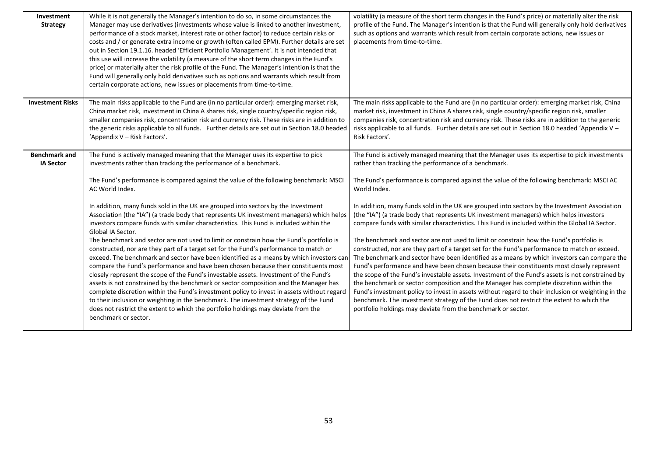| Investment<br><b>Strategy</b>            | While it is not generally the Manager's intention to do so, in some circumstances the<br>Manager may use derivatives (investments whose value is linked to another investment,<br>performance of a stock market, interest rate or other factor) to reduce certain risks or<br>costs and / or generate extra income or growth (often called EPM). Further details are set<br>out in Section 19.1.16. headed 'Efficient Portfolio Management'. It is not intended that<br>this use will increase the volatility (a measure of the short term changes in the Fund's<br>price) or materially alter the risk profile of the Fund. The Manager's intention is that the<br>Fund will generally only hold derivatives such as options and warrants which result from<br>certain corporate actions, new issues or placements from time-to-time.                                                                                                                                                                                                                                                                                                                                                                                                                                                                                                                                                                                      | volatility (a measure of the short term changes in the Fund's price) or materially alter the risk<br>profile of the Fund. The Manager's intention is that the Fund will generally only hold derivatives<br>such as options and warrants which result from certain corporate actions, new issues or<br>placements from time-to-time.                                                                                                                                                                                                                                                                                                                                                                                                                                                                                                                                                                                                                                                                                                                                                                                                                                                                                                                                                                                                                                                                                   |
|------------------------------------------|-----------------------------------------------------------------------------------------------------------------------------------------------------------------------------------------------------------------------------------------------------------------------------------------------------------------------------------------------------------------------------------------------------------------------------------------------------------------------------------------------------------------------------------------------------------------------------------------------------------------------------------------------------------------------------------------------------------------------------------------------------------------------------------------------------------------------------------------------------------------------------------------------------------------------------------------------------------------------------------------------------------------------------------------------------------------------------------------------------------------------------------------------------------------------------------------------------------------------------------------------------------------------------------------------------------------------------------------------------------------------------------------------------------------------------|-----------------------------------------------------------------------------------------------------------------------------------------------------------------------------------------------------------------------------------------------------------------------------------------------------------------------------------------------------------------------------------------------------------------------------------------------------------------------------------------------------------------------------------------------------------------------------------------------------------------------------------------------------------------------------------------------------------------------------------------------------------------------------------------------------------------------------------------------------------------------------------------------------------------------------------------------------------------------------------------------------------------------------------------------------------------------------------------------------------------------------------------------------------------------------------------------------------------------------------------------------------------------------------------------------------------------------------------------------------------------------------------------------------------------|
| <b>Investment Risks</b>                  | The main risks applicable to the Fund are (in no particular order): emerging market risk,<br>China market risk, investment in China A shares risk, single country/specific region risk,<br>smaller companies risk, concentration risk and currency risk. These risks are in addition to<br>the generic risks applicable to all funds. Further details are set out in Section 18.0 headed<br>'Appendix V - Risk Factors'.                                                                                                                                                                                                                                                                                                                                                                                                                                                                                                                                                                                                                                                                                                                                                                                                                                                                                                                                                                                                    | The main risks applicable to the Fund are (in no particular order): emerging market risk, China<br>market risk, investment in China A shares risk, single country/specific region risk, smaller<br>companies risk, concentration risk and currency risk. These risks are in addition to the generic<br>risks applicable to all funds. Further details are set out in Section 18.0 headed 'Appendix V -<br>Risk Factors'.                                                                                                                                                                                                                                                                                                                                                                                                                                                                                                                                                                                                                                                                                                                                                                                                                                                                                                                                                                                              |
| <b>Benchmark and</b><br><b>IA Sector</b> | The Fund is actively managed meaning that the Manager uses its expertise to pick<br>investments rather than tracking the performance of a benchmark.<br>The Fund's performance is compared against the value of the following benchmark: MSCI<br>AC World Index.<br>In addition, many funds sold in the UK are grouped into sectors by the Investment<br>Association (the "IA") (a trade body that represents UK investment managers) which helps<br>investors compare funds with similar characteristics. This Fund is included within the<br>Global IA Sector.<br>The benchmark and sector are not used to limit or constrain how the Fund's portfolio is<br>constructed, nor are they part of a target set for the Fund's performance to match or<br>exceed. The benchmark and sector have been identified as a means by which investors can<br>compare the Fund's performance and have been chosen because their constituents most<br>closely represent the scope of the Fund's investable assets. Investment of the Fund's<br>assets is not constrained by the benchmark or sector composition and the Manager has<br>complete discretion within the Fund's investment policy to invest in assets without regard<br>to their inclusion or weighting in the benchmark. The investment strategy of the Fund<br>does not restrict the extent to which the portfolio holdings may deviate from the<br>benchmark or sector. | The Fund is actively managed meaning that the Manager uses its expertise to pick investments<br>rather than tracking the performance of a benchmark.<br>The Fund's performance is compared against the value of the following benchmark: MSCI AC<br>World Index.<br>In addition, many funds sold in the UK are grouped into sectors by the Investment Association<br>(the "IA") (a trade body that represents UK investment managers) which helps investors<br>compare funds with similar characteristics. This Fund is included within the Global IA Sector.<br>The benchmark and sector are not used to limit or constrain how the Fund's portfolio is<br>constructed, nor are they part of a target set for the Fund's performance to match or exceed.<br>The benchmark and sector have been identified as a means by which investors can compare the<br>Fund's performance and have been chosen because their constituents most closely represent<br>the scope of the Fund's investable assets. Investment of the Fund's assets is not constrained by<br>the benchmark or sector composition and the Manager has complete discretion within the<br>Fund's investment policy to invest in assets without regard to their inclusion or weighting in the<br>benchmark. The investment strategy of the Fund does not restrict the extent to which the<br>portfolio holdings may deviate from the benchmark or sector. |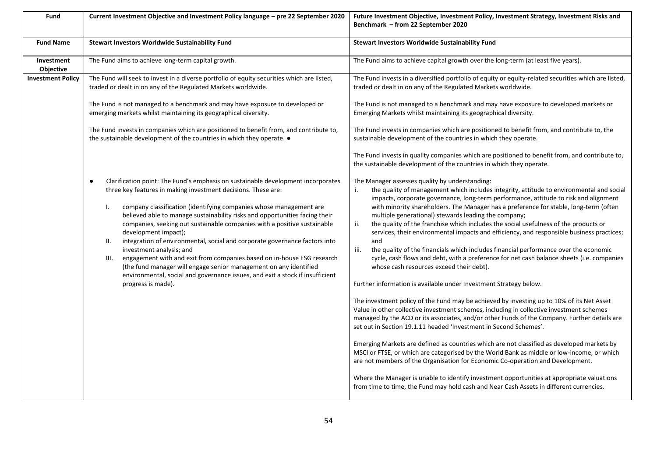| Fund                           | Current Investment Objective and Investment Policy language - pre 22 September 2020                                                                                                                                                                                                                                                                                                                                                                                                                                                                                                                                                                                                                                                                                                                         | Future Investment Objective, Investment Policy, Investment Strategy, Investment Risks and<br>Benchmark - from 22 September 2020                                                                                                                                                                                                                                                                                                                                                                                                                                                                                                                                                                                                                                                                                                                                                                                                                                                                                                                                                                                                                                                                                                                                                                                                                                                                                                                                                                                                                                                                                                                                                                                                                 |
|--------------------------------|-------------------------------------------------------------------------------------------------------------------------------------------------------------------------------------------------------------------------------------------------------------------------------------------------------------------------------------------------------------------------------------------------------------------------------------------------------------------------------------------------------------------------------------------------------------------------------------------------------------------------------------------------------------------------------------------------------------------------------------------------------------------------------------------------------------|-------------------------------------------------------------------------------------------------------------------------------------------------------------------------------------------------------------------------------------------------------------------------------------------------------------------------------------------------------------------------------------------------------------------------------------------------------------------------------------------------------------------------------------------------------------------------------------------------------------------------------------------------------------------------------------------------------------------------------------------------------------------------------------------------------------------------------------------------------------------------------------------------------------------------------------------------------------------------------------------------------------------------------------------------------------------------------------------------------------------------------------------------------------------------------------------------------------------------------------------------------------------------------------------------------------------------------------------------------------------------------------------------------------------------------------------------------------------------------------------------------------------------------------------------------------------------------------------------------------------------------------------------------------------------------------------------------------------------------------------------|
| <b>Fund Name</b>               | <b>Stewart Investors Worldwide Sustainability Fund</b>                                                                                                                                                                                                                                                                                                                                                                                                                                                                                                                                                                                                                                                                                                                                                      | Stewart Investors Worldwide Sustainability Fund                                                                                                                                                                                                                                                                                                                                                                                                                                                                                                                                                                                                                                                                                                                                                                                                                                                                                                                                                                                                                                                                                                                                                                                                                                                                                                                                                                                                                                                                                                                                                                                                                                                                                                 |
| Investment<br><b>Objective</b> | The Fund aims to achieve long-term capital growth.                                                                                                                                                                                                                                                                                                                                                                                                                                                                                                                                                                                                                                                                                                                                                          | The Fund aims to achieve capital growth over the long-term (at least five years).                                                                                                                                                                                                                                                                                                                                                                                                                                                                                                                                                                                                                                                                                                                                                                                                                                                                                                                                                                                                                                                                                                                                                                                                                                                                                                                                                                                                                                                                                                                                                                                                                                                               |
| <b>Investment Policy</b>       | The Fund will seek to invest in a diverse portfolio of equity securities which are listed,<br>traded or dealt in on any of the Regulated Markets worldwide.                                                                                                                                                                                                                                                                                                                                                                                                                                                                                                                                                                                                                                                 | The Fund invests in a diversified portfolio of equity or equity-related securities which are listed,<br>traded or dealt in on any of the Regulated Markets worldwide.                                                                                                                                                                                                                                                                                                                                                                                                                                                                                                                                                                                                                                                                                                                                                                                                                                                                                                                                                                                                                                                                                                                                                                                                                                                                                                                                                                                                                                                                                                                                                                           |
|                                | The Fund is not managed to a benchmark and may have exposure to developed or<br>emerging markets whilst maintaining its geographical diversity.                                                                                                                                                                                                                                                                                                                                                                                                                                                                                                                                                                                                                                                             | The Fund is not managed to a benchmark and may have exposure to developed markets or<br>Emerging Markets whilst maintaining its geographical diversity.                                                                                                                                                                                                                                                                                                                                                                                                                                                                                                                                                                                                                                                                                                                                                                                                                                                                                                                                                                                                                                                                                                                                                                                                                                                                                                                                                                                                                                                                                                                                                                                         |
|                                | The Fund invests in companies which are positioned to benefit from, and contribute to,<br>the sustainable development of the countries in which they operate. •                                                                                                                                                                                                                                                                                                                                                                                                                                                                                                                                                                                                                                             | The Fund invests in companies which are positioned to benefit from, and contribute to, the<br>sustainable development of the countries in which they operate.                                                                                                                                                                                                                                                                                                                                                                                                                                                                                                                                                                                                                                                                                                                                                                                                                                                                                                                                                                                                                                                                                                                                                                                                                                                                                                                                                                                                                                                                                                                                                                                   |
|                                |                                                                                                                                                                                                                                                                                                                                                                                                                                                                                                                                                                                                                                                                                                                                                                                                             | The Fund invests in quality companies which are positioned to benefit from, and contribute to,<br>the sustainable development of the countries in which they operate.                                                                                                                                                                                                                                                                                                                                                                                                                                                                                                                                                                                                                                                                                                                                                                                                                                                                                                                                                                                                                                                                                                                                                                                                                                                                                                                                                                                                                                                                                                                                                                           |
|                                | Clarification point: The Fund's emphasis on sustainable development incorporates<br>$\bullet$<br>three key features in making investment decisions. These are:<br>company classification (identifying companies whose management are<br>I.<br>believed able to manage sustainability risks and opportunities facing their<br>companies, seeking out sustainable companies with a positive sustainable<br>development impact);<br>integration of environmental, social and corporate governance factors into<br>Ш.<br>investment analysis; and<br>engagement with and exit from companies based on in-house ESG research<br>III.<br>(the fund manager will engage senior management on any identified<br>environmental, social and governance issues, and exit a stock if insufficient<br>progress is made). | The Manager assesses quality by understanding:<br>the quality of management which includes integrity, attitude to environmental and social<br>i.<br>impacts, corporate governance, long-term performance, attitude to risk and alignment<br>with minority shareholders. The Manager has a preference for stable, long-term (often<br>multiple generational) stewards leading the company;<br>the quality of the franchise which includes the social usefulness of the products or<br>ii.<br>services, their environmental impacts and efficiency, and responsible business practices;<br>and<br>iii.<br>the quality of the financials which includes financial performance over the economic<br>cycle, cash flows and debt, with a preference for net cash balance sheets (i.e. companies<br>whose cash resources exceed their debt).<br>Further information is available under Investment Strategy below.<br>The investment policy of the Fund may be achieved by investing up to 10% of its Net Asset<br>Value in other collective investment schemes, including in collective investment schemes<br>managed by the ACD or its associates, and/or other Funds of the Company. Further details are<br>set out in Section 19.1.11 headed 'Investment in Second Schemes'.<br>Emerging Markets are defined as countries which are not classified as developed markets by<br>MSCI or FTSE, or which are categorised by the World Bank as middle or low-income, or which<br>are not members of the Organisation for Economic Co-operation and Development.<br>Where the Manager is unable to identify investment opportunities at appropriate valuations<br>from time to time, the Fund may hold cash and Near Cash Assets in different currencies. |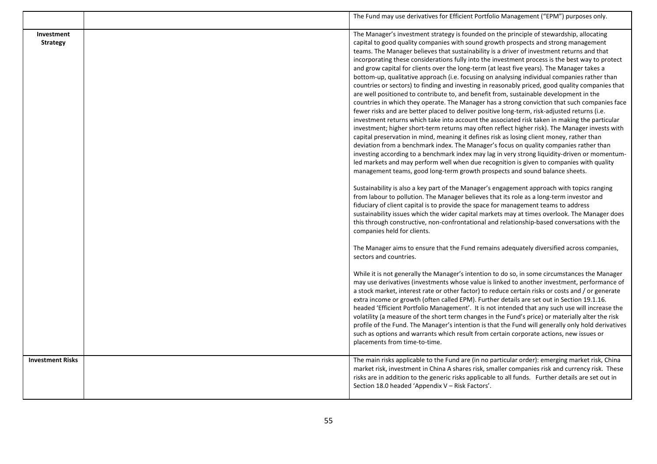|                               | The Fund may use derivatives for Efficient Portfolio Management ("EPM") purposes only.                                                                                                                                                                                                                                                                                                                                                                                                                                                                                                                                                                                                                                                                                                                                                                                                                                                                                                                                                                                                                                                                                                                                                                                                                                                                                                                                                                                                                                                                                                                                                                                                                                                                                                                                                                                                                                                                                                                                                                                                                                                                                                                                                                                                                                                                                                                                                                                                                                                                                                                                                                                                          |
|-------------------------------|-------------------------------------------------------------------------------------------------------------------------------------------------------------------------------------------------------------------------------------------------------------------------------------------------------------------------------------------------------------------------------------------------------------------------------------------------------------------------------------------------------------------------------------------------------------------------------------------------------------------------------------------------------------------------------------------------------------------------------------------------------------------------------------------------------------------------------------------------------------------------------------------------------------------------------------------------------------------------------------------------------------------------------------------------------------------------------------------------------------------------------------------------------------------------------------------------------------------------------------------------------------------------------------------------------------------------------------------------------------------------------------------------------------------------------------------------------------------------------------------------------------------------------------------------------------------------------------------------------------------------------------------------------------------------------------------------------------------------------------------------------------------------------------------------------------------------------------------------------------------------------------------------------------------------------------------------------------------------------------------------------------------------------------------------------------------------------------------------------------------------------------------------------------------------------------------------------------------------------------------------------------------------------------------------------------------------------------------------------------------------------------------------------------------------------------------------------------------------------------------------------------------------------------------------------------------------------------------------------------------------------------------------------------------------------------------------|
| Investment<br><b>Strategy</b> | The Manager's investment strategy is founded on the principle of stewardship, allocating<br>capital to good quality companies with sound growth prospects and strong management<br>teams. The Manager believes that sustainability is a driver of investment returns and that<br>incorporating these considerations fully into the investment process is the best way to protect<br>and grow capital for clients over the long-term (at least five years). The Manager takes a<br>bottom-up, qualitative approach (i.e. focusing on analysing individual companies rather than<br>countries or sectors) to finding and investing in reasonably priced, good quality companies that<br>are well positioned to contribute to, and benefit from, sustainable development in the<br>countries in which they operate. The Manager has a strong conviction that such companies face<br>fewer risks and are better placed to deliver positive long-term, risk-adjusted returns (i.e.<br>investment returns which take into account the associated risk taken in making the particular<br>investment; higher short-term returns may often reflect higher risk). The Manager invests with<br>capital preservation in mind, meaning it defines risk as losing client money, rather than<br>deviation from a benchmark index. The Manager's focus on quality companies rather than<br>investing according to a benchmark index may lag in very strong liquidity-driven or momentum-<br>led markets and may perform well when due recognition is given to companies with quality<br>management teams, good long-term growth prospects and sound balance sheets.<br>Sustainability is also a key part of the Manager's engagement approach with topics ranging<br>from labour to pollution. The Manager believes that its role as a long-term investor and<br>fiduciary of client capital is to provide the space for management teams to address<br>sustainability issues which the wider capital markets may at times overlook. The Manager does<br>this through constructive, non-confrontational and relationship-based conversations with the<br>companies held for clients.<br>The Manager aims to ensure that the Fund remains adequately diversified across companies,<br>sectors and countries.<br>While it is not generally the Manager's intention to do so, in some circumstances the Manager<br>may use derivatives (investments whose value is linked to another investment, performance of<br>a stock market, interest rate or other factor) to reduce certain risks or costs and / or generate<br>extra income or growth (often called EPM). Further details are set out in Section 19.1.16. |
|                               | headed 'Efficient Portfolio Management'. It is not intended that any such use will increase the<br>volatility (a measure of the short term changes in the Fund's price) or materially alter the risk<br>profile of the Fund. The Manager's intention is that the Fund will generally only hold derivatives<br>such as options and warrants which result from certain corporate actions, new issues or<br>placements from time-to-time.                                                                                                                                                                                                                                                                                                                                                                                                                                                                                                                                                                                                                                                                                                                                                                                                                                                                                                                                                                                                                                                                                                                                                                                                                                                                                                                                                                                                                                                                                                                                                                                                                                                                                                                                                                                                                                                                                                                                                                                                                                                                                                                                                                                                                                                          |
| <b>Investment Risks</b>       | The main risks applicable to the Fund are (in no particular order): emerging market risk, China<br>market risk, investment in China A shares risk, smaller companies risk and currency risk. These<br>risks are in addition to the generic risks applicable to all funds. Further details are set out in<br>Section 18.0 headed 'Appendix V - Risk Factors'.                                                                                                                                                                                                                                                                                                                                                                                                                                                                                                                                                                                                                                                                                                                                                                                                                                                                                                                                                                                                                                                                                                                                                                                                                                                                                                                                                                                                                                                                                                                                                                                                                                                                                                                                                                                                                                                                                                                                                                                                                                                                                                                                                                                                                                                                                                                                    |